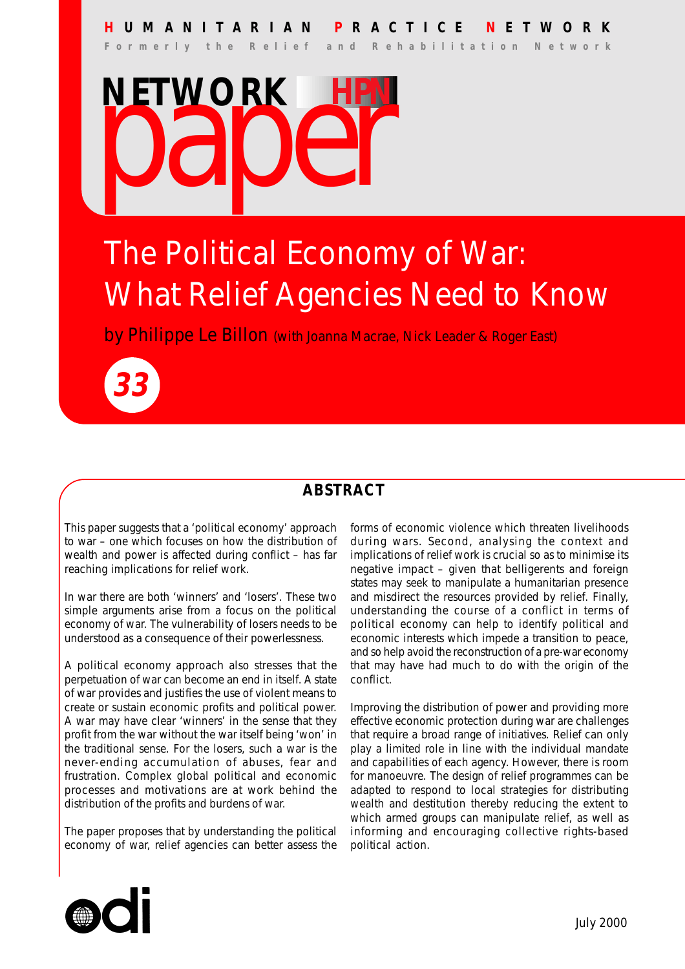### **H UMANITARIAN P RACTICE N ETWORK**

**Formerly the Relief and Rehabilitation Network**



## The Political Economy of War: What Relief Agencies Need to Know

by Philippe Le Billon (with Joanna Macrae, Nick Leader & Roger East)



### **ABSTRACT**

This paper suggests that a 'political economy' approach to war – one which focuses on how the distribution of wealth and power is affected during conflict – has far reaching implications for relief work.

In war there are both 'winners' and 'losers'. These two simple arguments arise from a focus on the political economy of war. The vulnerability of losers needs to be understood as a consequence of their powerlessness.

A political economy approach also stresses that the perpetuation of war can become an end in itself. A state of war provides and justifies the use of violent means to create or sustain economic profits and political power. A war may have clear 'winners' in the sense that they profit from the war without the war itself being 'won' in the traditional sense. For the losers, such a war is the never-ending accumulation of abuses, fear and frustration. Complex global political and economic processes and motivations are at work behind the distribution of the profits and burdens of war.

The paper proposes that by understanding the political economy of war, relief agencies can better assess the forms of economic violence which threaten livelihoods during wars. Second, analysing the context and implications of relief work is crucial so as to minimise its negative impact – given that belligerents and foreign states may seek to manipulate a humanitarian presence and misdirect the resources provided by relief. Finally, understanding the course of a conflict in terms of political economy can help to identify political and economic interests which impede a transition to peace, and so help avoid the reconstruction of a pre-war economy that may have had much to do with the origin of the conflict.

Improving the distribution of power and providing more effective economic protection during war are challenges that require a broad range of initiatives. Relief can only play a limited role in line with the individual mandate and capabilities of each agency. However, there is room for manoeuvre. The design of relief programmes can be adapted to respond to local strategies for distributing wealth and destitution thereby reducing the extent to which armed groups can manipulate relief, as well as informing and encouraging collective rights-based political action.

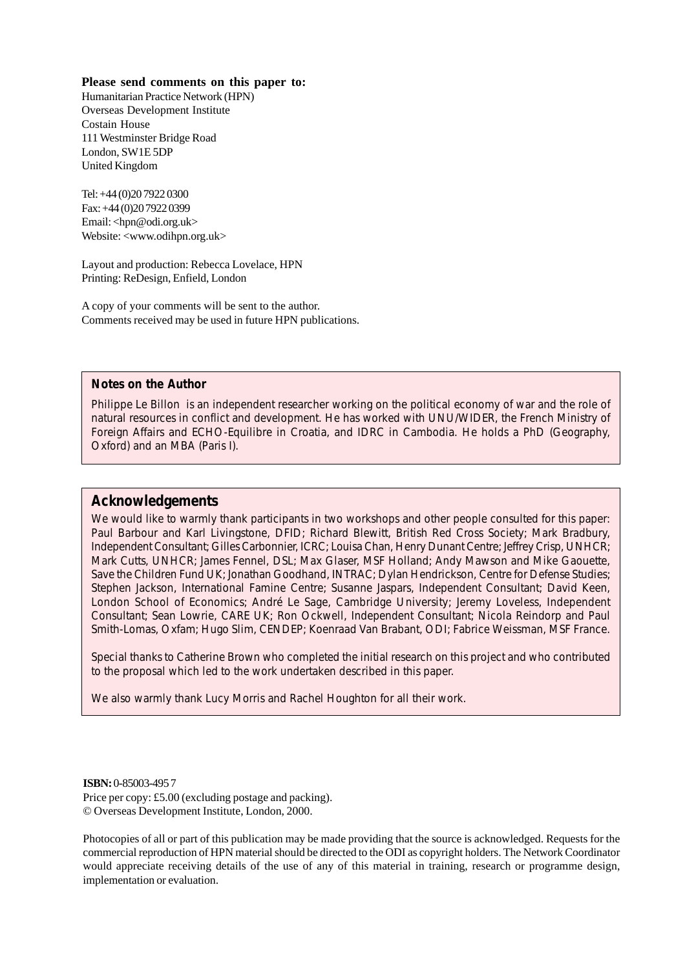#### **Please send comments on this paper to:**

Humanitarian Practice Network (HPN) Overseas Development Institute Costain House 111 Westminster Bridge Road London, SW1E 5DP United Kingdom

Tel: +44 (0)20 7922 0300 Fax: +44 (0)20 7922 0399 Email: <hpn@odi.org.uk> Website: <www.odihpn.org.uk>

Layout and production: Rebecca Lovelace, HPN Printing: ReDesign, Enfield, London

A copy of your comments will be sent to the author. Comments received may be used in future HPN publications.

#### **Notes on the Author**

Philippe Le Billon is an independent researcher working on the political economy of war and the role of natural resources in conflict and development. He has worked with UNU/WIDER, the French Ministry of Foreign Affairs and ECHO-Equilibre in Croatia, and IDRC in Cambodia. He holds a PhD (Geography, Oxford) and an MBA (Paris I).

#### **Acknowledgements**

We would like to warmly thank participants in two workshops and other people consulted for this paper: Paul Barbour and Karl Livingstone, DFID; Richard Blewitt, British Red Cross Society; Mark Bradbury, Independent Consultant; Gilles Carbonnier, ICRC; Louisa Chan, Henry Dunant Centre; Jeffrey Crisp, UNHCR; Mark Cutts, UNHCR; James Fennel, DSL; Max Glaser, MSF Holland; Andy Mawson and Mike Gaouette, Save the Children Fund UK; Jonathan Goodhand, INTRAC; Dylan Hendrickson, Centre for Defense Studies; Stephen Jackson, International Famine Centre; Susanne Jaspars, Independent Consultant; David Keen, London School of Economics; André Le Sage, Cambridge University; Jeremy Loveless, Independent Consultant; Sean Lowrie, CARE UK; Ron Ockwell, Independent Consultant; Nicola Reindorp and Paul Smith-Lomas, Oxfam; Hugo Slim, CENDEP; Koenraad Van Brabant, ODI; Fabrice Weissman, MSF France.

Special thanks to Catherine Brown who completed the initial research on this project and who contributed to the proposal which led to the work undertaken described in this paper.

We also warmly thank Lucy Morris and Rachel Houghton for all their work.

#### **ISBN:** 0-85003-495 7

Price per copy: £5.00 (excluding postage and packing). © Overseas Development Institute, London, 2000.

Photocopies of all or part of this publication may be made providing that the source is acknowledged. Requests for the commercial reproduction of HPN material should be directed to the ODI as copyright holders. The Network Coordinator would appreciate receiving details of the use of any of this material in training, research or programme design, implementation or evaluation.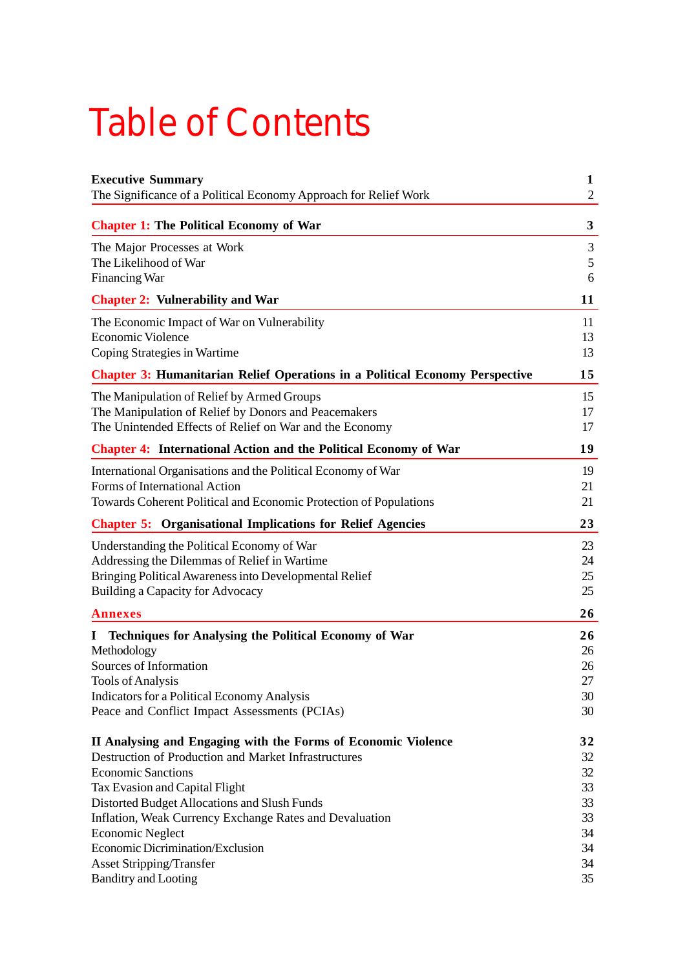## Table of Contents

| <b>Executive Summary</b><br>The Significance of a Political Economy Approach for Relief Work        | $\mathbf{1}$<br>$\mathfrak{2}$ |
|-----------------------------------------------------------------------------------------------------|--------------------------------|
|                                                                                                     |                                |
| <b>Chapter 1: The Political Economy of War</b>                                                      | 3                              |
| The Major Processes at Work                                                                         | 3                              |
| The Likelihood of War                                                                               | 5<br>6                         |
| <b>Financing War</b>                                                                                | 11                             |
| <b>Chapter 2: Vulnerability and War</b>                                                             |                                |
| The Economic Impact of War on Vulnerability                                                         | 11                             |
| <b>Economic Violence</b>                                                                            | 13<br>13                       |
| Coping Strategies in Wartime                                                                        |                                |
| <b>Chapter 3: Humanitarian Relief Operations in a Political Economy Perspective</b>                 | 15                             |
| The Manipulation of Relief by Armed Groups                                                          | 15                             |
| The Manipulation of Relief by Donors and Peacemakers                                                | 17                             |
| The Unintended Effects of Relief on War and the Economy                                             | 17                             |
| <b>Chapter 4: International Action and the Political Economy of War</b>                             | 19                             |
| International Organisations and the Political Economy of War                                        | 19                             |
| Forms of International Action                                                                       | 21                             |
| Towards Coherent Political and Economic Protection of Populations                                   | 21                             |
| <b>Chapter 5: Organisational Implications for Relief Agencies</b>                                   | 23                             |
| Understanding the Political Economy of War                                                          | 23                             |
| Addressing the Dilemmas of Relief in Wartime                                                        | 24                             |
| Bringing Political Awareness into Developmental Relief                                              | 25                             |
| Building a Capacity for Advocacy                                                                    | 25                             |
| <b>Annexes</b>                                                                                      | 26                             |
| <b>Techniques for Analysing the Political Economy of War</b><br>Ι.                                  | 26                             |
| Methodology                                                                                         | 26                             |
| Sources of Information                                                                              | 26                             |
| <b>Tools of Analysis</b>                                                                            | 27                             |
| <b>Indicators for a Political Economy Analysis</b><br>Peace and Conflict Impact Assessments (PCIAs) | 30<br>30                       |
|                                                                                                     |                                |
| II Analysing and Engaging with the Forms of Economic Violence                                       | 32                             |
| Destruction of Production and Market Infrastructures                                                | 32                             |
| <b>Economic Sanctions</b>                                                                           | 32                             |
| Tax Evasion and Capital Flight                                                                      | 33                             |
| Distorted Budget Allocations and Slush Funds                                                        | 33                             |
| Inflation, Weak Currency Exchange Rates and Devaluation<br><b>Economic Neglect</b>                  | 33<br>34                       |
| Economic Dicrimination/Exclusion                                                                    | 34                             |
| <b>Asset Stripping/Transfer</b>                                                                     | 34                             |
| <b>Banditry and Looting</b>                                                                         | 35                             |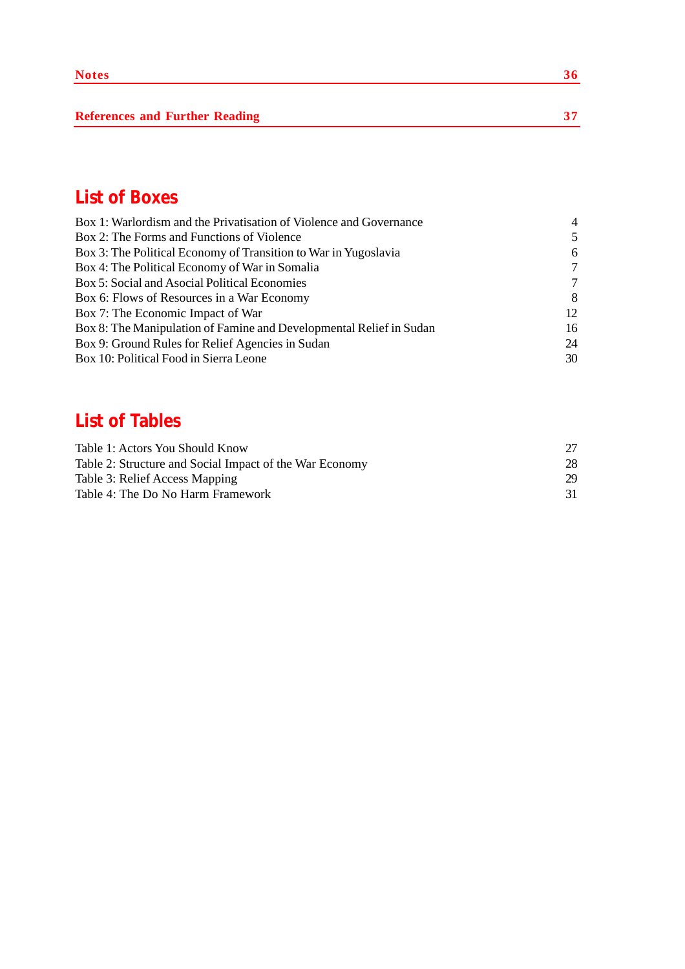**References and Further Reading 37** 

### **List of Boxes**

| Box 1: Warlordism and the Privatisation of Violence and Governance  | $\overline{4}$ |
|---------------------------------------------------------------------|----------------|
| Box 2: The Forms and Functions of Violence                          | 5              |
| Box 3: The Political Economy of Transition to War in Yugoslavia     | 6              |
| Box 4: The Political Economy of War in Somalia                      | $\tau$         |
| Box 5: Social and Asocial Political Economies                       | 7              |
| Box 6: Flows of Resources in a War Economy                          | 8              |
| Box 7: The Economic Impact of War                                   | 12             |
| Box 8: The Manipulation of Famine and Developmental Relief in Sudan | 16             |
| Box 9: Ground Rules for Relief Agencies in Sudan                    | 24             |
| Box 10: Political Food in Sierra Leone                              | 30             |

### **List of Tables**

| Table 1: Actors You Should Know                         |    |
|---------------------------------------------------------|----|
| Table 2: Structure and Social Impact of the War Economy | 28 |
| Table 3: Relief Access Mapping                          | 29 |
| Table 4: The Do No Harm Framework                       | 31 |
|                                                         |    |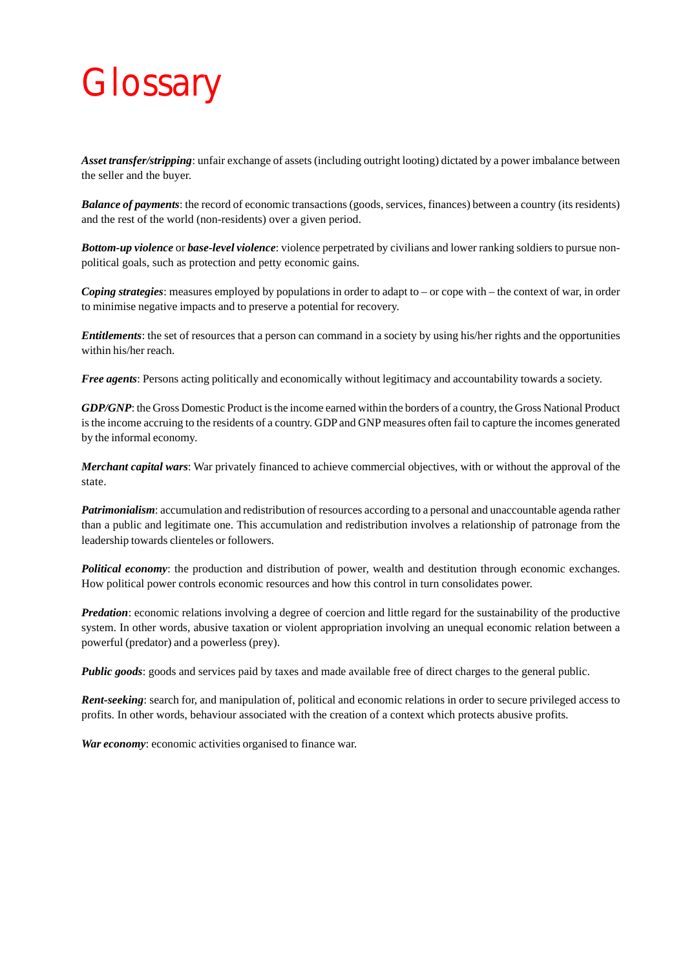## **Glossary**

*Asset transfer/stripping*: unfair exchange of assets (including outright looting) dictated by a power imbalance between the seller and the buyer.

*Balance of payments*: the record of economic transactions (goods, services, finances) between a country (its residents) and the rest of the world (non-residents) over a given period.

*Bottom-up violence* or *base-level violence*: violence perpetrated by civilians and lower ranking soldiers to pursue nonpolitical goals, such as protection and petty economic gains.

*Coping strategies*: measures employed by populations in order to adapt to – or cope with – the context of war, in order to minimise negative impacts and to preserve a potential for recovery.

*Entitlements*: the set of resources that a person can command in a society by using his/her rights and the opportunities within his/her reach.

*Free agents*: Persons acting politically and economically without legitimacy and accountability towards a society.

*GDP/GNP*: the Gross Domestic Product is the income earned within the borders of a country, the Gross National Product is the income accruing to the residents of a country. GDP and GNP measures often fail to capture the incomes generated by the informal economy.

*Merchant capital wars*: War privately financed to achieve commercial objectives, with or without the approval of the state.

*Patrimonialism*: accumulation and redistribution of resources according to a personal and unaccountable agenda rather than a public and legitimate one. This accumulation and redistribution involves a relationship of patronage from the leadership towards clienteles or followers.

*Political economy*: the production and distribution of power, wealth and destitution through economic exchanges. How political power controls economic resources and how this control in turn consolidates power.

*Predation*: economic relations involving a degree of coercion and little regard for the sustainability of the productive system. In other words, abusive taxation or violent appropriation involving an unequal economic relation between a powerful (predator) and a powerless (prey).

*Public goods*: goods and services paid by taxes and made available free of direct charges to the general public.

*Rent-seeking*: search for, and manipulation of, political and economic relations in order to secure privileged access to profits. In other words, behaviour associated with the creation of a context which protects abusive profits.

*War economy*: economic activities organised to finance war.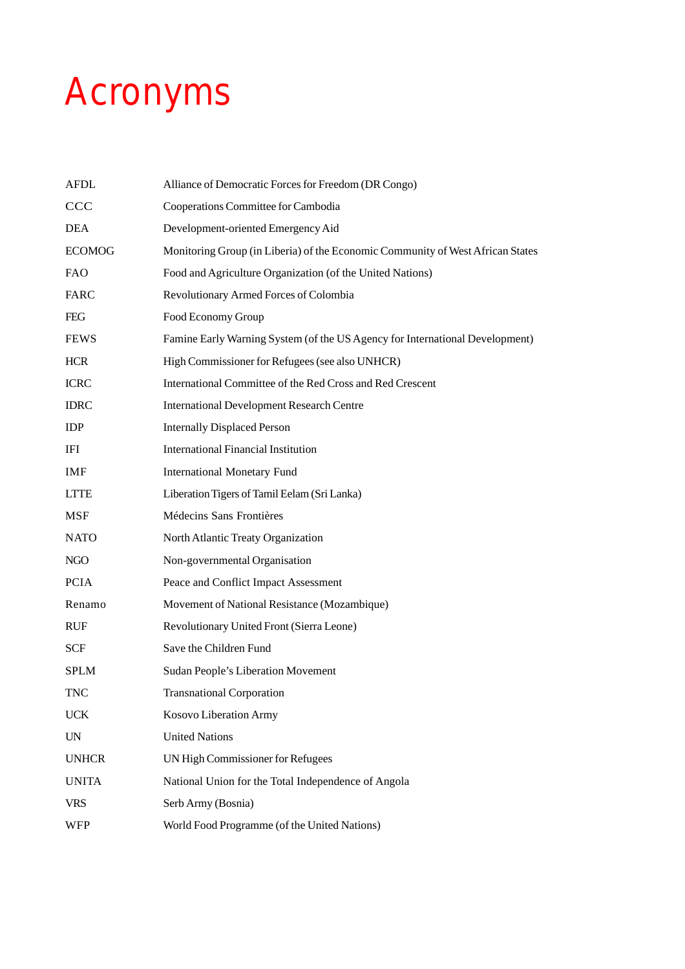## Acronyms

| <b>AFDL</b>              | Alliance of Democratic Forces for Freedom (DR Congo)                           |
|--------------------------|--------------------------------------------------------------------------------|
| <b>CCC</b>               | Cooperations Committee for Cambodia                                            |
| DEA                      | Development-oriented Emergency Aid                                             |
| <b>ECOMOG</b>            | Monitoring Group (in Liberia) of the Economic Community of West African States |
| <b>FAO</b>               | Food and Agriculture Organization (of the United Nations)                      |
| FARC                     | Revolutionary Armed Forces of Colombia                                         |
| <b>FEG</b>               | Food Economy Group                                                             |
| <b>FEWS</b>              | Famine Early Warning System (of the US Agency for International Development)   |
| <b>HCR</b>               | High Commissioner for Refugees (see also UNHCR)                                |
| <b>ICRC</b>              | International Committee of the Red Cross and Red Crescent                      |
| <b>IDRC</b>              | <b>International Development Research Centre</b>                               |
| <b>IDP</b>               | <b>Internally Displaced Person</b>                                             |
| IFI                      | <b>International Financial Institution</b>                                     |
| IMF                      | <b>International Monetary Fund</b>                                             |
| <b>LTTE</b>              | Liberation Tigers of Tamil Eelam (Sri Lanka)                                   |
| MSF                      | Médecins Sans Frontières                                                       |
| <b>NATO</b>              | North Atlantic Treaty Organization                                             |
| NGO                      | Non-governmental Organisation                                                  |
| <b>PCIA</b>              | Peace and Conflict Impact Assessment                                           |
| Renamo                   | Movement of National Resistance (Mozambique)                                   |
| <b>RUF</b>               | Revolutionary United Front (Sierra Leone)                                      |
| <b>SCF</b>               | Save the Children Fund                                                         |
| <b>SPLM</b>              | Sudan People's Liberation Movement                                             |
| TNC                      | <b>Transnational Corporation</b>                                               |
| <b>UCK</b>               | Kosovo Liberation Army                                                         |
| $\ensuremath{\text{UN}}$ | <b>United Nations</b>                                                          |
| <b>UNHCR</b>             | UN High Commissioner for Refugees                                              |
| <b>UNITA</b>             | National Union for the Total Independence of Angola                            |
| <b>VRS</b>               | Serb Army (Bosnia)                                                             |
| <b>WFP</b>               | World Food Programme (of the United Nations)                                   |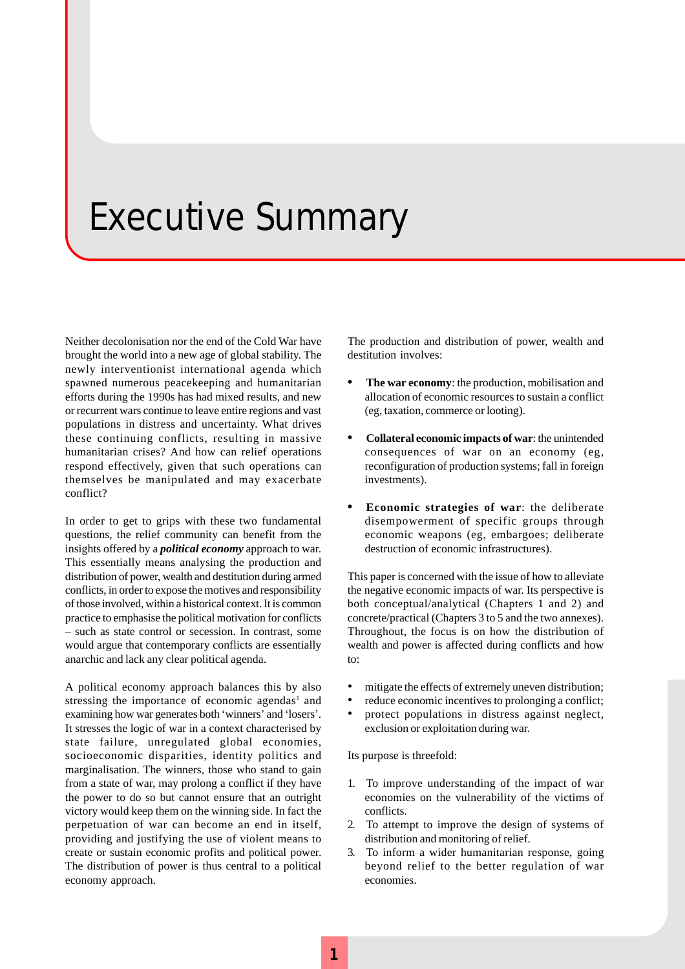## Executive Summary

Neither decolonisation nor the end of the Cold War have brought the world into a new age of global stability. The newly interventionist international agenda which spawned numerous peacekeeping and humanitarian efforts during the 1990s has had mixed results, and new or recurrent wars continue to leave entire regions and vast populations in distress and uncertainty. What drives these continuing conflicts, resulting in massive humanitarian crises? And how can relief operations respond effectively, given that such operations can themselves be manipulated and may exacerbate conflict?

In order to get to grips with these two fundamental questions, the relief community can benefit from the insights offered by a *political economy* approach to war. This essentially means analysing the production and distribution of power, wealth and destitution during armed conflicts, in order to expose the motives and responsibility of those involved, within a historical context. It is common practice to emphasise the political motivation for conflicts – such as state control or secession. In contrast, some would argue that contemporary conflicts are essentially anarchic and lack any clear political agenda.

A political economy approach balances this by also stressing the importance of economic agendas<sup>1</sup> and examining how war generates both 'winners' and 'losers'. It stresses the logic of war in a context characterised by state failure, unregulated global economies, socioeconomic disparities, identity politics and marginalisation. The winners, those who stand to gain from a state of war, may prolong a conflict if they have the power to do so but cannot ensure that an outright victory would keep them on the winning side. In fact the perpetuation of war can become an end in itself, providing and justifying the use of violent means to create or sustain economic profits and political power. The distribution of power is thus central to a political economy approach.

The production and distribution of power, wealth and destitution involves:

- **• The war economy**: the production, mobilisation and allocation of economic resources to sustain a conflict (eg, taxation, commerce or looting).
- **• Collateral economic impacts of war**: the unintended consequences of war on an economy (eg, reconfiguration of production systems; fall in foreign investments).
- **• Economic strategies of war**: the deliberate disempowerment of specific groups through economic weapons (eg, embargoes; deliberate destruction of economic infrastructures).

This paper is concerned with the issue of how to alleviate the negative economic impacts of war. Its perspective is both conceptual/analytical (Chapters 1 and 2) and concrete/practical (Chapters 3 to 5 and the two annexes). Throughout, the focus is on how the distribution of wealth and power is affected during conflicts and how to:

- mitigate the effects of extremely uneven distribution;
- reduce economic incentives to prolonging a conflict:
- protect populations in distress against neglect, exclusion or exploitation during war.

Its purpose is threefold:

- 1. To improve understanding of the impact of war economies on the vulnerability of the victims of conflicts.
- 2. To attempt to improve the design of systems of distribution and monitoring of relief.
- 3. To inform a wider humanitarian response, going beyond relief to the better regulation of war economies.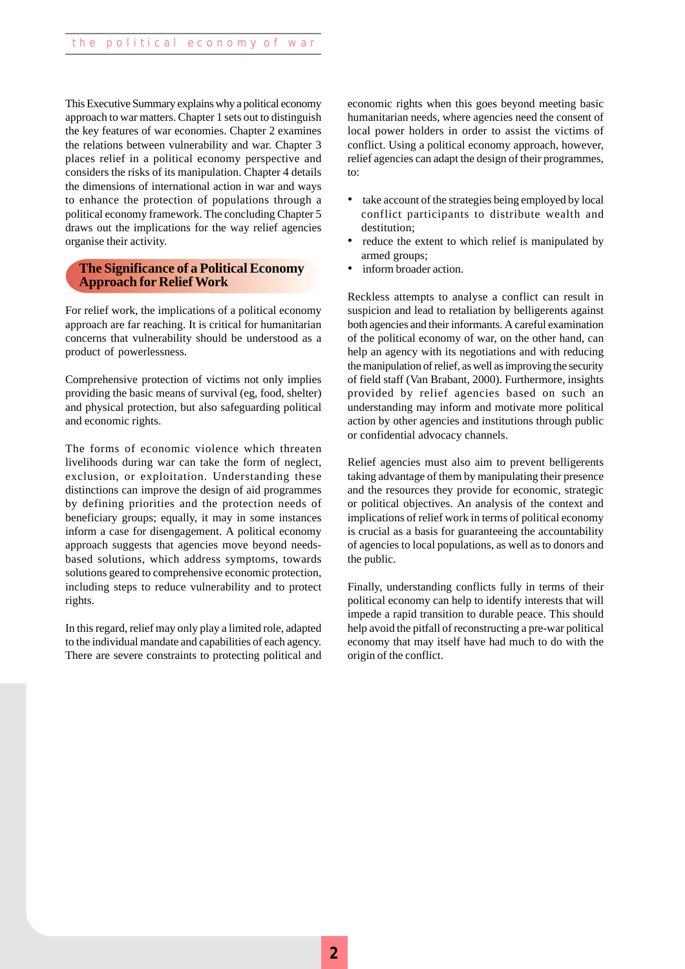This Executive Summary explains why a political economy approach to war matters. Chapter 1 sets out to distinguish the key features of war economies. Chapter 2 examines the relations between vulnerability and war. Chapter 3 places relief in a political economy perspective and considers the risks of its manipulation. Chapter 4 details the dimensions of international action in war and ways to enhance the protection of populations through a political economy framework. The concluding Chapter 5 draws out the implications for the way relief agencies organise their activity.

#### **The Significance of a Political Economy Approach for Relief Work**

For relief work, the implications of a political economy approach are far reaching. It is critical for humanitarian concerns that vulnerability should be understood as a product of powerlessness.

Comprehensive protection of victims not only implies providing the basic means of survival (eg, food, shelter) and physical protection, but also safeguarding political and economic rights.

The forms of economic violence which threaten livelihoods during war can take the form of neglect, exclusion, or exploitation. Understanding these distinctions can improve the design of aid programmes by defining priorities and the protection needs of beneficiary groups; equally, it may in some instances inform a case for disengagement. A political economy approach suggests that agencies move beyond needsbased solutions, which address symptoms, towards solutions geared to comprehensive economic protection, including steps to reduce vulnerability and to protect rights.

In this regard, relief may only play a limited role, adapted to the individual mandate and capabilities of each agency. There are severe constraints to protecting political and economic rights when this goes beyond meeting basic humanitarian needs, where agencies need the consent of local power holders in order to assist the victims of conflict. Using a political economy approach, however, relief agencies can adapt the design of their programmes, to:

- take account of the strategies being employed by local conflict participants to distribute wealth and destitution;
- reduce the extent to which relief is manipulated by armed groups;
- inform broader action.

Reckless attempts to analyse a conflict can result in suspicion and lead to retaliation by belligerents against both agencies and their informants. A careful examination of the political economy of war, on the other hand, can help an agency with its negotiations and with reducing the manipulation of relief, as well as improving the security of field staff (Van Brabant, 2000). Furthermore, insights provided by relief agencies based on such an understanding may inform and motivate more political action by other agencies and institutions through public or confidential advocacy channels.

Relief agencies must also aim to prevent belligerents taking advantage of them by manipulating their presence and the resources they provide for economic, strategic or political objectives. An analysis of the context and implications of relief work in terms of political economy is crucial as a basis for guaranteeing the accountability of agencies to local populations, as well as to donors and the public.

Finally, understanding conflicts fully in terms of their political economy can help to identify interests that will impede a rapid transition to durable peace. This should help avoid the pitfall of reconstructing a pre-war political economy that may itself have had much to do with the origin of the conflict.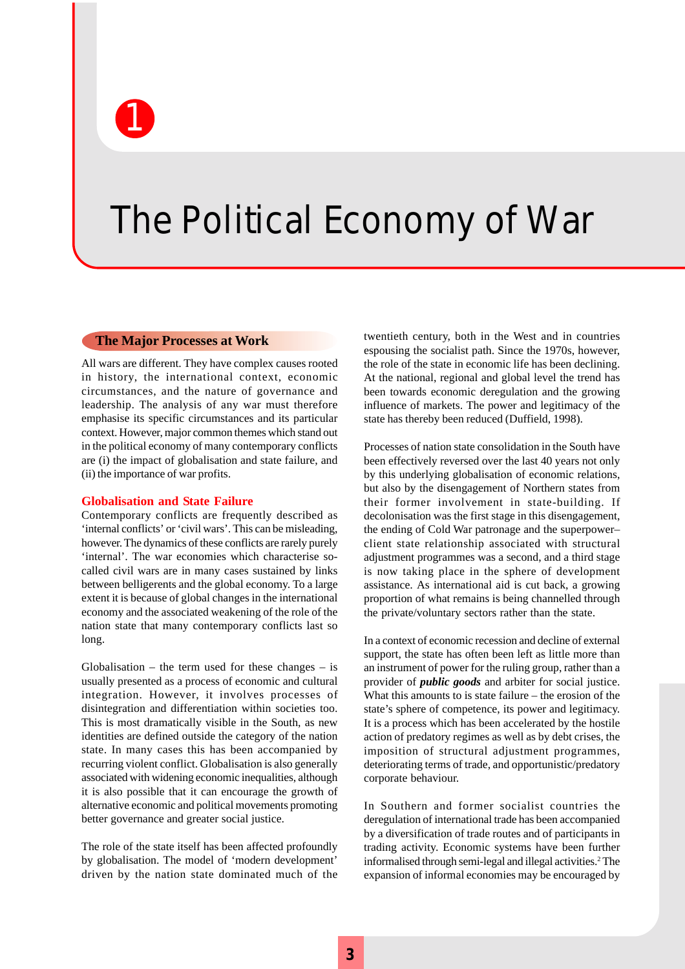The Political Economy of War

#### **The Major Processes at Work**

1

All wars are different. They have complex causes rooted in history, the international context, economic circumstances, and the nature of governance and leadership. The analysis of any war must therefore emphasise its specific circumstances and its particular context. However, major common themes which stand out in the political economy of many contemporary conflicts are (i) the impact of globalisation and state failure, and (ii) the importance of war profits.

#### **Globalisation and State Failure**

Contemporary conflicts are frequently described as 'internal conflicts' or 'civil wars'. This can be misleading, however. The dynamics of these conflicts are rarely purely 'internal'. The war economies which characterise socalled civil wars are in many cases sustained by links between belligerents and the global economy. To a large extent it is because of global changes in the international economy and the associated weakening of the role of the nation state that many contemporary conflicts last so long.

Globalisation – the term used for these changes – is usually presented as a process of economic and cultural integration. However, it involves processes of disintegration and differentiation within societies too. This is most dramatically visible in the South, as new identities are defined outside the category of the nation state. In many cases this has been accompanied by recurring violent conflict. Globalisation is also generally associated with widening economic inequalities, although it is also possible that it can encourage the growth of alternative economic and political movements promoting better governance and greater social justice.

The role of the state itself has been affected profoundly by globalisation. The model of 'modern development' driven by the nation state dominated much of the twentieth century, both in the West and in countries espousing the socialist path. Since the 1970s, however, the role of the state in economic life has been declining. At the national, regional and global level the trend has been towards economic deregulation and the growing influence of markets. The power and legitimacy of the state has thereby been reduced (Duffield, 1998).

Processes of nation state consolidation in the South have been effectively reversed over the last 40 years not only by this underlying globalisation of economic relations, but also by the disengagement of Northern states from their former involvement in state-building. If decolonisation was the first stage in this disengagement, the ending of Cold War patronage and the superpower– client state relationship associated with structural adjustment programmes was a second, and a third stage is now taking place in the sphere of development assistance. As international aid is cut back, a growing proportion of what remains is being channelled through the private/voluntary sectors rather than the state.

In a context of economic recession and decline of external support, the state has often been left as little more than an instrument of power for the ruling group, rather than a provider of *public goods* and arbiter for social justice. What this amounts to is state failure – the erosion of the state's sphere of competence, its power and legitimacy. It is a process which has been accelerated by the hostile action of predatory regimes as well as by debt crises, the imposition of structural adjustment programmes, deteriorating terms of trade, and opportunistic/predatory corporate behaviour.

In Southern and former socialist countries the deregulation of international trade has been accompanied by a diversification of trade routes and of participants in trading activity. Economic systems have been further informalised through semi-legal and illegal activities.2 The expansion of informal economies may be encouraged by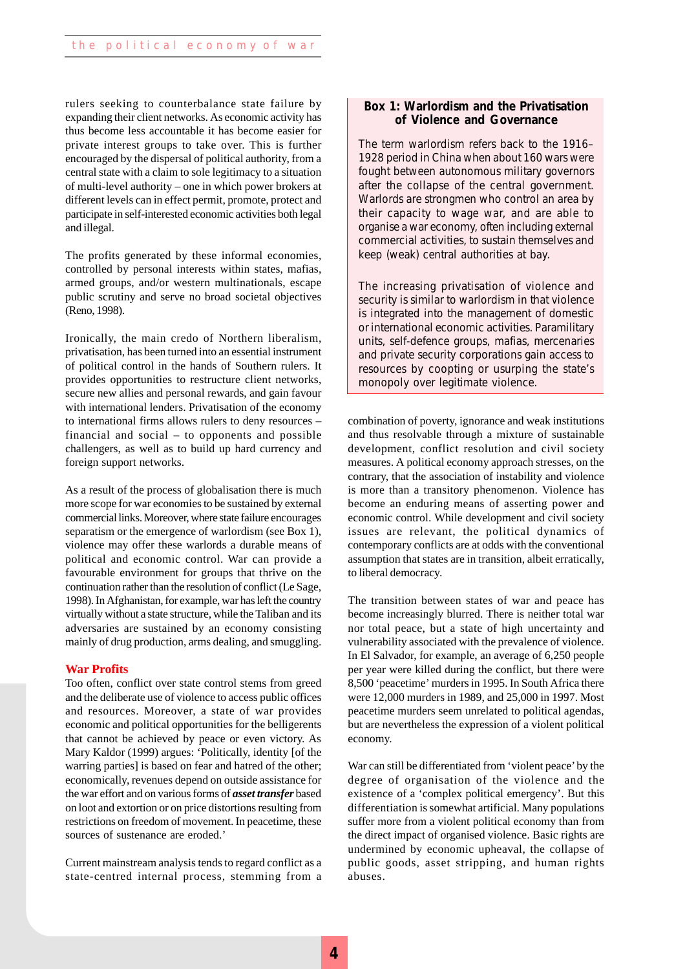rulers seeking to counterbalance state failure by expanding their client networks. As economic activity has thus become less accountable it has become easier for private interest groups to take over. This is further encouraged by the dispersal of political authority, from a central state with a claim to sole legitimacy to a situation of multi-level authority – one in which power brokers at different levels can in effect permit, promote, protect and participate in self-interested economic activities both legal and illegal.

The profits generated by these informal economies, controlled by personal interests within states, mafias, armed groups, and/or western multinationals, escape public scrutiny and serve no broad societal objectives (Reno, 1998).

Ironically, the main credo of Northern liberalism, privatisation, has been turned into an essential instrument of political control in the hands of Southern rulers. It provides opportunities to restructure client networks, secure new allies and personal rewards, and gain favour with international lenders. Privatisation of the economy to international firms allows rulers to deny resources – financial and social – to opponents and possible challengers, as well as to build up hard currency and foreign support networks.

As a result of the process of globalisation there is much more scope for war economies to be sustained by external commercial links. Moreover, where state failure encourages separatism or the emergence of warlordism (see Box 1), violence may offer these warlords a durable means of political and economic control. War can provide a favourable environment for groups that thrive on the continuation rather than the resolution of conflict (Le Sage, 1998). In Afghanistan, for example, war has left the country virtually without a state structure, while the Taliban and its adversaries are sustained by an economy consisting mainly of drug production, arms dealing, and smuggling.

#### **War Profits**

Too often, conflict over state control stems from greed and the deliberate use of violence to access public offices and resources. Moreover, a state of war provides economic and political opportunities for the belligerents that cannot be achieved by peace or even victory. As Mary Kaldor (1999) argues: 'Politically, identity [of the warring parties] is based on fear and hatred of the other; economically, revenues depend on outside assistance for the war effort and on various forms of *asset transfer* based on loot and extortion or on price distortions resulting from restrictions on freedom of movement. In peacetime, these sources of sustenance are eroded.'

Current mainstream analysis tends to regard conflict as a state-centred internal process, stemming from a

#### **Box 1: Warlordism and the Privatisation of Violence and Governance**

The term warlordism refers back to the 1916– 1928 period in China when about 160 wars were fought between autonomous military governors after the collapse of the central government. Warlords are strongmen who control an area by their capacity to wage war, and are able to organise a war economy, often including external commercial activities, to sustain themselves and keep (weak) central authorities at bay.

The increasing privatisation of violence and security is similar to warlordism in that violence is integrated into the management of domestic or international economic activities. Paramilitary units, self-defence groups, mafias, mercenaries and private security corporations gain access to resources by coopting or usurping the state's monopoly over legitimate violence.

combination of poverty, ignorance and weak institutions and thus resolvable through a mixture of sustainable development, conflict resolution and civil society measures. A political economy approach stresses, on the contrary, that the association of instability and violence is more than a transitory phenomenon. Violence has become an enduring means of asserting power and economic control. While development and civil society issues are relevant, the political dynamics of contemporary conflicts are at odds with the conventional assumption that states are in transition, albeit erratically, to liberal democracy.

The transition between states of war and peace has become increasingly blurred. There is neither total war nor total peace, but a state of high uncertainty and vulnerability associated with the prevalence of violence. In El Salvador, for example, an average of 6,250 people per year were killed during the conflict, but there were 8,500 'peacetime' murders in 1995. In South Africa there were 12,000 murders in 1989, and 25,000 in 1997. Most peacetime murders seem unrelated to political agendas, but are nevertheless the expression of a violent political economy.

War can still be differentiated from 'violent peace' by the degree of organisation of the violence and the existence of a 'complex political emergency'. But this differentiation is somewhat artificial. Many populations suffer more from a violent political economy than from the direct impact of organised violence. Basic rights are undermined by economic upheaval, the collapse of public goods, asset stripping, and human rights abuses.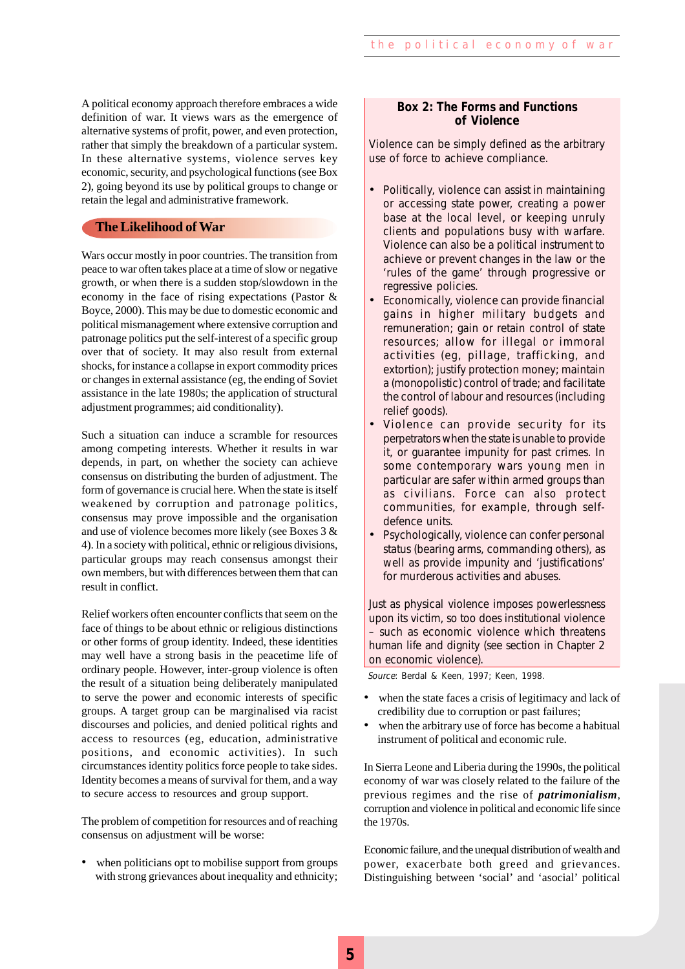A political economy approach therefore embraces a wide definition of war. It views wars as the emergence of alternative systems of profit, power, and even protection, rather that simply the breakdown of a particular system. In these alternative systems, violence serves key economic, security, and psychological functions (see Box 2), going beyond its use by political groups to change or retain the legal and administrative framework.

#### **The Likelihood of War**

Wars occur mostly in poor countries. The transition from peace to war often takes place at a time of slow or negative growth, or when there is a sudden stop/slowdown in the economy in the face of rising expectations (Pastor & Boyce, 2000). This may be due to domestic economic and political mismanagement where extensive corruption and patronage politics put the self-interest of a specific group over that of society. It may also result from external shocks, for instance a collapse in export commodity prices or changes in external assistance (eg, the ending of Soviet assistance in the late 1980s; the application of structural adjustment programmes; aid conditionality).

Such a situation can induce a scramble for resources among competing interests. Whether it results in war depends, in part, on whether the society can achieve consensus on distributing the burden of adjustment. The form of governance is crucial here. When the state is itself weakened by corruption and patronage politics, consensus may prove impossible and the organisation and use of violence becomes more likely (see Boxes 3 & 4). In a society with political, ethnic or religious divisions, particular groups may reach consensus amongst their own members, but with differences between them that can result in conflict.

Relief workers often encounter conflicts that seem on the face of things to be about ethnic or religious distinctions or other forms of group identity. Indeed, these identities may well have a strong basis in the peacetime life of ordinary people. However, inter-group violence is often the result of a situation being deliberately manipulated to serve the power and economic interests of specific groups. A target group can be marginalised via racist discourses and policies, and denied political rights and access to resources (eg, education, administrative positions, and economic activities). In such circumstances identity politics force people to take sides. Identity becomes a means of survival for them, and a way to secure access to resources and group support.

The problem of competition for resources and of reaching consensus on adjustment will be worse:

when politicians opt to mobilise support from groups with strong grievances about inequality and ethnicity;

#### **Box 2: The Forms and Functions of Violence**

Violence can be simply defined as the arbitrary use of force to achieve compliance.

- Politically, violence can assist in maintaining or accessing state power, creating a power base at the local level, or keeping unruly clients and populations busy with warfare. Violence can also be a political instrument to achieve or prevent changes in the law or the 'rules of the game' through progressive or regressive policies.
- Economically, violence can provide financial gains in higher military budgets and remuneration; gain or retain control of state resources; allow for illegal or immoral activities (eg, pillage, trafficking, and extortion); justify protection money; maintain a (monopolistic) control of trade; and facilitate the control of labour and resources (including relief goods).
- Violence can provide security for its perpetrators when the state is unable to provide it, or guarantee impunity for past crimes. In some contemporary wars young men in particular are safer within armed groups than as civilians. Force can also protect communities, for example, through selfdefence units.
- Psychologically, violence can confer personal status (bearing arms, commanding others), as well as provide impunity and 'justifications' for murderous activities and abuses.

Just as physical violence imposes powerlessness upon its victim, so too does institutional violence – such as economic violence which threatens human life and dignity (see section in Chapter 2 on economic violence).

Source: Berdal & Keen, 1997; Keen, 1998.

- when the state faces a crisis of legitimacy and lack of credibility due to corruption or past failures;
- when the arbitrary use of force has become a habitual instrument of political and economic rule.

In Sierra Leone and Liberia during the 1990s, the political economy of war was closely related to the failure of the previous regimes and the rise of *patrimonialism*, corruption and violence in political and economic life since the 1970s.

Economic failure, and the unequal distribution of wealth and power, exacerbate both greed and grievances. Distinguishing between 'social' and 'asocial' political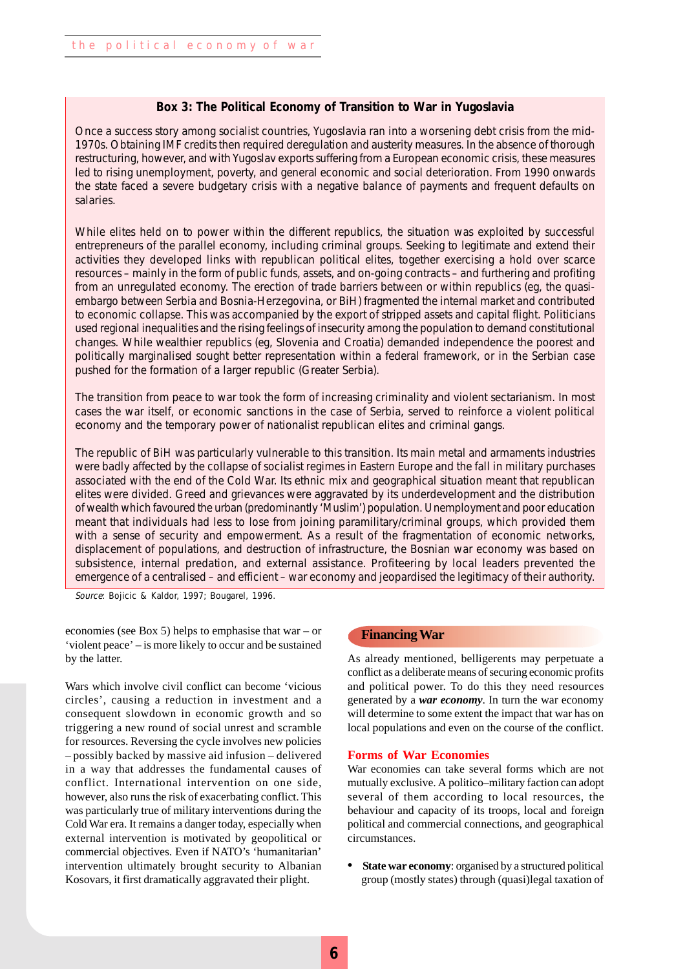#### **Box 3: The Political Economy of Transition to War in Yugoslavia**

Once a success story among socialist countries, Yugoslavia ran into a worsening debt crisis from the mid-1970s. Obtaining IMF credits then required deregulation and austerity measures. In the absence of thorough restructuring, however, and with Yugoslav exports suffering from a European economic crisis, these measures led to rising unemployment, poverty, and general economic and social deterioration. From 1990 onwards the state faced a severe budgetary crisis with a negative balance of payments and frequent defaults on salaries.

While elites held on to power within the different republics, the situation was exploited by successful entrepreneurs of the parallel economy, including criminal groups. Seeking to legitimate and extend their activities they developed links with republican political elites, together exercising a hold over scarce resources – mainly in the form of public funds, assets, and on-going contracts – and furthering and profiting from an unregulated economy. The erection of trade barriers between or within republics (eg, the quasiembargo between Serbia and Bosnia-Herzegovina, or BiH) fragmented the internal market and contributed to economic collapse. This was accompanied by the export of stripped assets and capital flight. Politicians used regional inequalities and the rising feelings of insecurity among the population to demand constitutional changes. While wealthier republics (eg, Slovenia and Croatia) demanded independence the poorest and politically marginalised sought better representation within a federal framework, or in the Serbian case pushed for the formation of a larger republic (Greater Serbia).

The transition from peace to war took the form of increasing criminality and violent sectarianism. In most cases the war itself, or economic sanctions in the case of Serbia, served to reinforce a violent political economy and the temporary power of nationalist republican elites and criminal gangs.

The republic of BiH was particularly vulnerable to this transition. Its main metal and armaments industries were badly affected by the collapse of socialist regimes in Eastern Europe and the fall in military purchases associated with the end of the Cold War. Its ethnic mix and geographical situation meant that republican elites were divided. Greed and grievances were aggravated by its underdevelopment and the distribution of wealth which favoured the urban (predominantly 'Muslim') population. Unemployment and poor education meant that individuals had less to lose from joining paramilitary/criminal groups, which provided them with a sense of security and empowerment. As a result of the fragmentation of economic networks, displacement of populations, and destruction of infrastructure, the Bosnian war economy was based on subsistence, internal predation, and external assistance. Profiteering by local leaders prevented the emergence of a centralised – and efficient – war economy and jeopardised the legitimacy of their authority.

Source: Bojicic & Kaldor, 1997; Bougarel, 1996.

economies (see Box 5) helps to emphasise that war – or 'violent peace' – is more likely to occur and be sustained by the latter.

Wars which involve civil conflict can become 'vicious circles', causing a reduction in investment and a consequent slowdown in economic growth and so triggering a new round of social unrest and scramble for resources. Reversing the cycle involves new policies – possibly backed by massive aid infusion – delivered in a way that addresses the fundamental causes of conflict. International intervention on one side, however, also runs the risk of exacerbating conflict. This was particularly true of military interventions during the Cold War era. It remains a danger today, especially when external intervention is motivated by geopolitical or commercial objectives. Even if NATO's 'humanitarian' intervention ultimately brought security to Albanian Kosovars, it first dramatically aggravated their plight.

#### **Financing War**

As already mentioned, belligerents may perpetuate a conflict as a deliberate means of securing economic profits and political power. To do this they need resources generated by a *war economy*. In turn the war economy will determine to some extent the impact that war has on local populations and even on the course of the conflict.

#### **Forms of War Economies**

War economies can take several forms which are not mutually exclusive. A politico–military faction can adopt several of them according to local resources, the behaviour and capacity of its troops, local and foreign political and commercial connections, and geographical circumstances.

**• State war economy**: organised by a structured political group (mostly states) through (quasi)legal taxation of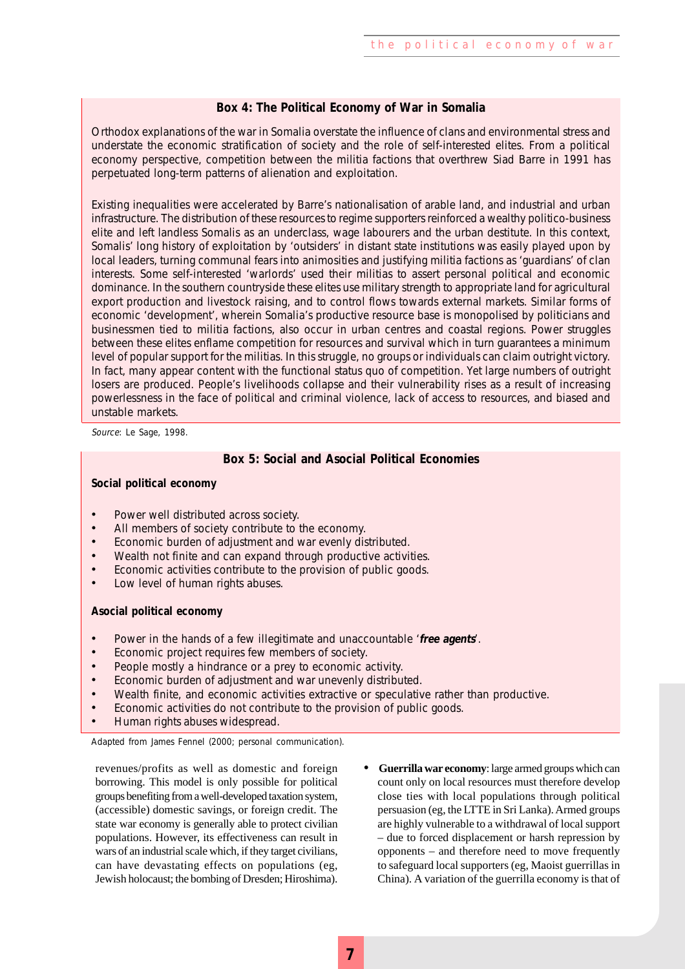#### **Box 4: The Political Economy of War in Somalia**

Orthodox explanations of the war in Somalia overstate the influence of clans and environmental stress and understate the economic stratification of society and the role of self-interested elites. From a political economy perspective, competition between the militia factions that overthrew Siad Barre in 1991 has perpetuated long-term patterns of alienation and exploitation.

Existing inequalities were accelerated by Barre's nationalisation of arable land, and industrial and urban infrastructure. The distribution of these resources to regime supporters reinforced a wealthy politico-business elite and left landless Somalis as an underclass, wage labourers and the urban destitute. In this context, Somalis' long history of exploitation by 'outsiders' in distant state institutions was easily played upon by local leaders, turning communal fears into animosities and justifying militia factions as 'guardians' of clan interests. Some self-interested 'warlords' used their militias to assert personal political and economic dominance. In the southern countryside these elites use military strength to appropriate land for agricultural export production and livestock raising, and to control flows towards external markets. Similar forms of economic 'development', wherein Somalia's productive resource base is monopolised by politicians and businessmen tied to militia factions, also occur in urban centres and coastal regions. Power struggles between these elites enflame competition for resources and survival which in turn guarantees a minimum level of popular support for the militias. In this struggle, no groups or individuals can claim outright victory. In fact, many appear content with the functional status quo of competition. Yet large numbers of outright losers are produced. People's livelihoods collapse and their vulnerability rises as a result of increasing powerlessness in the face of political and criminal violence, lack of access to resources, and biased and unstable markets.

Source: Le Sage, 1998.

#### **Box 5: Social and Asocial Political Economies**

#### **Social political economy**

- Power well distributed across society.
- All members of society contribute to the economy.
- Economic burden of adjustment and war evenly distributed.
- Wealth not finite and can expand through productive activities.
- Economic activities contribute to the provision of public goods.
- Low level of human rights abuses.

#### **Asocial political economy**

- Power in the hands of a few illegitimate and unaccountable '**free agents**'.
- Economic project requires few members of society.
- People mostly a hindrance or a prey to economic activity.
- Economic burden of adjustment and war unevenly distributed.
- Wealth finite, and economic activities extractive or speculative rather than productive.
- Economic activities do not contribute to the provision of public goods.
- Human rights abuses widespread.

Adapted from James Fennel (2000; personal communication).

revenues/profits as well as domestic and foreign borrowing. This model is only possible for political groups benefiting from a well-developed taxation system, (accessible) domestic savings, or foreign credit. The state war economy is generally able to protect civilian populations. However, its effectiveness can result in wars of an industrial scale which, if they target civilians, can have devastating effects on populations (eg, Jewish holocaust; the bombing of Dresden; Hiroshima).

**• Guerrilla war economy**: large armed groups which can count only on local resources must therefore develop close ties with local populations through political persuasion (eg, the LTTE in Sri Lanka). Armed groups are highly vulnerable to a withdrawal of local support – due to forced displacement or harsh repression by opponents – and therefore need to move frequently to safeguard local supporters (eg, Maoist guerrillas in China). A variation of the guerrilla economy is that of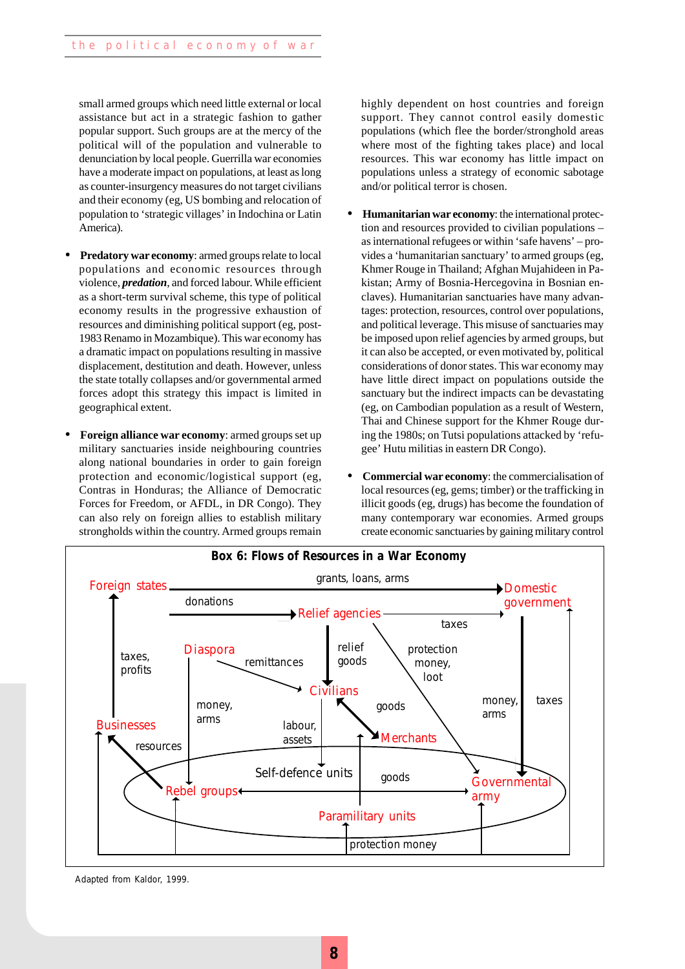small armed groups which need little external or local assistance but act in a strategic fashion to gather popular support. Such groups are at the mercy of the political will of the population and vulnerable to denunciation by local people. Guerrilla war economies have a moderate impact on populations, at least as long as counter-insurgency measures do not target civilians and their economy (eg, US bombing and relocation of population to 'strategic villages' in Indochina or Latin America).

- **• Predatory war economy**: armed groups relate to local populations and economic resources through violence, *predation*, and forced labour. While efficient as a short-term survival scheme, this type of political economy results in the progressive exhaustion of resources and diminishing political support (eg, post-1983 Renamo in Mozambique). This war economy has a dramatic impact on populations resulting in massive displacement, destitution and death. However, unless the state totally collapses and/or governmental armed forces adopt this strategy this impact is limited in geographical extent.
- **• Foreign alliance war economy**: armed groups set up military sanctuaries inside neighbouring countries along national boundaries in order to gain foreign protection and economic/logistical support (eg, Contras in Honduras; the Alliance of Democratic Forces for Freedom, or AFDL, in DR Congo). They can also rely on foreign allies to establish military strongholds within the country. Armed groups remain

highly dependent on host countries and foreign support. They cannot control easily domestic populations (which flee the border/stronghold areas where most of the fighting takes place) and local resources. This war economy has little impact on populations unless a strategy of economic sabotage and/or political terror is chosen.

- **• Humanitarian war economy**: the international protection and resources provided to civilian populations – as international refugees or within 'safe havens' – provides a 'humanitarian sanctuary' to armed groups (eg, Khmer Rouge in Thailand; Afghan Mujahideen in Pakistan; Army of Bosnia-Hercegovina in Bosnian enclaves). Humanitarian sanctuaries have many advantages: protection, resources, control over populations, and political leverage. This misuse of sanctuaries may be imposed upon relief agencies by armed groups, but it can also be accepted, or even motivated by, political considerations of donor states. This war economy may have little direct impact on populations outside the sanctuary but the indirect impacts can be devastating (eg, on Cambodian population as a result of Western, Thai and Chinese support for the Khmer Rouge during the 1980s; on Tutsi populations attacked by 'refugee' Hutu militias in eastern DR Congo).
- **• Commercial war economy**: the commercialisation of local resources (eg, gems; timber) or the trafficking in illicit goods (eg, drugs) has become the foundation of many contemporary war economies. Armed groups create economic sanctuaries by gaining military control



Adapted from Kaldor, 1999.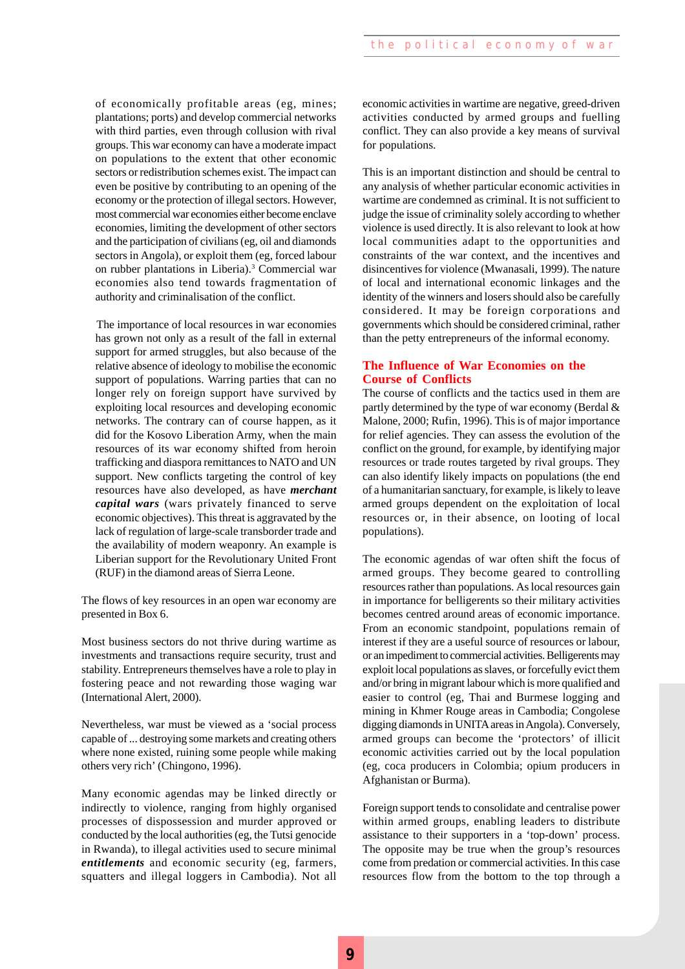of economically profitable areas (eg, mines; plantations; ports) and develop commercial networks with third parties, even through collusion with rival groups. This war economy can have a moderate impact on populations to the extent that other economic sectors or redistribution schemes exist. The impact can even be positive by contributing to an opening of the economy or the protection of illegal sectors. However, most commercial war economies either become enclave economies, limiting the development of other sectors and the participation of civilians (eg, oil and diamonds sectors in Angola), or exploit them (eg, forced labour on rubber plantations in Liberia).<sup>3</sup> Commercial war economies also tend towards fragmentation of authority and criminalisation of the conflict.

The importance of local resources in war economies has grown not only as a result of the fall in external support for armed struggles, but also because of the relative absence of ideology to mobilise the economic support of populations. Warring parties that can no longer rely on foreign support have survived by exploiting local resources and developing economic networks. The contrary can of course happen, as it did for the Kosovo Liberation Army, when the main resources of its war economy shifted from heroin trafficking and diaspora remittances to NATO and UN support. New conflicts targeting the control of key resources have also developed, as have *merchant capital wars* (wars privately financed to serve economic objectives). This threat is aggravated by the lack of regulation of large-scale transborder trade and the availability of modern weaponry. An example is Liberian support for the Revolutionary United Front (RUF) in the diamond areas of Sierra Leone.

The flows of key resources in an open war economy are presented in Box 6.

Most business sectors do not thrive during wartime as investments and transactions require security, trust and stability. Entrepreneurs themselves have a role to play in fostering peace and not rewarding those waging war (International Alert, 2000).

Nevertheless, war must be viewed as a 'social process capable of ... destroying some markets and creating others where none existed, ruining some people while making others very rich' (Chingono, 1996).

Many economic agendas may be linked directly or indirectly to violence, ranging from highly organised processes of dispossession and murder approved or conducted by the local authorities (eg, the Tutsi genocide in Rwanda), to illegal activities used to secure minimal *entitlements* and economic security (eg, farmers, squatters and illegal loggers in Cambodia). Not all economic activities in wartime are negative, greed-driven activities conducted by armed groups and fuelling conflict. They can also provide a key means of survival for populations.

This is an important distinction and should be central to any analysis of whether particular economic activities in wartime are condemned as criminal. It is not sufficient to judge the issue of criminality solely according to whether violence is used directly. It is also relevant to look at how local communities adapt to the opportunities and constraints of the war context, and the incentives and disincentives for violence (Mwanasali, 1999). The nature of local and international economic linkages and the identity of the winners and losers should also be carefully considered. It may be foreign corporations and governments which should be considered criminal, rather than the petty entrepreneurs of the informal economy.

#### **The Influence of War Economies on the Course of Conflicts**

The course of conflicts and the tactics used in them are partly determined by the type of war economy (Berdal & Malone, 2000; Rufin, 1996). This is of major importance for relief agencies. They can assess the evolution of the conflict on the ground, for example, by identifying major resources or trade routes targeted by rival groups. They can also identify likely impacts on populations (the end of a humanitarian sanctuary, for example, is likely to leave armed groups dependent on the exploitation of local resources or, in their absence, on looting of local populations).

The economic agendas of war often shift the focus of armed groups. They become geared to controlling resources rather than populations. As local resources gain in importance for belligerents so their military activities becomes centred around areas of economic importance. From an economic standpoint, populations remain of interest if they are a useful source of resources or labour, or an impediment to commercial activities. Belligerents may exploit local populations as slaves, or forcefully evict them and/or bring in migrant labour which is more qualified and easier to control (eg, Thai and Burmese logging and mining in Khmer Rouge areas in Cambodia; Congolese digging diamonds in UNITA areas in Angola). Conversely, armed groups can become the 'protectors' of illicit economic activities carried out by the local population (eg, coca producers in Colombia; opium producers in Afghanistan or Burma).

Foreign support tends to consolidate and centralise power within armed groups, enabling leaders to distribute assistance to their supporters in a 'top-down' process. The opposite may be true when the group's resources come from predation or commercial activities. In this case resources flow from the bottom to the top through a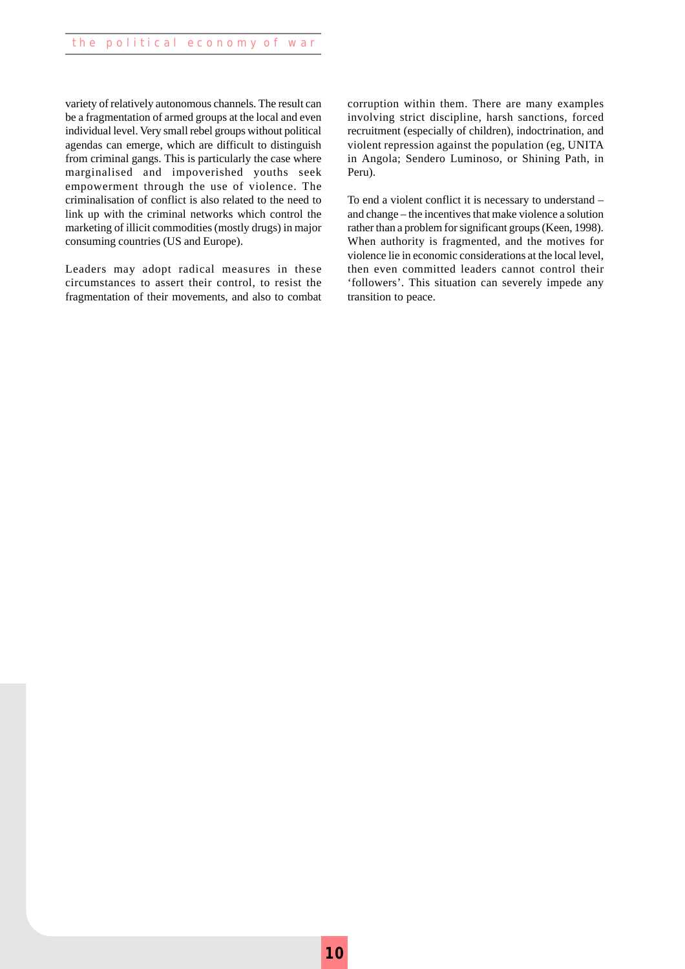variety of relatively autonomous channels. The result can be a fragmentation of armed groups at the local and even individual level. Very small rebel groups without political agendas can emerge, which are difficult to distinguish from criminal gangs. This is particularly the case where marginalised and impoverished youths seek empowerment through the use of violence. The criminalisation of conflict is also related to the need to link up with the criminal networks which control the marketing of illicit commodities (mostly drugs) in major consuming countries (US and Europe).

Leaders may adopt radical measures in these circumstances to assert their control, to resist the fragmentation of their movements, and also to combat corruption within them. There are many examples involving strict discipline, harsh sanctions, forced recruitment (especially of children), indoctrination, and violent repression against the population (eg, UNITA in Angola; Sendero Luminoso, or Shining Path, in Peru).

To end a violent conflict it is necessary to understand – and change – the incentives that make violence a solution rather than a problem for significant groups (Keen, 1998). When authority is fragmented, and the motives for violence lie in economic considerations at the local level, then even committed leaders cannot control their 'followers'. This situation can severely impede any transition to peace.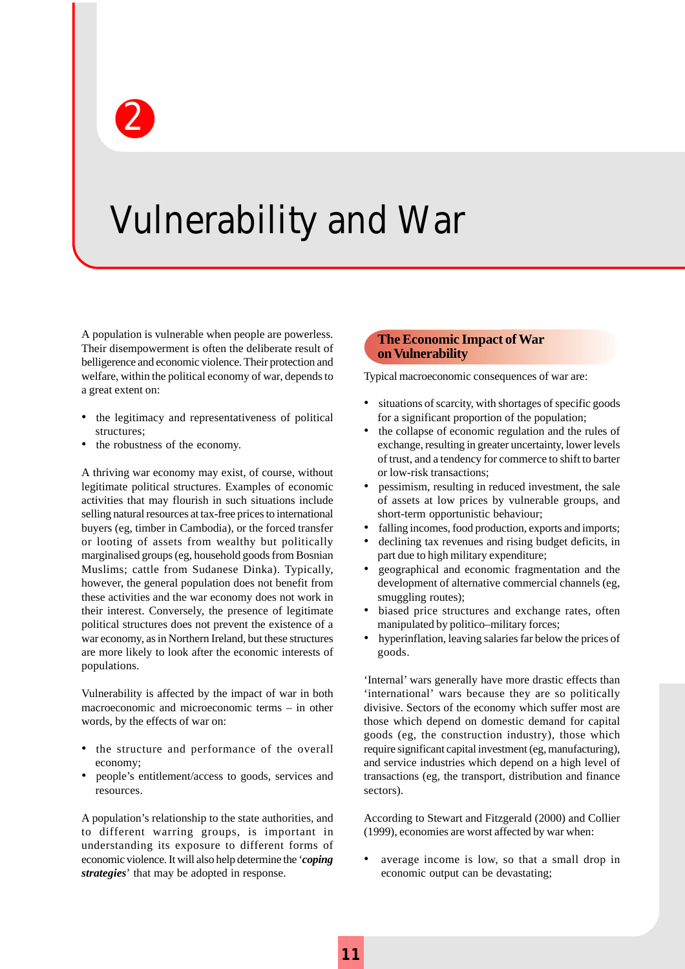

## Vulnerability and War

A population is vulnerable when people are powerless. Their disempowerment is often the deliberate result of belligerence and economic violence. Their protection and welfare, within the political economy of war, depends to a great extent on:

- the legitimacy and representativeness of political structures;
- the robustness of the economy.

A thriving war economy may exist, of course, without legitimate political structures. Examples of economic activities that may flourish in such situations include selling natural resources at tax-free prices to international buyers (eg, timber in Cambodia), or the forced transfer or looting of assets from wealthy but politically marginalised groups (eg, household goods from Bosnian Muslims; cattle from Sudanese Dinka). Typically, however, the general population does not benefit from these activities and the war economy does not work in their interest. Conversely, the presence of legitimate political structures does not prevent the existence of a war economy, as in Northern Ireland, but these structures are more likely to look after the economic interests of populations.

Vulnerability is affected by the impact of war in both macroeconomic and microeconomic terms – in other words, by the effects of war on:

- the structure and performance of the overall economy;
- people's entitlement/access to goods, services and resources.

A population's relationship to the state authorities, and to different warring groups, is important in understanding its exposure to different forms of economic violence. It will also help determine the '*coping strategies*' that may be adopted in response.

#### **The Economic Impact of War on Vulnerability**

Typical macroeconomic consequences of war are:

- situations of scarcity, with shortages of specific goods for a significant proportion of the population;
- the collapse of economic regulation and the rules of exchange, resulting in greater uncertainty, lower levels of trust, and a tendency for commerce to shift to barter or low-risk transactions;
- pessimism, resulting in reduced investment, the sale of assets at low prices by vulnerable groups, and short-term opportunistic behaviour;
- falling incomes, food production, exports and imports;
- declining tax revenues and rising budget deficits, in part due to high military expenditure;
- geographical and economic fragmentation and the development of alternative commercial channels (eg, smuggling routes);
- biased price structures and exchange rates, often manipulated by politico–military forces;
- hyperinflation, leaving salaries far below the prices of goods.

'Internal' wars generally have more drastic effects than 'international' wars because they are so politically divisive. Sectors of the economy which suffer most are those which depend on domestic demand for capital goods (eg, the construction industry), those which require significant capital investment (eg, manufacturing), and service industries which depend on a high level of transactions (eg, the transport, distribution and finance sectors).

According to Stewart and Fitzgerald (2000) and Collier (1999), economies are worst affected by war when:

average income is low, so that a small drop in economic output can be devastating;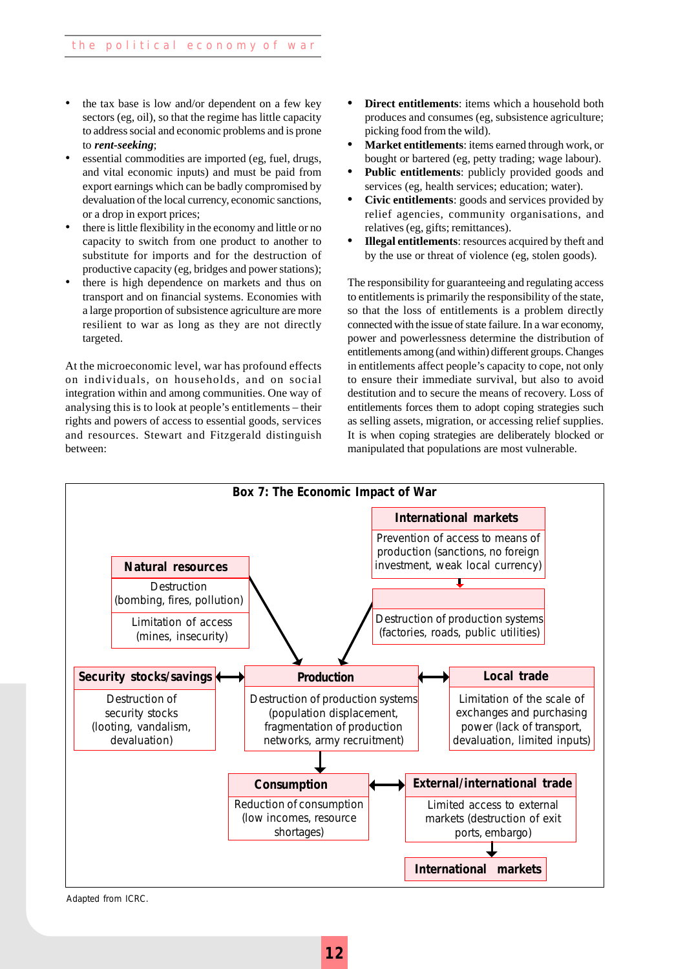- the tax base is low and/or dependent on a few key sectors (eg, oil), so that the regime has little capacity to address social and economic problems and is prone to *rent-seeking*;
- essential commodities are imported (eg, fuel, drugs, and vital economic inputs) and must be paid from export earnings which can be badly compromised by devaluation of the local currency, economic sanctions, or a drop in export prices;
- there is little flexibility in the economy and little or no capacity to switch from one product to another to substitute for imports and for the destruction of productive capacity (eg, bridges and power stations);
- there is high dependence on markets and thus on transport and on financial systems. Economies with a large proportion of subsistence agriculture are more resilient to war as long as they are not directly targeted.

At the microeconomic level, war has profound effects on individuals, on households, and on social integration within and among communities. One way of analysing this is to look at people's entitlements – their rights and powers of access to essential goods, services and resources. Stewart and Fitzgerald distinguish between:

- **Direct entitlements:** items which a household both produces and consumes (eg, subsistence agriculture; picking food from the wild).
- **• Market entitlements**: items earned through work, or bought or bartered (eg, petty trading; wage labour).
- **• Public entitlements**: publicly provided goods and services (eg, health services; education; water).
- **• Civic entitlements**: goods and services provided by relief agencies, community organisations, and relatives (eg, gifts; remittances).
- **• Illegal entitlements**: resources acquired by theft and by the use or threat of violence (eg, stolen goods).

The responsibility for guaranteeing and regulating access to entitlements is primarily the responsibility of the state, so that the loss of entitlements is a problem directly connected with the issue of state failure. In a war economy, power and powerlessness determine the distribution of entitlements among (and within) different groups. Changes in entitlements affect people's capacity to cope, not only to ensure their immediate survival, but also to avoid destitution and to secure the means of recovery. Loss of entitlements forces them to adopt coping strategies such as selling assets, migration, or accessing relief supplies. It is when coping strategies are deliberately blocked or manipulated that populations are most vulnerable.



Adapted from ICRC.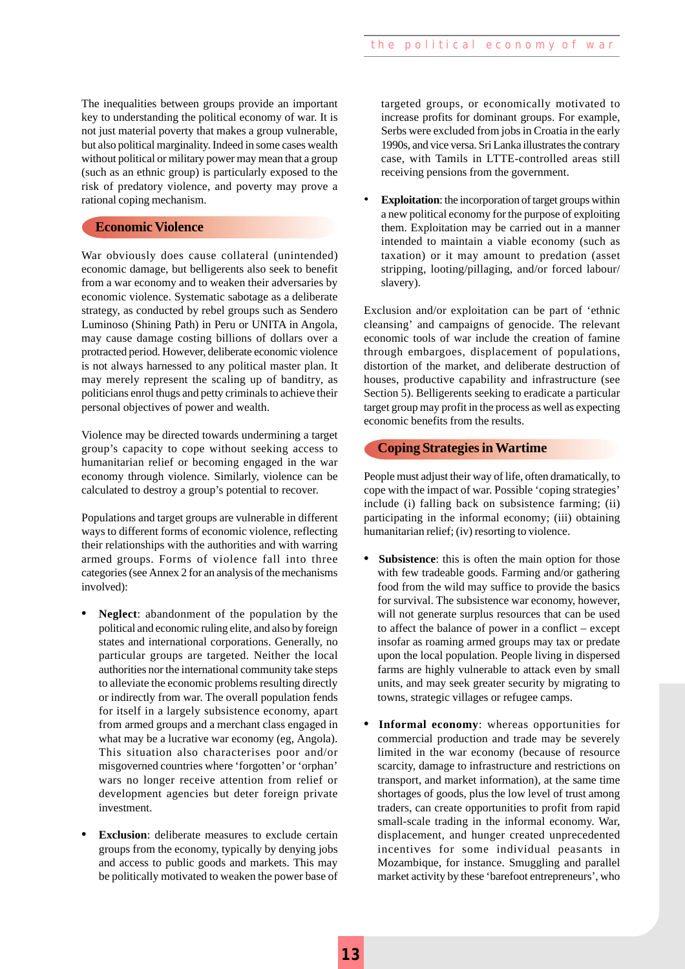The inequalities between groups provide an important<br>key to understanding the political economy of war. It is<br>not just material poverty that makes a group vulnerable, key to understanding the political economy of war. It is not just material poverty that makes a group vulnerable, but also political marginality. Indeed in some cases wealth without political or military power may mean that a group (such as an ethnic group) is particularly exposed to the risk of predatory violence, and poverty may prove a rational coping mechanism.

#### **Economic Violence**

War obviously does cause collateral (unintended) economic damage, but belligerents also seek to benefit from a war economy and to weaken their adversaries by economic violence. Systematic sabotage as a deliberate strategy, as conducted by rebel groups such as Sendero Luminoso (Shining Path) in Peru or UNITA in Angola, may cause damage costing billions of dollars over a protracted period. However, deliberate economic violence is not always harnessed to any political master plan. It may merely represent the scaling up of banditry, as politicians enrol thugs and petty criminals to achieve their personal objectives of power and wealth.

Violence may be directed towards undermining a target group's capacity to cope without seeking access to humanitarian relief or becoming engaged in the war economy through violence. Similarly, violence can be calculated to destroy a group's potential to recover.

Populations and target groups are vulnerable in different ways to different forms of economic violence, reflecting their relationships with the authorities and with warring armed groups. Forms of violence fall into three categories (see Annex 2 for an analysis of the mechanisms involved):

- **• Neglect**: abandonment of the population by the political and economic ruling elite, and also by foreign states and international corporations. Generally, no particular groups are targeted. Neither the local authorities nor the international community take steps to alleviate the economic problems resulting directly or indirectly from war. The overall population fends for itself in a largely subsistence economy, apart from armed groups and a merchant class engaged in what may be a lucrative war economy (eg, Angola). This situation also characterises poor and/or misgoverned countries where 'forgotten' or 'orphan' wars no longer receive attention from relief or development agencies but deter foreign private investment.
- **• Exclusion**: deliberate measures to exclude certain groups from the economy, typically by denying jobs and access to public goods and markets. This may be politically motivated to weaken the power base of

targeted groups, or economically motivated to increase profits for dominant groups. For example, Serbs were excluded from jobs in Croatia in the early 1990s, and vice versa. Sri Lanka illustrates the contrary case, with Tamils in LTTE-controlled areas still receiving pensions from the government.

**Exploitation**: the incorporation of target groups within a new political economy for the purpose of exploiting them. Exploitation may be carried out in a manner intended to maintain a viable economy (such as taxation) or it may amount to predation (asset stripping, looting/pillaging, and/or forced labour/ slavery).

Exclusion and/or exploitation can be part of 'ethnic cleansing' and campaigns of genocide. The relevant economic tools of war include the creation of famine through embargoes, displacement of populations, distortion of the market, and deliberate destruction of houses, productive capability and infrastructure (see Section 5). Belligerents seeking to eradicate a particular target group may profit in the process as well as expecting economic benefits from the results.

#### **Coping Strategies in Wartime**

People must adjust their way of life, often dramatically, to cope with the impact of war. Possible 'coping strategies' include (i) falling back on subsistence farming; (ii) participating in the informal economy; (iii) obtaining humanitarian relief; (iv) resorting to violence.

- **• Subsistence**: this is often the main option for those with few tradeable goods. Farming and/or gathering food from the wild may suffice to provide the basics for survival. The subsistence war economy, however, will not generate surplus resources that can be used to affect the balance of power in a conflict – except insofar as roaming armed groups may tax or predate upon the local population. People living in dispersed farms are highly vulnerable to attack even by small units, and may seek greater security by migrating to towns, strategic villages or refugee camps.
- **Informal economy**: whereas opportunities for commercial production and trade may be severely limited in the war economy (because of resource scarcity, damage to infrastructure and restrictions on transport, and market information), at the same time shortages of goods, plus the low level of trust among traders, can create opportunities to profit from rapid small-scale trading in the informal economy. War, displacement, and hunger created unprecedented incentives for some individual peasants in Mozambique, for instance. Smuggling and parallel market activity by these 'barefoot entrepreneurs', who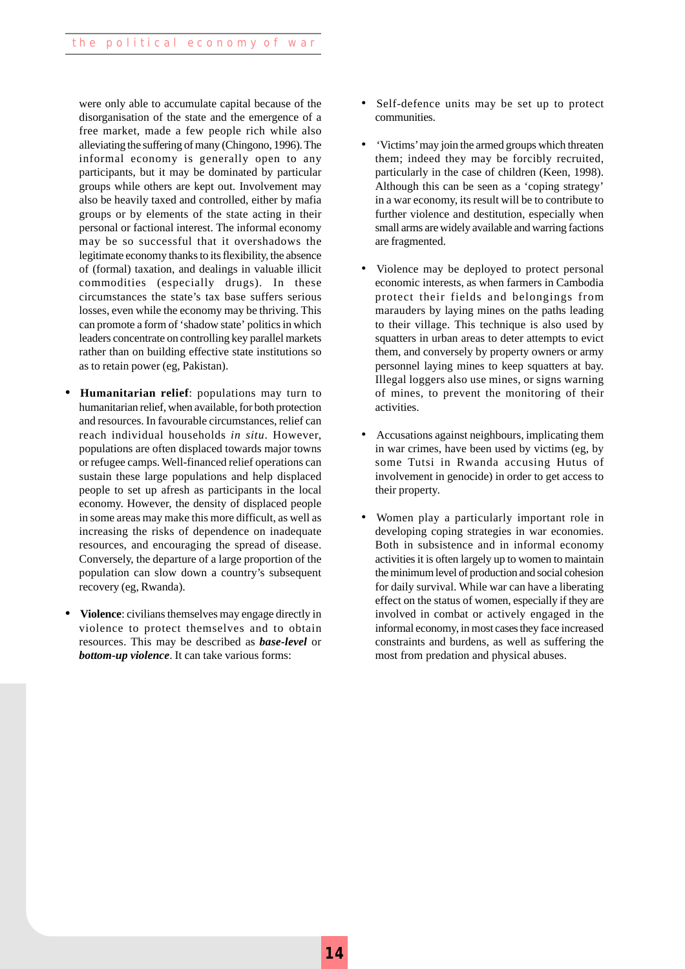were only able to accumulate capital because of the disorganisation of the state and the emergence of a free market, made a few people rich while also alleviating the suffering of many (Chingono, 1996). The informal economy is generally open to any participants, but it may be dominated by particular groups while others are kept out. Involvement may also be heavily taxed and controlled, either by mafia groups or by elements of the state acting in their personal or factional interest. The informal economy may be so successful that it overshadows the legitimate economy thanks to its flexibility, the absence of (formal) taxation, and dealings in valuable illicit commodities (especially drugs). In these circumstances the state's tax base suffers serious losses, even while the economy may be thriving. This can promote a form of 'shadow state' politics in which leaders concentrate on controlling key parallel markets rather than on building effective state institutions so as to retain power (eg, Pakistan).

- **• Humanitarian relief**: populations may turn to humanitarian relief, when available, for both protection and resources. In favourable circumstances, relief can reach individual households *in situ*. However, populations are often displaced towards major towns or refugee camps. Well-financed relief operations can sustain these large populations and help displaced people to set up afresh as participants in the local economy. However, the density of displaced people in some areas may make this more difficult, as well as increasing the risks of dependence on inadequate resources, and encouraging the spread of disease. Conversely, the departure of a large proportion of the population can slow down a country's subsequent recovery (eg, Rwanda).
- **• Violence**: civilians themselves may engage directly in violence to protect themselves and to obtain resources. This may be described as *base-level* or *bottom-up violence*. It can take various forms:
- Self-defence units may be set up to protect communities.
- 'Victims' may join the armed groups which threaten them; indeed they may be forcibly recruited, particularly in the case of children (Keen, 1998). Although this can be seen as a 'coping strategy' in a war economy, its result will be to contribute to further violence and destitution, especially when small arms are widely available and warring factions are fragmented.
- Violence may be deployed to protect personal economic interests, as when farmers in Cambodia protect their fields and belongings from marauders by laying mines on the paths leading to their village. This technique is also used by squatters in urban areas to deter attempts to evict them, and conversely by property owners or army personnel laying mines to keep squatters at bay. Illegal loggers also use mines, or signs warning of mines, to prevent the monitoring of their activities.
- Accusations against neighbours, implicating them in war crimes, have been used by victims (eg, by some Tutsi in Rwanda accusing Hutus of involvement in genocide) in order to get access to their property.
- Women play a particularly important role in developing coping strategies in war economies. Both in subsistence and in informal economy activities it is often largely up to women to maintain the minimum level of production and social cohesion for daily survival. While war can have a liberating effect on the status of women, especially if they are involved in combat or actively engaged in the informal economy, in most cases they face increased constraints and burdens, as well as suffering the most from predation and physical abuses.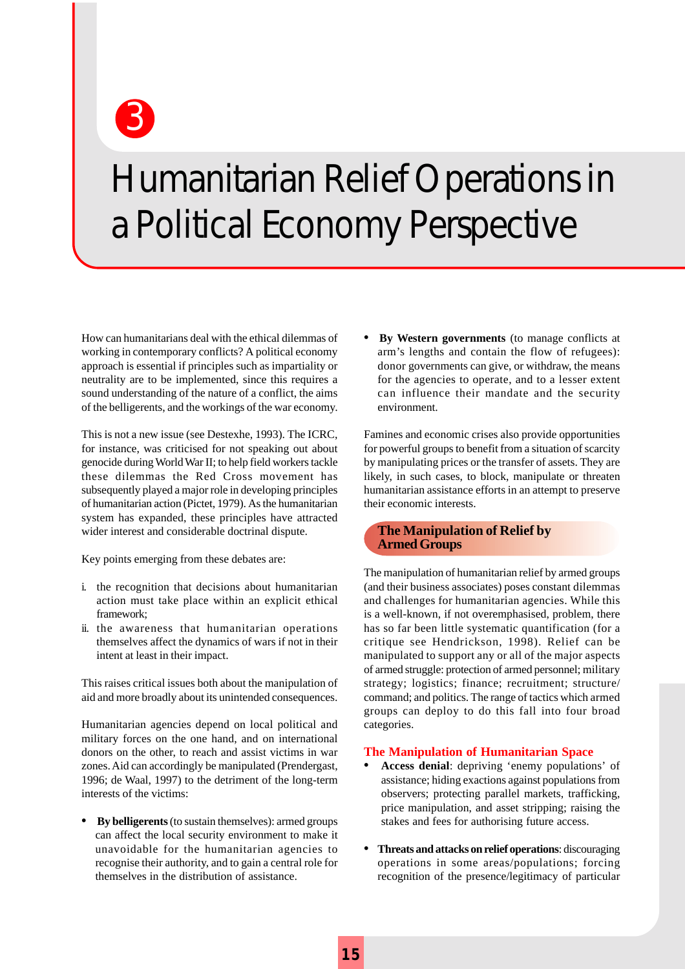Humanitarian Relief Operations in a Political Economy Perspective

How can humanitarians deal with the ethical dilemmas of working in contemporary conflicts? A political economy approach is essential if principles such as impartiality or neutrality are to be implemented, since this requires a sound understanding of the nature of a conflict, the aims of the belligerents, and the workings of the war economy.

3

This is not a new issue (see Destexhe, 1993). The ICRC, for instance, was criticised for not speaking out about genocide during World War II; to help field workers tackle these dilemmas the Red Cross movement has subsequently played a major role in developing principles of humanitarian action (Pictet, 1979). As the humanitarian system has expanded, these principles have attracted wider interest and considerable doctrinal dispute.

Key points emerging from these debates are:

- i. the recognition that decisions about humanitarian action must take place within an explicit ethical framework;
- ii. the awareness that humanitarian operations themselves affect the dynamics of wars if not in their intent at least in their impact.

This raises critical issues both about the manipulation of aid and more broadly about its unintended consequences.

Humanitarian agencies depend on local political and military forces on the one hand, and on international donors on the other, to reach and assist victims in war zones. Aid can accordingly be manipulated (Prendergast, 1996; de Waal, 1997) to the detriment of the long-term interests of the victims:

**• By belligerents** (to sustain themselves): armed groups can affect the local security environment to make it unavoidable for the humanitarian agencies to recognise their authority, and to gain a central role for themselves in the distribution of assistance.

**• By Western governments** (to manage conflicts at arm's lengths and contain the flow of refugees): donor governments can give, or withdraw, the means for the agencies to operate, and to a lesser extent can influence their mandate and the security environment.

Famines and economic crises also provide opportunities for powerful groups to benefit from a situation of scarcity by manipulating prices or the transfer of assets. They are likely, in such cases, to block, manipulate or threaten humanitarian assistance efforts in an attempt to preserve their economic interests.

#### **The Manipulation of Relief by Armed Groups**

The manipulation of humanitarian relief by armed groups (and their business associates) poses constant dilemmas and challenges for humanitarian agencies. While this is a well-known, if not overemphasised, problem, there has so far been little systematic quantification (for a critique see Hendrickson, 1998). Relief can be manipulated to support any or all of the major aspects of armed struggle: protection of armed personnel; military strategy; logistics; finance; recruitment; structure/ command; and politics. The range of tactics which armed groups can deploy to do this fall into four broad categories.

#### **The Manipulation of Humanitarian Space**

- **• Access denial**: depriving 'enemy populations' of assistance; hiding exactions against populations from observers; protecting parallel markets, trafficking, price manipulation, and asset stripping; raising the stakes and fees for authorising future access.
- **• Threats and attacks on relief operations**: discouraging operations in some areas/populations; forcing recognition of the presence/legitimacy of particular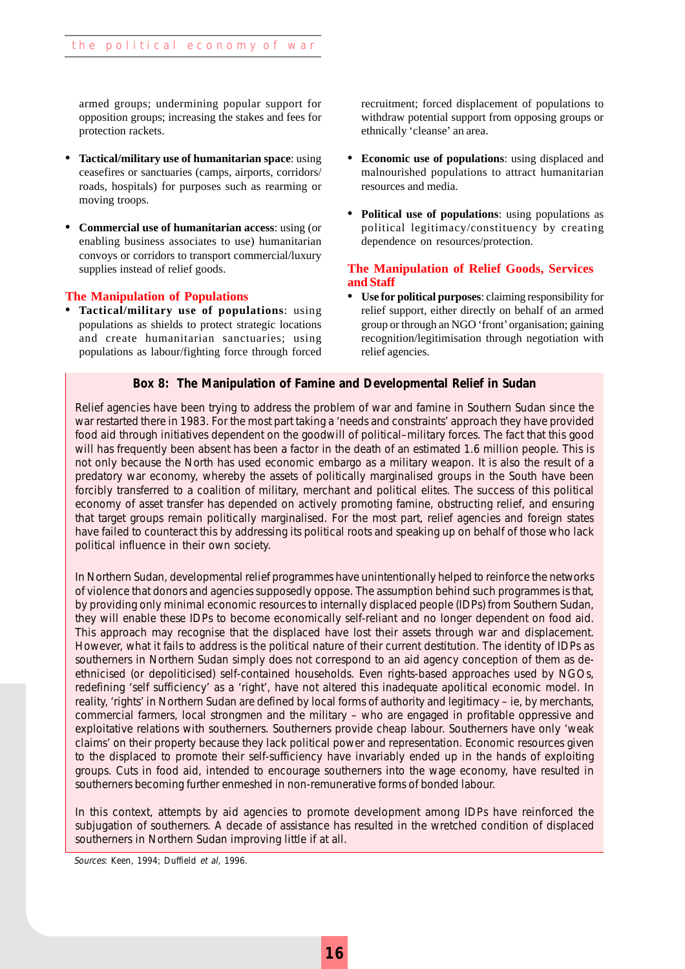armed groups; undermining popular support for opposition groups; increasing the stakes and fees for protection rackets.

- **• Tactical/military use of humanitarian space**: using ceasefires or sanctuaries (camps, airports, corridors/ roads, hospitals) for purposes such as rearming or moving troops.
- **• Commercial use of humanitarian access**: using (or enabling business associates to use) humanitarian convoys or corridors to transport commercial/luxury supplies instead of relief goods.

#### **The Manipulation of Populations**

**• Tactical/military use of populations**: using populations as shields to protect strategic locations and create humanitarian sanctuaries; using populations as labour/fighting force through forced recruitment; forced displacement of populations to withdraw potential support from opposing groups or ethnically 'cleanse' an area.

- **• Economic use of populations**: using displaced and malnourished populations to attract humanitarian resources and media.
- **• Political use of populations**: using populations as political legitimacy/constituency by creating dependence on resources/protection.

#### **The Manipulation of Relief Goods, Services and Staff**

**• Use for political purposes**: claiming responsibility for relief support, either directly on behalf of an armed group or through an NGO 'front' organisation; gaining recognition/legitimisation through negotiation with relief agencies.

#### **Box 8: The Manipulation of Famine and Developmental Relief in Sudan**

Relief agencies have been trying to address the problem of war and famine in Southern Sudan since the war restarted there in 1983. For the most part taking a 'needs and constraints' approach they have provided food aid through initiatives dependent on the goodwill of political–military forces. The fact that this good will has frequently been absent has been a factor in the death of an estimated 1.6 million people. This is not only because the North has used economic embargo as a military weapon. It is also the result of a predatory war economy, whereby the assets of politically marginalised groups in the South have been forcibly transferred to a coalition of military, merchant and political elites. The success of this political economy of asset transfer has depended on actively promoting famine, obstructing relief, and ensuring that target groups remain politically marginalised. For the most part, relief agencies and foreign states have failed to counteract this by addressing its political roots and speaking up on behalf of those who lack political influence in their own society.

In Northern Sudan, developmental relief programmes have unintentionally helped to reinforce the networks of violence that donors and agencies supposedly oppose. The assumption behind such programmes is that, by providing only minimal economic resources to internally displaced people (IDPs) from Southern Sudan, they will enable these IDPs to become economically self-reliant and no longer dependent on food aid. This approach may recognise that the displaced have lost their assets through war and displacement. However, what it fails to address is the political nature of their current destitution. The identity of IDPs as southerners in Northern Sudan simply does not correspond to an aid agency conception of them as deethnicised (or depoliticised) self-contained households. Even rights-based approaches used by NGOs, redefining 'self sufficiency' as a 'right', have not altered this inadequate apolitical economic model. In reality, 'rights' in Northern Sudan are defined by local forms of authority and legitimacy – ie, by merchants, commercial farmers, local strongmen and the military – who are engaged in profitable oppressive and exploitative relations with southerners. Southerners provide cheap labour. Southerners have only 'weak claims' on their property because they lack political power and representation. Economic resources given to the displaced to promote their self-sufficiency have invariably ended up in the hands of exploiting groups. Cuts in food aid, intended to encourage southerners into the wage economy, have resulted in southerners becoming further enmeshed in non-remunerative forms of bonded labour.

southerners in Northern Sudan improving little if at all. In this context, attempts by aid agencies to promote development among IDPs have reinforced the subjugation of southerners. A decade of assistance has resulted in the wretched condition of displaced

Sources: Keen, 1994; Duffield et al, 1996.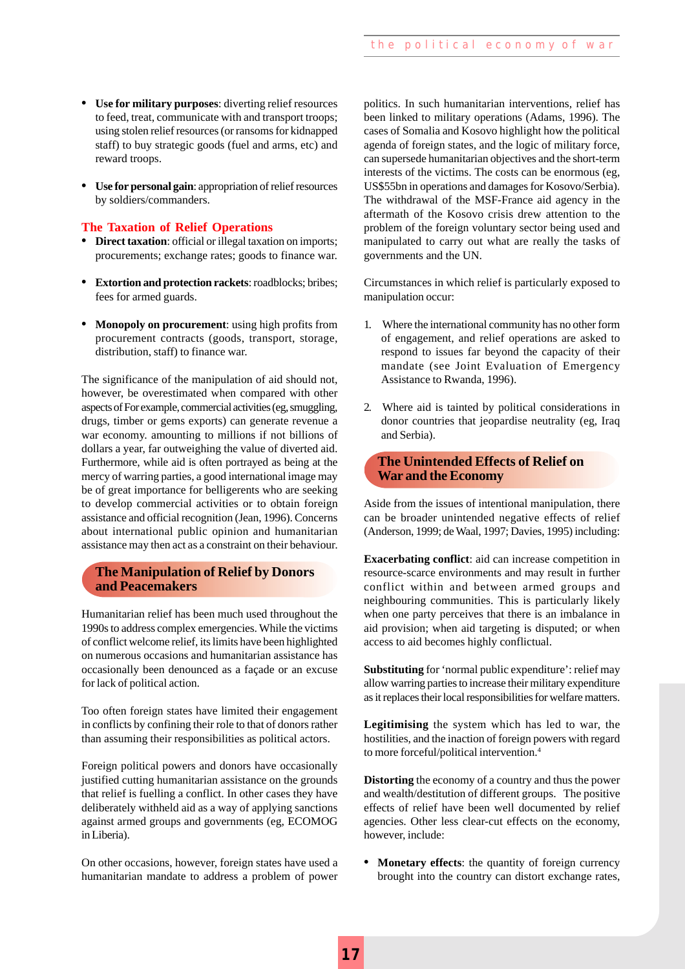- 3 **• Use for military purposes**: diverting relief resources to feed, treat, communicate with and transport troops; using stolen relief resources (or ransoms for kidnapped staff) to buy strategic goods (fuel and arms, etc) and reward troops.
- **• Use for personal gain**: appropriation of relief resources by soldiers/commanders.

#### **The Taxation of Relief Operations**

- **• Direct taxation**: official or illegal taxation on imports; procurements; exchange rates; goods to finance war.
- **• Extortion and protection rackets**: roadblocks; bribes; fees for armed guards.
- **• Monopoly on procurement**: using high profits from procurement contracts (goods, transport, storage, distribution, staff) to finance war.

The significance of the manipulation of aid should not, however, be overestimated when compared with other aspects of For example, commercial activities (eg, smuggling, drugs, timber or gems exports) can generate revenue a war economy. amounting to millions if not billions of dollars a year, far outweighing the value of diverted aid. Furthermore, while aid is often portrayed as being at the mercy of warring parties, a good international image may be of great importance for belligerents who are seeking to develop commercial activities or to obtain foreign assistance and official recognition (Jean, 1996). Concerns about international public opinion and humanitarian assistance may then act as a constraint on their behaviour.

#### **The Manipulation of Relief by Donors and Peacemakers**

Humanitarian relief has been much used throughout the 1990s to address complex emergencies. While the victims of conflict welcome relief, its limits have been highlighted on numerous occasions and humanitarian assistance has occasionally been denounced as a façade or an excuse for lack of political action.

Too often foreign states have limited their engagement in conflicts by confining their role to that of donors rather than assuming their responsibilities as political actors.

Foreign political powers and donors have occasionally justified cutting humanitarian assistance on the grounds that relief is fuelling a conflict. In other cases they have deliberately withheld aid as a way of applying sanctions against armed groups and governments (eg, ECOMOG in Liberia).

On other occasions, however, foreign states have used a humanitarian mandate to address a problem of power

politics. In such humanitarian interventions*,* relief has been linked to military operations (Adams, 1996). The cases of Somalia and Kosovo highlight how the political agenda of foreign states, and the logic of military force, can supersede humanitarian objectives and the short-term interests of the victims. The costs can be enormous (eg, US\$55bn in operations and damages for Kosovo/Serbia). The withdrawal of the MSF-France aid agency in the aftermath of the Kosovo crisis drew attention to the problem of the foreign voluntary sector being used and manipulated to carry out what are really the tasks of governments and the UN.

Circumstances in which relief is particularly exposed to manipulation occur:

- 1. Where the international community has no other form of engagement, and relief operations are asked to respond to issues far beyond the capacity of their mandate (see Joint Evaluation of Emergency Assistance to Rwanda, 1996).
- 2. Where aid is tainted by political considerations in donor countries that jeopardise neutrality (eg, Iraq and Serbia).

#### **The Unintended Effects of Relief on War and the Economy**

Aside from the issues of intentional manipulation, there can be broader unintended negative effects of relief (Anderson, 1999; de Waal, 1997; Davies, 1995) including:

**Exacerbating conflict**: aid can increase competition in resource-scarce environments and may result in further conflict within and between armed groups and neighbouring communities. This is particularly likely when one party perceives that there is an imbalance in aid provision; when aid targeting is disputed; or when access to aid becomes highly conflictual.

**Substituting** for 'normal public expenditure': relief may allow warring parties to increase their military expenditure as it replaces their local responsibilities for welfare matters.

**Legitimising** the system which has led to war, the hostilities, and the inaction of foreign powers with regard to more forceful/political intervention.4

**Distorting** the economy of a country and thus the power and wealth/destitution of different groups. The positive effects of relief have been well documented by relief agencies. Other less clear-cut effects on the economy, however, include:

• **Monetary effects**: the quantity of foreign currency brought into the country can distort exchange rates,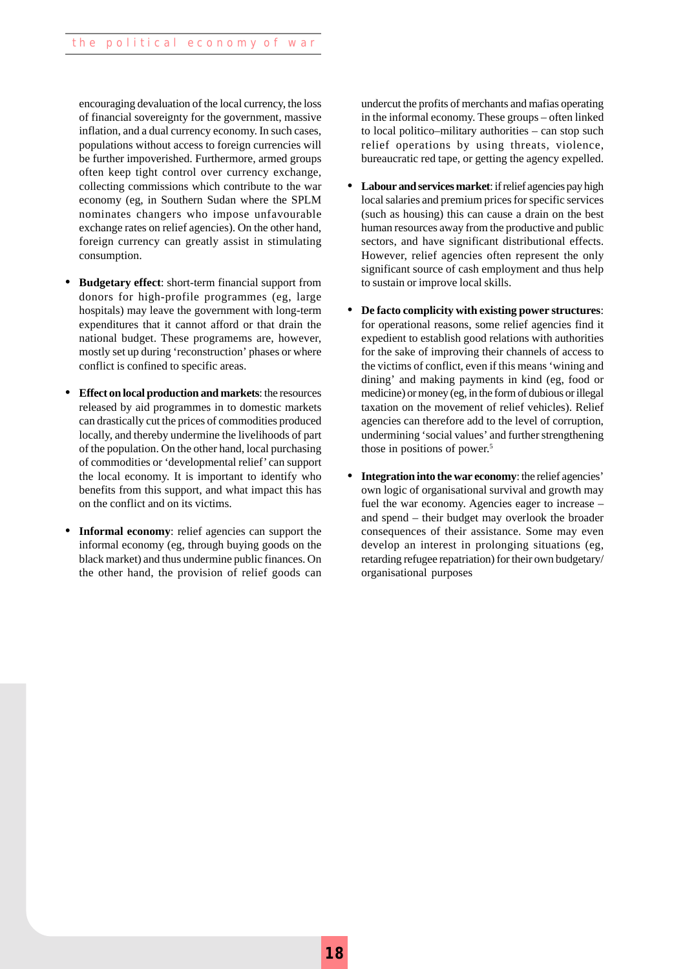encouraging devaluation of the local currency, the loss of financial sovereignty for the government, massive inflation, and a dual currency economy. In such cases, populations without access to foreign currencies will be further impoverished. Furthermore, armed groups often keep tight control over currency exchange, collecting commissions which contribute to the war economy (eg, in Southern Sudan where the SPLM nominates changers who impose unfavourable exchange rates on relief agencies). On the other hand, foreign currency can greatly assist in stimulating consumption.

- **• Budgetary effect**: short-term financial support from donors for high-profile programmes (eg, large hospitals) may leave the government with long-term expenditures that it cannot afford or that drain the national budget. These programems are, however, mostly set up during 'reconstruction' phases or where conflict is confined to specific areas.
- **• Effect on local production and markets**: the resources released by aid programmes in to domestic markets can drastically cut the prices of commodities produced locally, and thereby undermine the livelihoods of part of the population. On the other hand, local purchasing of commodities or 'developmental relief' can support the local economy. It is important to identify who benefits from this support, and what impact this has on the conflict and on its victims.
- **• Informal economy**: relief agencies can support the informal economy (eg, through buying goods on the black market) and thus undermine public finances. On the other hand, the provision of relief goods can

undercut the profits of merchants and mafias operating in the informal economy. These groups – often linked to local politico–military authorities – can stop such relief operations by using threats, violence, bureaucratic red tape, or getting the agency expelled.

- **• Labour and services market**: if relief agencies pay high local salaries and premium prices for specific services (such as housing) this can cause a drain on the best human resources away from the productive and public sectors, and have significant distributional effects. However, relief agencies often represent the only significant source of cash employment and thus help to sustain or improve local skills.
- **• De facto complicity with existing power structures**: for operational reasons, some relief agencies find it expedient to establish good relations with authorities for the sake of improving their channels of access to the victims of conflict, even if this means 'wining and dining' and making payments in kind (eg, food or medicine) or money (eg, in the form of dubious or illegal taxation on the movement of relief vehicles). Relief agencies can therefore add to the level of corruption, undermining 'social values' and further strengthening those in positions of power.5
- **• Integration into the war economy**: the relief agencies' own logic of organisational survival and growth may fuel the war economy. Agencies eager to increase – and spend – their budget may overlook the broader consequences of their assistance. Some may even develop an interest in prolonging situations (eg, retarding refugee repatriation) for their own budgetary/ organisational purposes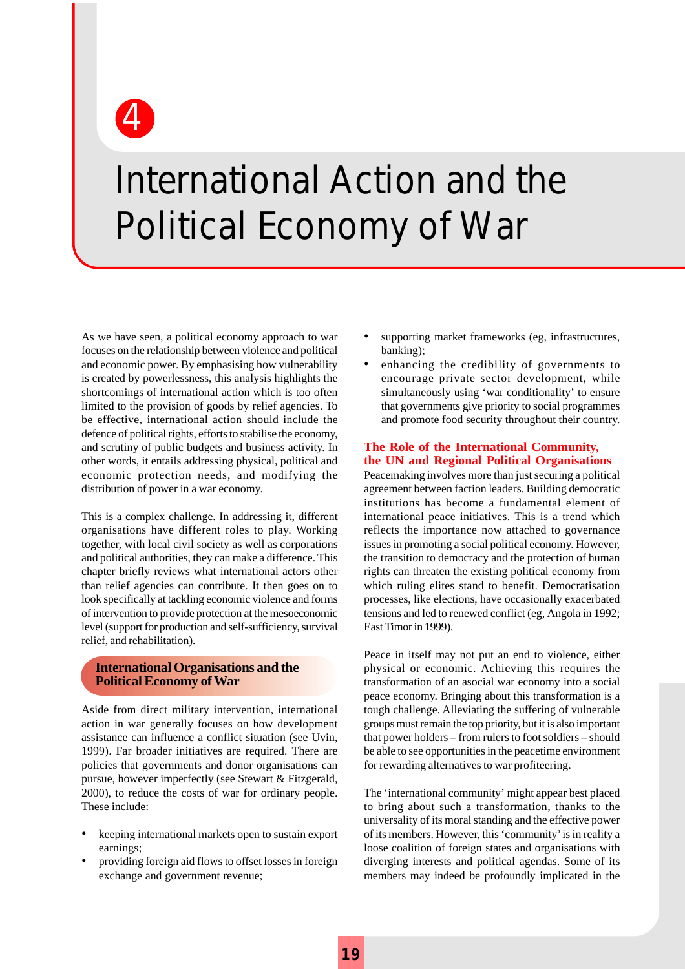4

## International Action and the Political Economy of War

As we have seen, a political economy approach to war focuses on the relationship between violence and political and economic power. By emphasising how vulnerability is created by powerlessness, this analysis highlights the shortcomings of international action which is too often limited to the provision of goods by relief agencies. To be effective, international action should include the defence of political rights, efforts to stabilise the economy, and scrutiny of public budgets and business activity. In other words, it entails addressing physical, political and economic protection needs, and modifying the distribution of power in a war economy.

This is a complex challenge. In addressing it, different organisations have different roles to play. Working together, with local civil society as well as corporations and political authorities, they can make a difference. This chapter briefly reviews what international actors other than relief agencies can contribute. It then goes on to look specifically at tackling economic violence and forms of intervention to provide protection at the mesoeconomic level (support for production and self-sufficiency, survival relief, and rehabilitation).

#### **International Organisations and the Political Economy of War**

Aside from direct military intervention, international action in war generally focuses on how development assistance can influence a conflict situation (see Uvin, 1999). Far broader initiatives are required. There are policies that governments and donor organisations can pursue, however imperfectly (see Stewart & Fitzgerald, 2000), to reduce the costs of war for ordinary people. These include:

- keeping international markets open to sustain export earnings;
- providing foreign aid flows to offset losses in foreign exchange and government revenue;
- supporting market frameworks (eg, infrastructures, banking);
- enhancing the credibility of governments to encourage private sector development, while simultaneously using 'war conditionality' to ensure that governments give priority to social programmes and promote food security throughout their country.

#### **The Role of the International Community, the UN and Regional Political Organisations**

Peacemaking involves more than just securing a political agreement between faction leaders. Building democratic institutions has become a fundamental element of international peace initiatives. This is a trend which reflects the importance now attached to governance issues in promoting a social political economy. However, the transition to democracy and the protection of human rights can threaten the existing political economy from which ruling elites stand to benefit. Democratisation processes, like elections, have occasionally exacerbated tensions and led to renewed conflict (eg, Angola in 1992; East Timor in 1999).

Peace in itself may not put an end to violence, either physical or economic. Achieving this requires the transformation of an asocial war economy into a social peace economy. Bringing about this transformation is a tough challenge. Alleviating the suffering of vulnerable groups must remain the top priority, but it is also important that power holders – from rulers to foot soldiers – should be able to see opportunities in the peacetime environment for rewarding alternatives to war profiteering.

The 'international community' might appear best placed to bring about such a transformation, thanks to the universality of its moral standing and the effective power of its members. However, this 'community' is in reality a loose coalition of foreign states and organisations with diverging interests and political agendas. Some of its members may indeed be profoundly implicated in the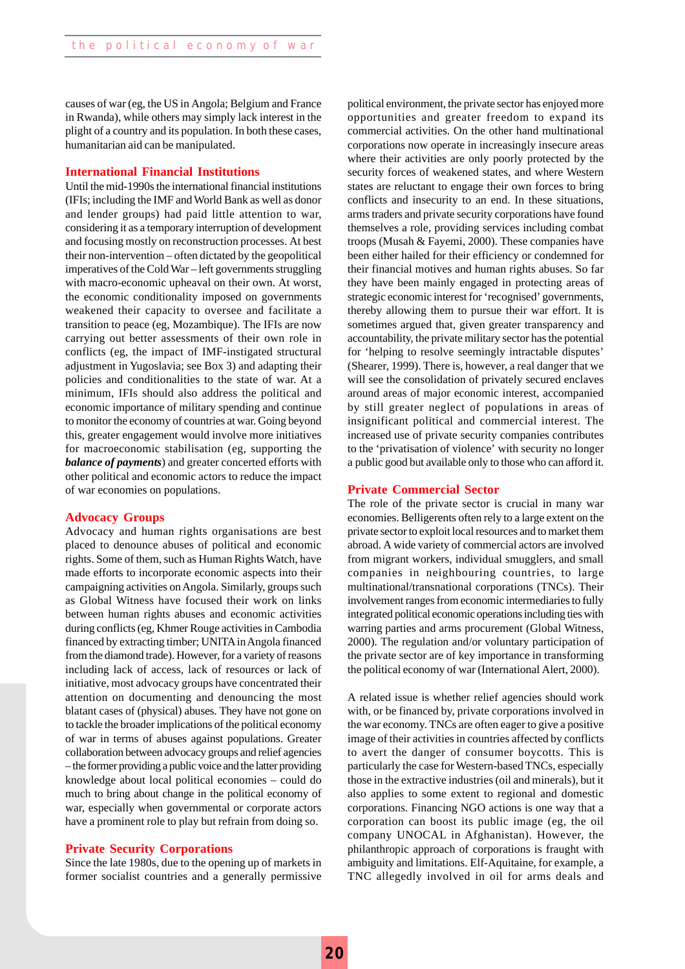causes of war (eg, the US in Angola; Belgium and France in Rwanda), while others may simply lack interest in the plight of a country and its population. In both these cases, humanitarian aid can be manipulated.

#### **International Financial Institutions**

Until the mid-1990s the international financial institutions (IFIs; including the IMF and World Bank as well as donor and lender groups) had paid little attention to war, considering it as a temporary interruption of development and focusing mostly on reconstruction processes. At best their non-intervention – often dictated by the geopolitical imperatives of the Cold War – left governments struggling with macro-economic upheaval on their own. At worst, the economic conditionality imposed on governments weakened their capacity to oversee and facilitate a transition to peace (eg, Mozambique). The IFIs are now carrying out better assessments of their own role in conflicts (eg, the impact of IMF-instigated structural adjustment in Yugoslavia; see Box 3) and adapting their policies and conditionalities to the state of war. At a minimum, IFIs should also address the political and economic importance of military spending and continue to monitor the economy of countries at war. Going beyond this, greater engagement would involve more initiatives for macroeconomic stabilisation (eg, supporting the *balance of payments*) and greater concerted efforts with other political and economic actors to reduce the impact of war economies on populations.

#### **Advocacy Groups**

Advocacy and human rights organisations are best placed to denounce abuses of political and economic rights. Some of them, such as Human Rights Watch, have made efforts to incorporate economic aspects into their campaigning activities on Angola. Similarly, groups such as Global Witness have focused their work on links between human rights abuses and economic activities during conflicts (eg, Khmer Rouge activities in Cambodia financed by extracting timber; UNITA in Angola financed from the diamond trade). However, for a variety of reasons including lack of access, lack of resources or lack of initiative, most advocacy groups have concentrated their attention on documenting and denouncing the most blatant cases of (physical) abuses. They have not gone on to tackle the broader implications of the political economy of war in terms of abuses against populations. Greater collaboration between advocacy groups and relief agencies – the former providing a public voice and the latter providing knowledge about local political economies – could do much to bring about change in the political economy of war, especially when governmental or corporate actors have a prominent role to play but refrain from doing so.

#### **Private Security Corporations**

Since the late 1980s, due to the opening up of markets in former socialist countries and a generally permissive political environment, the private sector has enjoyed more opportunities and greater freedom to expand its commercial activities. On the other hand multinational corporations now operate in increasingly insecure areas where their activities are only poorly protected by the security forces of weakened states, and where Western states are reluctant to engage their own forces to bring conflicts and insecurity to an end. In these situations, arms traders and private security corporations have found themselves a role, providing services including combat troops (Musah & Fayemi, 2000). These companies have been either hailed for their efficiency or condemned for their financial motives and human rights abuses. So far they have been mainly engaged in protecting areas of strategic economic interest for 'recognised' governments, thereby allowing them to pursue their war effort. It is sometimes argued that, given greater transparency and accountability, the private military sector has the potential for 'helping to resolve seemingly intractable disputes' (Shearer, 1999). There is, however, a real danger that we will see the consolidation of privately secured enclaves around areas of major economic interest, accompanied by still greater neglect of populations in areas of insignificant political and commercial interest. The increased use of private security companies contributes to the 'privatisation of violence' with security no longer a public good but available only to those who can afford it.

#### **Private Commercial Sector**

The role of the private sector is crucial in many war economies. Belligerents often rely to a large extent on the private sector to exploit local resources and to market them abroad. A wide variety of commercial actors are involved from migrant workers, individual smugglers, and small companies in neighbouring countries, to large multinational/transnational corporations (TNCs). Their involvement ranges from economic intermediaries to fully integrated political economic operations including ties with warring parties and arms procurement (Global Witness, 2000). The regulation and/or voluntary participation of the private sector are of key importance in transforming the political economy of war (International Alert, 2000).

A related issue is whether relief agencies should work with, or be financed by, private corporations involved in the war economy. TNCs are often eager to give a positive image of their activities in countries affected by conflicts to avert the danger of consumer boycotts. This is particularly the case for Western-based TNCs, especially those in the extractive industries (oil and minerals), but it also applies to some extent to regional and domestic corporations. Financing NGO actions is one way that a corporation can boost its public image (eg, the oil company UNOCAL in Afghanistan). However, the philanthropic approach of corporations is fraught with ambiguity and limitations. Elf-Aquitaine, for example, a TNC allegedly involved in oil for arms deals and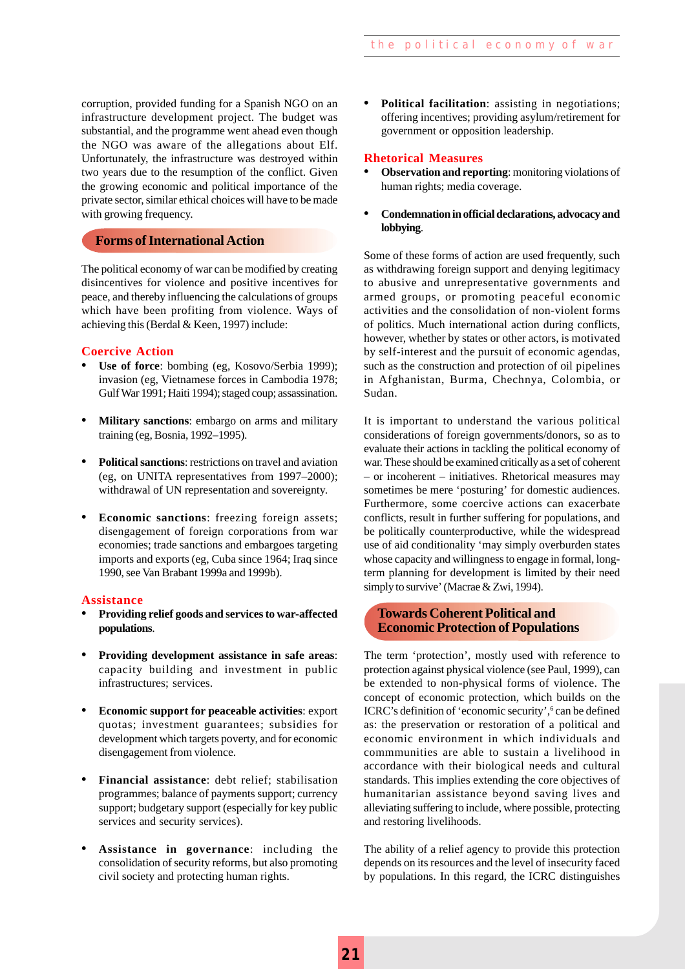corruption, provided funding for a Spanish NGO on an<br>infrastructure development project. The budget was<br>substantial, and the programme went ahead even though infrastructure development project. The budget was substantial, and the programme went ahead even though the NGO was aware of the allegations about Elf. Unfortunately, the infrastructure was destroyed within two years due to the resumption of the conflict. Given the growing economic and political importance of the private sector, similar ethical choices will have to be made with growing frequency.

#### **Forms of International Action**

The political economy of war can be modified by creating disincentives for violence and positive incentives for peace, and thereby influencing the calculations of groups which have been profiting from violence. Ways of achieving this (Berdal & Keen, 1997) include:

#### **Coercive Action**

- **• Use of force**: bombing (eg, Kosovo/Serbia 1999); invasion (eg, Vietnamese forces in Cambodia 1978; Gulf War 1991; Haiti 1994); staged coup; assassination.
- **• Military sanctions**: embargo on arms and military training (eg, Bosnia, 1992–1995).
- **• Political sanctions**: restrictions on travel and aviation (eg, on UNITA representatives from 1997–2000); withdrawal of UN representation and sovereignty.
- **• Economic sanctions**: freezing foreign assets; disengagement of foreign corporations from war economies; trade sanctions and embargoes targeting imports and exports (eg, Cuba since 1964; Iraq since 1990, see Van Brabant 1999a and 1999b).

#### **Assistance**

- **• Providing relief goods and services to war-affected populations**.
- **• Providing development assistance in safe areas**: capacity building and investment in public infrastructures; services.
- **• Economic support for peaceable activities**: export quotas; investment guarantees; subsidies for development which targets poverty, and for economic disengagement from violence.
- **• Financial assistance**: debt relief; stabilisation programmes; balance of payments support; currency support; budgetary support (especially for key public services and security services).
- **• Assistance in governance**: including the consolidation of security reforms, but also promoting civil society and protecting human rights.

**• Political facilitation**: assisting in negotiations; offering incentives; providing asylum/retirement for government or opposition leadership.

#### **Rhetorical Measures**

- **• Observation and reporting**: monitoring violations of human rights; media coverage.
- **• Condemnation in official declarations, advocacy and lobbying**.

Some of these forms of action are used frequently, such as withdrawing foreign support and denying legitimacy to abusive and unrepresentative governments and armed groups, or promoting peaceful economic activities and the consolidation of non-violent forms of politics. Much international action during conflicts, however, whether by states or other actors, is motivated by self-interest and the pursuit of economic agendas, such as the construction and protection of oil pipelines in Afghanistan, Burma, Chechnya, Colombia, or Sudan.

It is important to understand the various political considerations of foreign governments/donors, so as to evaluate their actions in tackling the political economy of war. These should be examined critically as a set of coherent – or incoherent – initiatives. Rhetorical measures may sometimes be mere 'posturing' for domestic audiences. Furthermore, some coercive actions can exacerbate conflicts, result in further suffering for populations, and be politically counterproductive, while the widespread use of aid conditionality 'may simply overburden states whose capacity and willingness to engage in formal, longterm planning for development is limited by their need simply to survive' (Macrae & Zwi, 1994).

#### **Towards Coherent Political and Economic Protection of Populations**

The term 'protection', mostly used with reference to protection against physical violence (see Paul, 1999), can be extended to non-physical forms of violence. The concept of economic protection, which builds on the ICRC's definition of 'economic security', <sup>6</sup> can be defined as: the preservation or restoration of a political and economic environment in which individuals and commmunities are able to sustain a livelihood in accordance with their biological needs and cultural standards. This implies extending the core objectives of humanitarian assistance beyond saving lives and alleviating suffering to include, where possible, protecting and restoring livelihoods.

The ability of a relief agency to provide this protection depends on its resources and the level of insecurity faced by populations. In this regard, the ICRC distinguishes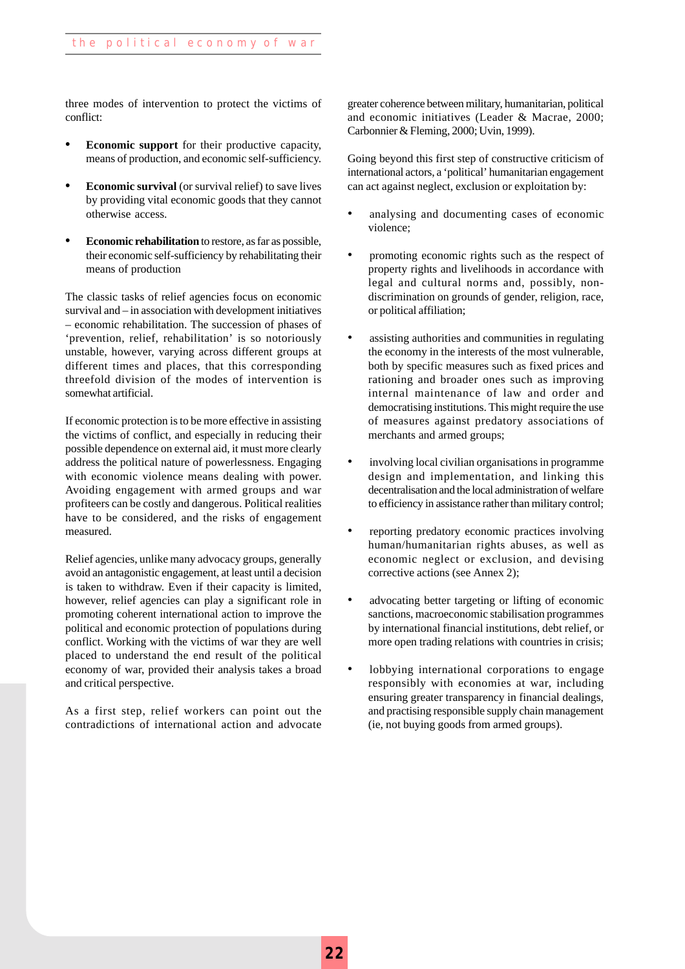three modes of intervention to protect the victims of conflict:

- **• Economic support** for their productive capacity, means of production, and economic self-sufficiency.
- **• Economic survival** (or survival relief) to save lives by providing vital economic goods that they cannot otherwise access.
- **• Economic rehabilitation** to restore, as far as possible, their economic self-sufficiency by rehabilitating their means of production

The classic tasks of relief agencies focus on economic survival and – in association with development initiatives – economic rehabilitation. The succession of phases of 'prevention, relief, rehabilitation' is so notoriously unstable, however, varying across different groups at different times and places, that this corresponding threefold division of the modes of intervention is somewhat artificial.

If economic protection is to be more effective in assisting the victims of conflict, and especially in reducing their possible dependence on external aid, it must more clearly address the political nature of powerlessness. Engaging with economic violence means dealing with power. Avoiding engagement with armed groups and war profiteers can be costly and dangerous. Political realities have to be considered, and the risks of engagement measured.

Relief agencies, unlike many advocacy groups, generally avoid an antagonistic engagement, at least until a decision is taken to withdraw. Even if their capacity is limited, however, relief agencies can play a significant role in promoting coherent international action to improve the political and economic protection of populations during conflict. Working with the victims of war they are well placed to understand the end result of the political economy of war, provided their analysis takes a broad and critical perspective.

As a first step, relief workers can point out the contradictions of international action and advocate

greater coherence between military, humanitarian, political and economic initiatives (Leader & Macrae, 2000; Carbonnier & Fleming, 2000; Uvin, 1999).

Going beyond this first step of constructive criticism of international actors, a 'political' humanitarian engagement can act against neglect, exclusion or exploitation by:

- analysing and documenting cases of economic violence;
- promoting economic rights such as the respect of property rights and livelihoods in accordance with legal and cultural norms and, possibly, nondiscrimination on grounds of gender, religion, race, or political affiliation;
- assisting authorities and communities in regulating the economy in the interests of the most vulnerable, both by specific measures such as fixed prices and rationing and broader ones such as improving internal maintenance of law and order and democratising institutions. This might require the use of measures against predatory associations of merchants and armed groups;
- involving local civilian organisations in programme design and implementation, and linking this decentralisation and the local administration of welfare to efficiency in assistance rather than military control;
- reporting predatory economic practices involving human/humanitarian rights abuses, as well as economic neglect or exclusion, and devising corrective actions (see Annex 2);
- advocating better targeting or lifting of economic sanctions, macroeconomic stabilisation programmes by international financial institutions, debt relief, or more open trading relations with countries in crisis;
- lobbying international corporations to engage responsibly with economies at war, including ensuring greater transparency in financial dealings, and practising responsible supply chain management (ie, not buying goods from armed groups).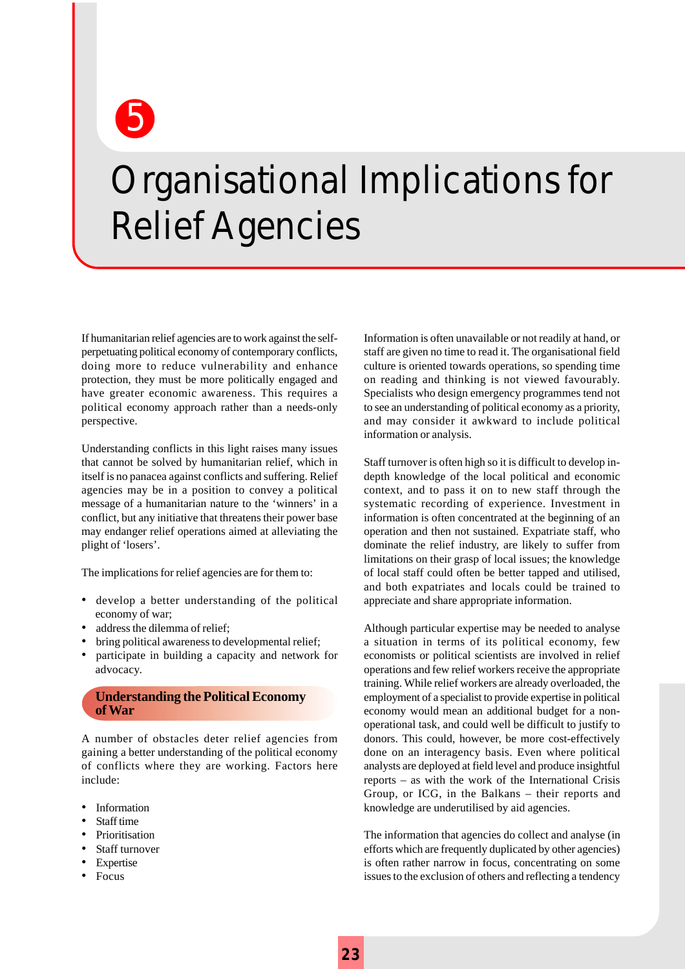5

## Organisational Implications for Relief Agencies

If humanitarian relief agencies are to work against the selfperpetuating political economy of contemporary conflicts, doing more to reduce vulnerability and enhance protection, they must be more politically engaged and have greater economic awareness. This requires a political economy approach rather than a needs-only perspective.

Understanding conflicts in this light raises many issues that cannot be solved by humanitarian relief, which in itself is no panacea against conflicts and suffering. Relief agencies may be in a position to convey a political message of a humanitarian nature to the 'winners' in a conflict, but any initiative that threatens their power base may endanger relief operations aimed at alleviating the plight of 'losers'.

The implications for relief agencies are for them to:

- develop a better understanding of the political economy of war;
- address the dilemma of relief;
- bring political awareness to developmental relief;
- participate in building a capacity and network for advocacy.

#### **Understanding the Political Economy of War**

A number of obstacles deter relief agencies from gaining a better understanding of the political economy of conflicts where they are working. Factors here include:

- Information
- Staff time
- Prioritisation
- Staff turnover
- Expertise
- Focus

Information is often unavailable or not readily at hand, or staff are given no time to read it. The organisational field culture is oriented towards operations, so spending time on reading and thinking is not viewed favourably. Specialists who design emergency programmes tend not to see an understanding of political economy as a priority, and may consider it awkward to include political information or analysis.

Staff turnover is often high so it is difficult to develop indepth knowledge of the local political and economic context, and to pass it on to new staff through the systematic recording of experience. Investment in information is often concentrated at the beginning of an operation and then not sustained. Expatriate staff, who dominate the relief industry, are likely to suffer from limitations on their grasp of local issues; the knowledge of local staff could often be better tapped and utilised, and both expatriates and locals could be trained to appreciate and share appropriate information.

Although particular expertise may be needed to analyse a situation in terms of its political economy, few economists or political scientists are involved in relief operations and few relief workers receive the appropriate training. While relief workers are already overloaded, the employment of a specialist to provide expertise in political economy would mean an additional budget for a nonoperational task, and could well be difficult to justify to donors. This could, however, be more cost-effectively done on an interagency basis. Even where political analysts are deployed at field level and produce insightful reports – as with the work of the International Crisis Group, or ICG, in the Balkans – their reports and knowledge are underutilised by aid agencies.

The information that agencies do collect and analyse (in efforts which are frequently duplicated by other agencies) is often rather narrow in focus, concentrating on some issues to the exclusion of others and reflecting a tendency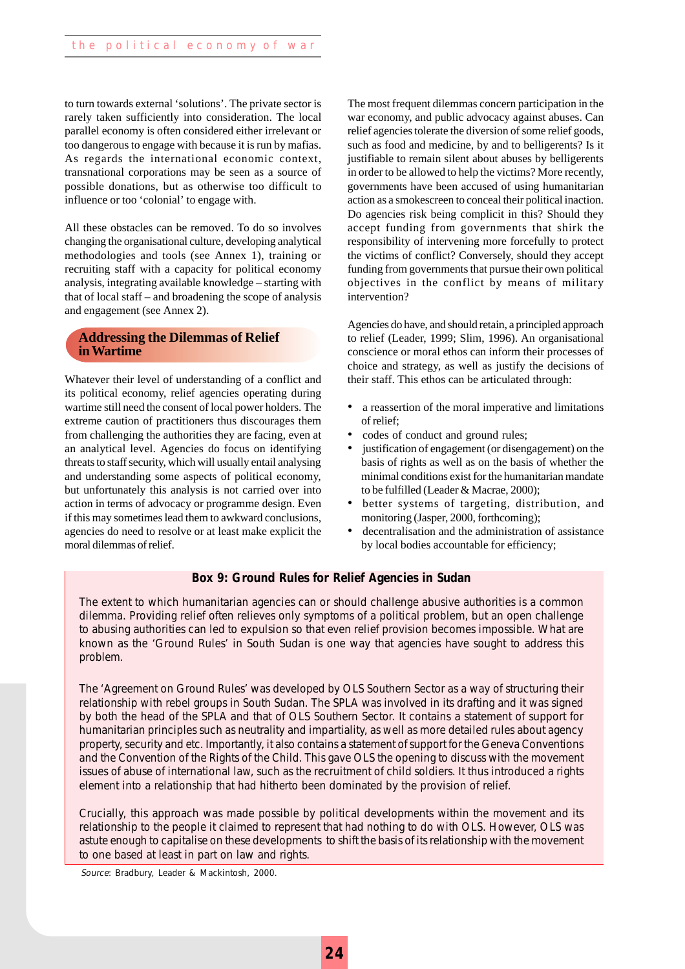to turn towards external 'solutions'. The private sector is rarely taken sufficiently into consideration. The local parallel economy is often considered either irrelevant or too dangerous to engage with because it is run by mafias. As regards the international economic context, transnational corporations may be seen as a source of possible donations, but as otherwise too difficult to influence or too 'colonial' to engage with.

All these obstacles can be removed. To do so involves changing the organisational culture, developing analytical methodologies and tools (see Annex 1), training or recruiting staff with a capacity for political economy analysis, integrating available knowledge – starting with that of local staff – and broadening the scope of analysis and engagement (see Annex 2).

#### **Addressing the Dilemmas of Relief in Wartime**

Whatever their level of understanding of a conflict and its political economy, relief agencies operating during wartime still need the consent of local power holders. The extreme caution of practitioners thus discourages them from challenging the authorities they are facing, even at an analytical level. Agencies do focus on identifying threats to staff security, which will usually entail analysing and understanding some aspects of political economy, but unfortunately this analysis is not carried over into action in terms of advocacy or programme design. Even if this may sometimes lead them to awkward conclusions, agencies do need to resolve or at least make explicit the moral dilemmas of relief.

The most frequent dilemmas concern participation in the war economy, and public advocacy against abuses. Can relief agencies tolerate the diversion of some relief goods, such as food and medicine, by and to belligerents? Is it justifiable to remain silent about abuses by belligerents in order to be allowed to help the victims? More recently, governments have been accused of using humanitarian action as a smokescreen to conceal their political inaction. Do agencies risk being complicit in this? Should they accept funding from governments that shirk the responsibility of intervening more forcefully to protect the victims of conflict? Conversely, should they accept funding from governments that pursue their own political objectives in the conflict by means of military intervention?

Agencies do have, and should retain, a principled approach to relief (Leader, 1999; Slim, 1996). An organisational conscience or moral ethos can inform their processes of choice and strategy, as well as justify the decisions of their staff. This ethos can be articulated through:

- a reassertion of the moral imperative and limitations of relief;
- codes of conduct and ground rules;
- justification of engagement (or disengagement) on the basis of rights as well as on the basis of whether the minimal conditions exist for the humanitarian mandate to be fulfilled (Leader & Macrae, 2000);
- better systems of targeting, distribution, and monitoring (Jasper, 2000, forthcoming);
- decentralisation and the administration of assistance by local bodies accountable for efficiency;

#### **Box 9: Ground Rules for Relief Agencies in Sudan**

The extent to which humanitarian agencies can or should challenge abusive authorities is a common dilemma. Providing relief often relieves only symptoms of a political problem, but an open challenge to abusing authorities can led to expulsion so that even relief provision becomes impossible. What are known as the 'Ground Rules' in South Sudan is one way that agencies have sought to address this problem.

The 'Agreement on Ground Rules' was developed by OLS Southern Sector as a way of structuring their relationship with rebel groups in South Sudan. The SPLA was involved in its drafting and it was signed by both the head of the SPLA and that of OLS Southern Sector. It contains a statement of support for humanitarian principles such as neutrality and impartiality, as well as more detailed rules about agency property, security and etc. Importantly, it also contains a statement of support for the Geneva Conventions and the Convention of the Rights of the Child. This gave OLS the opening to discuss with the movement issues of abuse of international law, such as the recruitment of child soldiers. It thus introduced a rights element into a relationship that had hitherto been dominated by the provision of relief.

Crucially, this approach was made possible by political developments within the movement and its relationship to the people it claimed to represent that had nothing to do with OLS. However, OLS was astute enough to capitalise on these developments to shift the basis of its relationship with the movement to one based at least in part on law and rights.

Source: Bradbury, Leader & Mackintosh, 2000.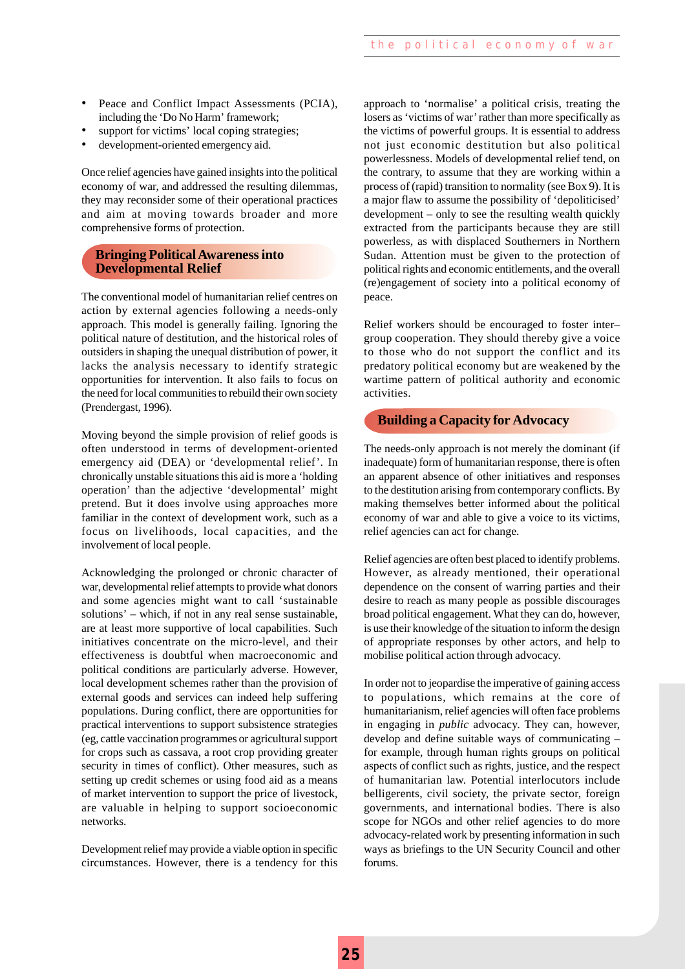- Peace and Conflict Impact Assessments (PCIA), including the 'Do No Harm' framework;
- support for victims' local coping strategies;
- development-oriented emergency aid.

Once relief agencies have gained insights into the political economy of war, and addressed the resulting dilemmas, they may reconsider some of their operational practices and aim at moving towards broader and more comprehensive forms of protection.

#### **Bringing Political Awareness into Developmental Relief**

The conventional model of humanitarian relief centres on action by external agencies following a needs-only approach. This model is generally failing. Ignoring the political nature of destitution, and the historical roles of outsiders in shaping the unequal distribution of power, it lacks the analysis necessary to identify strategic opportunities for intervention. It also fails to focus on the need for local communities to rebuild their own society (Prendergast, 1996).

Moving beyond the simple provision of relief goods is often understood in terms of development-oriented emergency aid (DEA) or 'developmental relief'. In chronically unstable situations this aid is more a 'holding operation' than the adjective 'developmental' might pretend. But it does involve using approaches more familiar in the context of development work, such as a focus on livelihoods, local capacities, and the involvement of local people.

Acknowledging the prolonged or chronic character of war, developmental relief attempts to provide what donors and some agencies might want to call 'sustainable solutions' – which, if not in any real sense sustainable, are at least more supportive of local capabilities. Such initiatives concentrate on the micro-level, and their effectiveness is doubtful when macroeconomic and political conditions are particularly adverse. However, local development schemes rather than the provision of external goods and services can indeed help suffering populations. During conflict, there are opportunities for practical interventions to support subsistence strategies (eg, cattle vaccination programmes or agricultural support for crops such as cassava, a root crop providing greater security in times of conflict). Other measures, such as setting up credit schemes or using food aid as a means of market intervention to support the price of livestock, are valuable in helping to support socioeconomic networks.

Development relief may provide a viable option in specific circumstances. However, there is a tendency for this approach to 'normalise' a political crisis, treating the losers as 'victims of war' rather than more specifically as the victims of powerful groups. It is essential to address not just economic destitution but also political powerlessness. Models of developmental relief tend, on the contrary, to assume that they are working within a process of (rapid) transition to normality (see Box 9). It is a major flaw to assume the possibility of 'depoliticised' development – only to see the resulting wealth quickly extracted from the participants because they are still powerless, as with displaced Southerners in Northern Sudan. Attention must be given to the protection of political rights and economic entitlements, and the overall (re)engagement of society into a political economy of peace.

Relief workers should be encouraged to foster inter– group cooperation. They should thereby give a voice to those who do not support the conflict and its predatory political economy but are weakened by the wartime pattern of political authority and economic activities.

#### **Building a Capacity for Advocacy**

The needs-only approach is not merely the dominant (if inadequate) form of humanitarian response, there is often an apparent absence of other initiatives and responses to the destitution arising from contemporary conflicts. By making themselves better informed about the political economy of war and able to give a voice to its victims, relief agencies can act for change.

Relief agencies are often best placed to identify problems. However, as already mentioned, their operational dependence on the consent of warring parties and their desire to reach as many people as possible discourages broad political engagement. What they can do, however, is use their knowledge of the situation to inform the design of appropriate responses by other actors, and help to mobilise political action through advocacy.

In order not to jeopardise the imperative of gaining access to populations, which remains at the core of humanitarianism, relief agencies will often face problems in engaging in *public* advocacy. They can, however, develop and define suitable ways of communicating – for example, through human rights groups on political aspects of conflict such as rights, justice, and the respect of humanitarian law. Potential interlocutors include belligerents, civil society, the private sector, foreign governments, and international bodies. There is also scope for NGOs and other relief agencies to do more advocacy-related work by presenting information in such ways as briefings to the UN Security Council and other forums.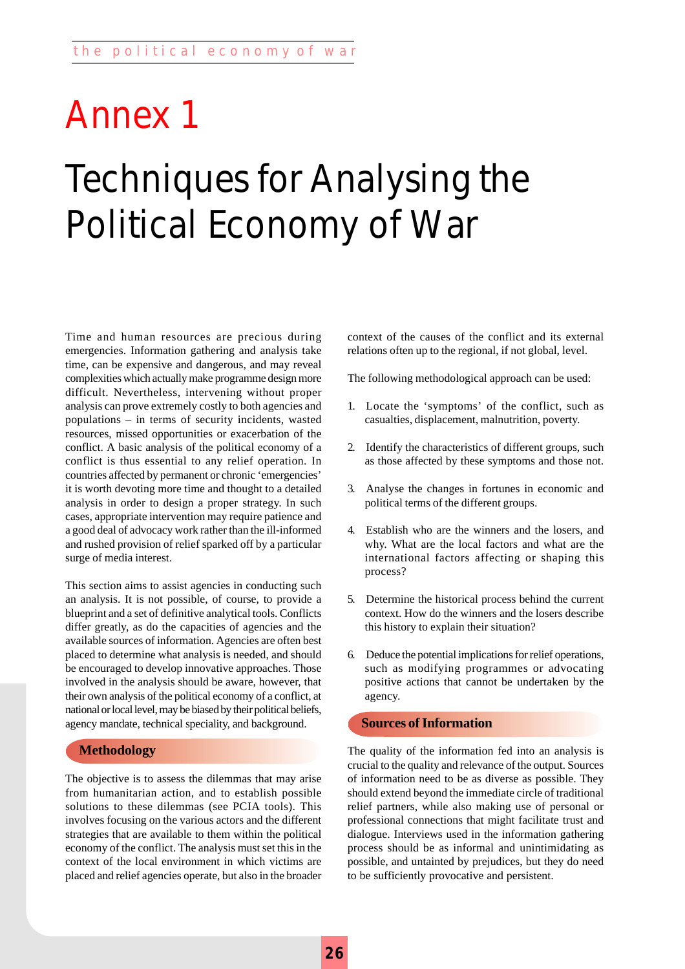# Techniques for Analysing the Political Economy of War Annex 1

Time and human resources are precious during emergencies. Information gathering and analysis take time, can be expensive and dangerous, and may reveal complexities which actually make programme design more difficult. Nevertheless, intervening without proper analysis can prove extremely costly to both agencies and populations – in terms of security incidents, wasted resources, missed opportunities or exacerbation of the conflict. A basic analysis of the political economy of a conflict is thus essential to any relief operation. In countries affected by permanent or chronic 'emergencies' it is worth devoting more time and thought to a detailed analysis in order to design a proper strategy. In such cases, appropriate intervention may require patience and a good deal of advocacy work rather than the ill-informed and rushed provision of relief sparked off by a particular surge of media interest.

This section aims to assist agencies in conducting such an analysis. It is not possible, of course, to provide a blueprint and a set of definitive analytical tools. Conflicts differ greatly, as do the capacities of agencies and the available sources of information. Agencies are often best placed to determine what analysis is needed, and should be encouraged to develop innovative approaches. Those involved in the analysis should be aware, however, that their own analysis of the political economy of a conflict, at national or local level, may be biased by their political beliefs, agency mandate, technical speciality, and background.

#### **Methodology**

The objective is to assess the dilemmas that may arise from humanitarian action, and to establish possible solutions to these dilemmas (see PCIA tools). This involves focusing on the various actors and the different strategies that are available to them within the political economy of the conflict. The analysis must set this in the context of the local environment in which victims are placed and relief agencies operate, but also in the broader context of the causes of the conflict and its external relations often up to the regional, if not global, level.

The following methodological approach can be used:

- 1. Locate the 'symptoms' of the conflict, such as casualties, displacement, malnutrition, poverty.
- 2. Identify the characteristics of different groups, such as those affected by these symptoms and those not.
- 3. Analyse the changes in fortunes in economic and political terms of the different groups.
- 4. Establish who are the winners and the losers, and why. What are the local factors and what are the international factors affecting or shaping this process?
- 5. Determine the historical process behind the current context. How do the winners and the losers describe this history to explain their situation?
- 6. Deduce the potential implications for relief operations, such as modifying programmes or advocating positive actions that cannot be undertaken by the agency.

#### **Sources of Information**

The quality of the information fed into an analysis is crucial to the quality and relevance of the output. Sources of information need to be as diverse as possible. They should extend beyond the immediate circle of traditional relief partners, while also making use of personal or professional connections that might facilitate trust and dialogue. Interviews used in the information gathering process should be as informal and unintimidating as possible, and untainted by prejudices, but they do need to be sufficiently provocative and persistent.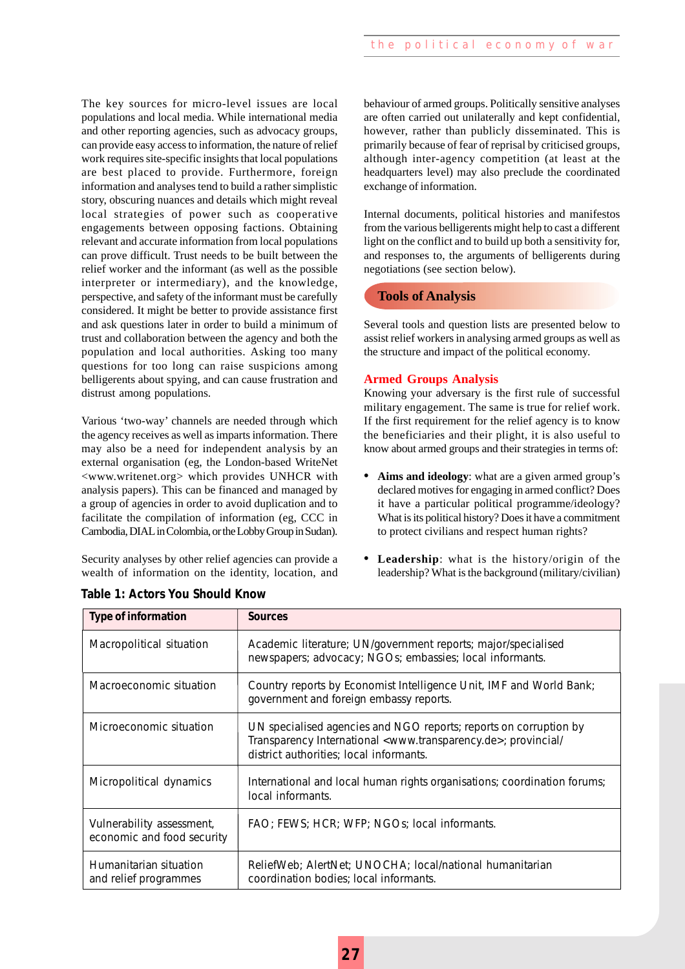The key sources for micro-level issues are local populations and local media. While international media and other reporting agencies, such as advocacy groups, can provide easy access to information, the nature of relief work requires site-specific insights that local populations are best placed to provide. Furthermore, foreign information and analyses tend to build a rather simplistic story, obscuring nuances and details which might reveal local strategies of power such as cooperative engagements between opposing factions. Obtaining relevant and accurate information from local populations can prove difficult. Trust needs to be built between the relief worker and the informant (as well as the possible interpreter or intermediary), and the knowledge, perspective, and safety of the informant must be carefully considered. It might be better to provide assistance first and ask questions later in order to build a minimum of trust and collaboration between the agency and both the population and local authorities. Asking too many questions for too long can raise suspicions among belligerents about spying, and can cause frustration and distrust among populations.

Various 'two-way' channels are needed through which the agency receives as well as imparts information. There may also be a need for independent analysis by an external organisation (eg, the London-based WriteNet <www.writenet.org> which provides UNHCR with analysis papers). This can be financed and managed by a group of agencies in order to avoid duplication and to facilitate the compilation of information (eg, CCC in Cambodia, DIAL in Colombia, or the Lobby Group in Sudan).

Security analyses by other relief agencies can provide a wealth of information on the identity, location, and behaviour of armed groups. Politically sensitive analyses are often carried out unilaterally and kept confidential, however, rather than publicly disseminated. This is primarily because of fear of reprisal by criticised groups, although inter-agency competition (at least at the headquarters level) may also preclude the coordinated exchange of information.

Internal documents, political histories and manifestos from the various belligerents might help to cast a different light on the conflict and to build up both a sensitivity for, and responses to, the arguments of belligerents during negotiations (see section below).

#### **Tools of Analysis**

Several tools and question lists are presented below to assist relief workers in analysing armed groups as well as the structure and impact of the political economy.

#### **Armed Groups Analysis**

Knowing your adversary is the first rule of successful military engagement. The same is true for relief work. If the first requirement for the relief agency is to know the beneficiaries and their plight, it is also useful to know about armed groups and their strategies in terms of:

- **• Aims and ideology**: what are a given armed group's declared motives for engaging in armed conflict? Does it have a particular political programme/ideology? What is its political history? Does it have a commitment to protect civilians and respect human rights?
- **• Leadership**: what is the history/origin of the leadership? What is the background (military/civilian)

| <b>Type of information</b>                              | <b>Sources</b>                                                                                                                                                                                       |
|---------------------------------------------------------|------------------------------------------------------------------------------------------------------------------------------------------------------------------------------------------------------|
| Macropolitical situation                                | Academic literature; UN/government reports; major/specialised<br>newspapers; advocacy; NGOs; embassies; local informants.                                                                            |
| Macroeconomic situation                                 | Country reports by Economist Intelligence Unit, IMF and World Bank;<br>government and foreign embassy reports.                                                                                       |
| Microeconomic situation                                 | UN specialised agencies and NGO reports; reports on corruption by<br>Transparency International <www.transparency.de>; provincial/<br/>district authorities; local informants.</www.transparency.de> |
| Micropolitical dynamics                                 | International and local human rights organisations; coordination forums;<br>local informants.                                                                                                        |
| Vulnerability assessment,<br>economic and food security | FAO; FEWS; HCR; WFP; NGOs; local informants.                                                                                                                                                         |
| Humanitarian situation<br>and relief programmes         | ReliefWeb; AlertNet; UNOCHA; local/national humanitarian<br>coordination bodies; local informants.                                                                                                   |

| Table 1: Actors You Should Know |  |  |
|---------------------------------|--|--|
|---------------------------------|--|--|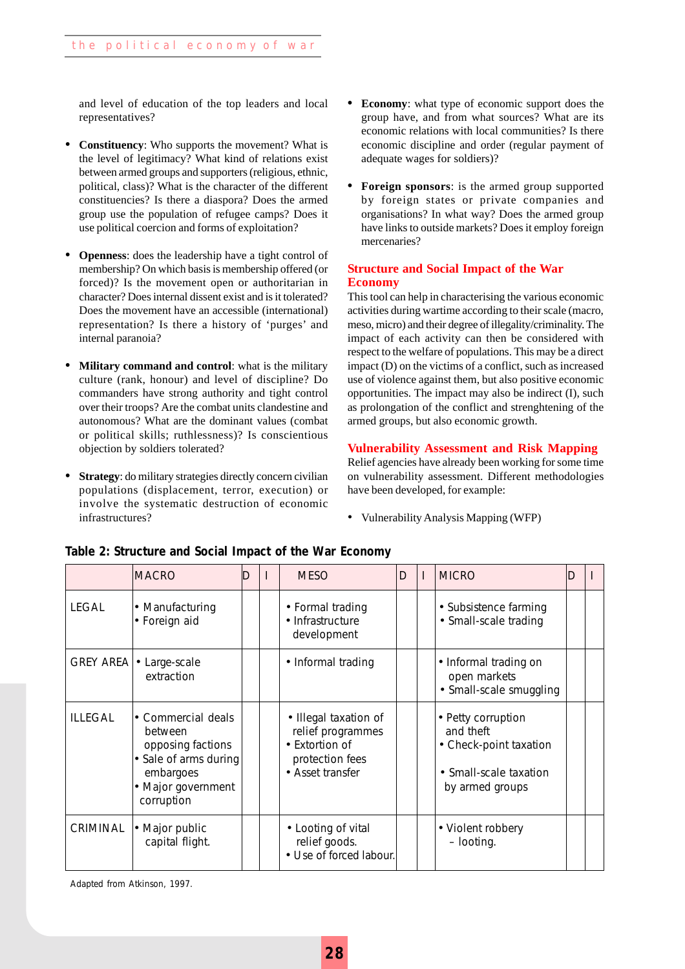and level of education of the top leaders and local representatives?

- **• Constituency**: Who supports the movement? What is the level of legitimacy? What kind of relations exist between armed groups and supporters (religious, ethnic, political, class)? What is the character of the different constituencies? Is there a diaspora? Does the armed group use the population of refugee camps? Does it use political coercion and forms of exploitation?
- **• Openness**: does the leadership have a tight control of membership? On which basis is membership offered (or forced)? Is the movement open or authoritarian in character? Does internal dissent exist and is it tolerated? Does the movement have an accessible (international) representation? Is there a history of 'purges' and internal paranoia?
- **• Military command and control**: what is the military culture (rank, honour) and level of discipline? Do commanders have strong authority and tight control over their troops? Are the combat units clandestine and autonomous? What are the dominant values (combat or political skills; ruthlessness)? Is conscientious objection by soldiers tolerated?
- **Strategy**: do military strategies directly concern civilian populations (displacement, terror, execution) or involve the systematic destruction of economic infrastructures?
- **• Economy**: what type of economic support does the group have, and from what sources? What are its economic relations with local communities? Is there economic discipline and order (regular payment of adequate wages for soldiers)?
- **• Foreign sponsors**: is the armed group supported by foreign states or private companies and organisations? In what way? Does the armed group have links to outside markets? Does it employ foreign mercenaries?

#### **Structure and Social Impact of the War Economy**

This tool can help in characterising the various economic activities during wartime according to their scale (macro, meso, micro) and their degree of illegality/criminality. The impact of each activity can then be considered with respect to the welfare of populations. This may be a direct impact (D) on the victims of a conflict, such as increased use of violence against them, but also positive economic opportunities. The impact may also be indirect (I), such as prolongation of the conflict and strenghtening of the armed groups, but also economic growth.

#### **Vulnerability Assessment and Risk Mapping**

Relief agencies have already been working for some time on vulnerability assessment. Different methodologies have been developed, for example:

• Vulnerability Analysis Mapping (WFP)

|                  | <b>MACRO</b>                                                                                                                 | ID | <b>MESO</b>                                                                                         | D | <b>MICRO</b>                                                                                           | D |  |
|------------------|------------------------------------------------------------------------------------------------------------------------------|----|-----------------------------------------------------------------------------------------------------|---|--------------------------------------------------------------------------------------------------------|---|--|
| LEGAL            | • Manufacturing<br>• Foreign aid                                                                                             |    | • Formal trading<br>• Infrastructure<br>development                                                 |   | • Subsistence farming<br>• Small-scale trading                                                         |   |  |
| <b>GREY AREA</b> | • Large-scale<br>extraction                                                                                                  |    | • Informal trading                                                                                  |   | • Informal trading on<br>open markets<br>• Small-scale smuggling                                       |   |  |
| <b>ILLEGAL</b>   | • Commercial deals<br>between<br>opposing factions<br>• Sale of arms during<br>embargoes<br>• Major government<br>corruption |    | • Illegal taxation of<br>relief programmes<br>• Extortion of<br>protection fees<br>• Asset transfer |   | • Petty corruption<br>and theft<br>• Check-point taxation<br>• Small-scale taxation<br>by armed groups |   |  |
| CRIMINAL         | • Major public<br>capital flight.                                                                                            |    | • Looting of vital<br>relief goods.<br>• Use of forced labour.                                      |   | • Violent robbery<br>- looting.                                                                        |   |  |

#### **Table 2: Structure and Social Impact of the War Economy**

Adapted from Atkinson, 1997.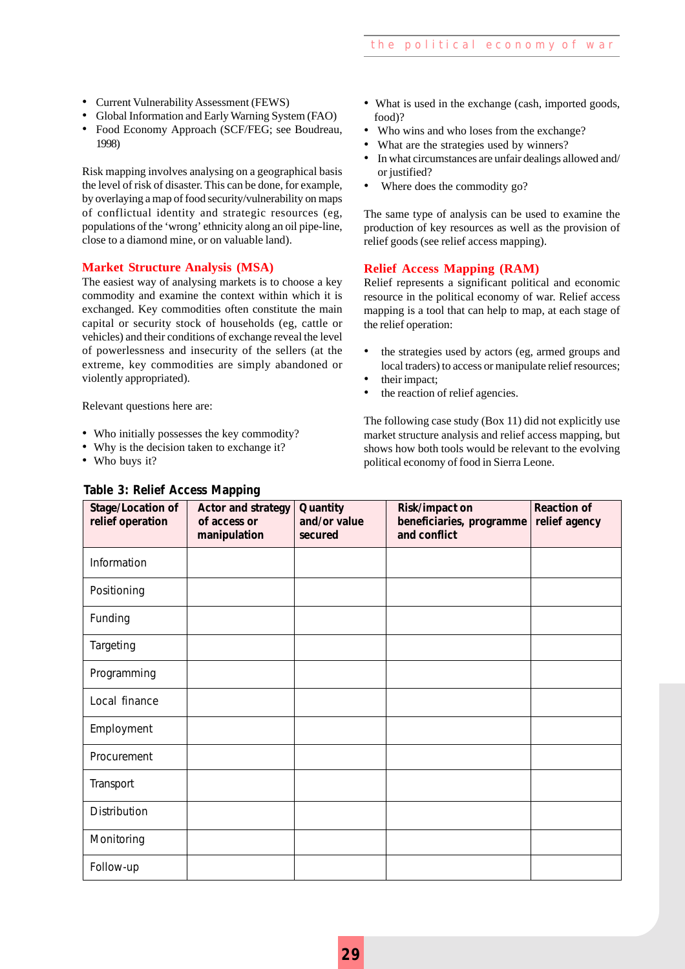- Current Vulnerability Assessment (FEWS)
- Global Information and Early Warning System (FAO)
- Food Economy Approach (SCF/FEG; see Boudreau, 1998)

Risk mapping involves analysing on a geographical basis the level of risk of disaster. This can be done, for example, by overlaying a map of food security/vulnerability on maps of conflictual identity and strategic resources (eg, populations of the 'wrong' ethnicity along an oil pipe-line, close to a diamond mine, or on valuable land).

#### **Market Structure Analysis (MSA)**

The easiest way of analysing markets is to choose a key commodity and examine the context within which it is exchanged. Key commodities often constitute the main capital or security stock of households (eg, cattle or vehicles) and their conditions of exchange reveal the level of powerlessness and insecurity of the sellers (at the extreme, key commodities are simply abandoned or violently appropriated).

Relevant questions here are:

- Who initially possesses the key commodity?
- Why is the decision taken to exchange it?
- Who buys it?

#### **Table 3: Relief Access Mapping**

- What is used in the exchange (cash, imported goods, food)?
- Who wins and who loses from the exchange?
- What are the strategies used by winners?
- In what circumstances are unfair dealings allowed and/ or justified?
- Where does the commodity go?

The same type of analysis can be used to examine the production of key resources as well as the provision of relief goods (see relief access mapping).

#### **Relief Access Mapping (RAM)**

Relief represents a significant political and economic resource in the political economy of war. Relief access mapping is a tool that can help to map, at each stage of the relief operation:

- the strategies used by actors (eg, armed groups and local traders) to access or manipulate relief resources;
- their impact:
- the reaction of relief agencies.

The following case study (Box 11) did not explicitly use market structure analysis and relief access mapping, but shows how both tools would be relevant to the evolving political economy of food in Sierra Leone.

| Stage/Location of<br>relief operation | . .<br>◡<br><b>Actor and strategy</b><br>of access or<br>manipulation | Quantity<br>and/or value<br>secured | Risk/impact on<br>beneficiaries, programme<br>and conflict | <b>Reaction of</b><br>relief agency |
|---------------------------------------|-----------------------------------------------------------------------|-------------------------------------|------------------------------------------------------------|-------------------------------------|
| Information                           |                                                                       |                                     |                                                            |                                     |
| Positioning                           |                                                                       |                                     |                                                            |                                     |
| Funding                               |                                                                       |                                     |                                                            |                                     |
| Targeting                             |                                                                       |                                     |                                                            |                                     |
| Programming                           |                                                                       |                                     |                                                            |                                     |
| Local finance                         |                                                                       |                                     |                                                            |                                     |
| Employment                            |                                                                       |                                     |                                                            |                                     |
| Procurement                           |                                                                       |                                     |                                                            |                                     |
| Transport                             |                                                                       |                                     |                                                            |                                     |
| Distribution                          |                                                                       |                                     |                                                            |                                     |
| Monitoring                            |                                                                       |                                     |                                                            |                                     |
| Follow-up                             |                                                                       |                                     |                                                            |                                     |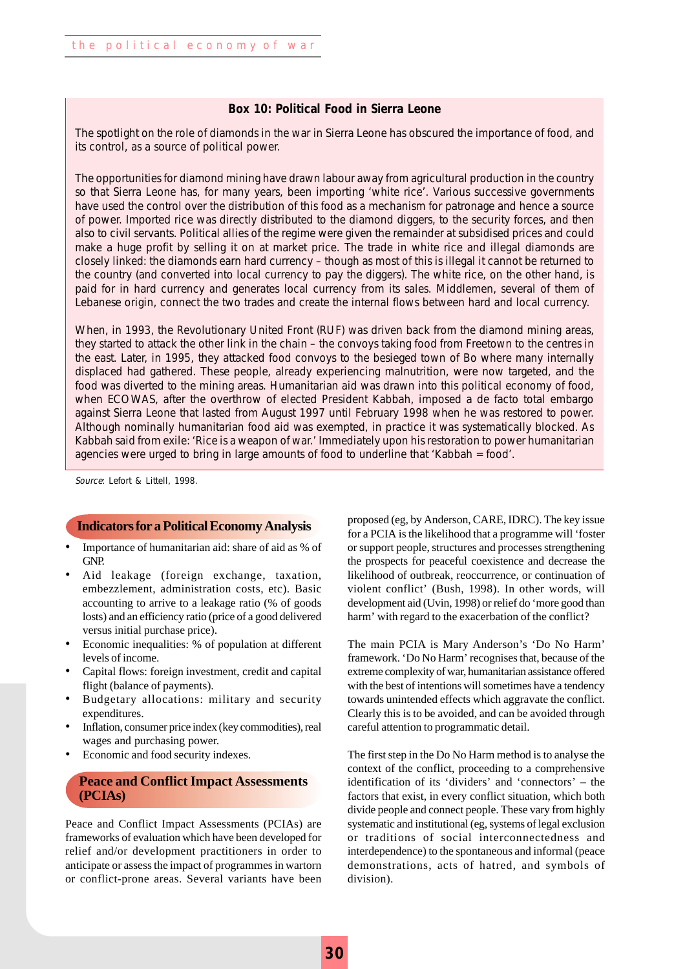#### **Box 10: Political Food in Sierra Leone**

The spotlight on the role of diamonds in the war in Sierra Leone has obscured the importance of food, and its control, as a source of political power.

The opportunities for diamond mining have drawn labour away from agricultural production in the country so that Sierra Leone has, for many years, been importing 'white rice'. Various successive governments have used the control over the distribution of this food as a mechanism for patronage and hence a source of power. Imported rice was directly distributed to the diamond diggers, to the security forces, and then also to civil servants. Political allies of the regime were given the remainder at subsidised prices and could make a huge profit by selling it on at market price. The trade in white rice and illegal diamonds are closely linked: the diamonds earn hard currency – though as most of this is illegal it cannot be returned to the country (and converted into local currency to pay the diggers). The white rice, on the other hand, is paid for in hard currency and generates local currency from its sales. Middlemen, several of them of Lebanese origin, connect the two trades and create the internal flows between hard and local currency.

When, in 1993, the Revolutionary United Front (RUF) was driven back from the diamond mining areas, they started to attack the other link in the chain – the convoys taking food from Freetown to the centres in the east. Later, in 1995, they attacked food convoys to the besieged town of Bo where many internally displaced had gathered. These people, already experiencing malnutrition, were now targeted, and the food was diverted to the mining areas. Humanitarian aid was drawn into this political economy of food, when ECOWAS, after the overthrow of elected President Kabbah, imposed a de facto total embargo against Sierra Leone that lasted from August 1997 until February 1998 when he was restored to power. Although nominally humanitarian food aid was exempted, in practice it was systematically blocked. As Kabbah said from exile: 'Rice is a weapon of war.' Immediately upon his restoration to power humanitarian agencies were urged to bring in large amounts of food to underline that 'Kabbah = food'.

Source: Lefort & Littell, 1998.

#### **Indicators for a Political Economy Analysis**

- Importance of humanitarian aid: share of aid as % of GNP.
- Aid leakage (foreign exchange, taxation, embezzlement, administration costs, etc). Basic accounting to arrive to a leakage ratio (% of goods losts) and an efficiency ratio (price of a good delivered versus initial purchase price).
- Economic inequalities: % of population at different levels of income.
- Capital flows: foreign investment, credit and capital flight (balance of payments).
- Budgetary allocations: military and security expenditures.
- Inflation, consumer price index (key commodities), real wages and purchasing power.
- Economic and food security indexes.

#### **Peace and Conflict Impact Assessments (PCIAs)**

Peace and Conflict Impact Assessments (PCIAs) are frameworks of evaluation which have been developed for relief and/or development practitioners in order to anticipate or assess the impact of programmes in wartorn or conflict-prone areas. Several variants have been proposed (eg, by Anderson, CARE, IDRC). The key issue for a PCIA is the likelihood that a programme will 'foster or support people, structures and processes strengthening the prospects for peaceful coexistence and decrease the likelihood of outbreak, reoccurrence, or continuation of violent conflict' (Bush, 1998). In other words, will development aid (Uvin, 1998) or relief do 'more good than harm' with regard to the exacerbation of the conflict?

The main PCIA is Mary Anderson's 'Do No Harm' framework. 'Do No Harm' recognises that, because of the extreme complexity of war, humanitarian assistance offered with the best of intentions will sometimes have a tendency towards unintended effects which aggravate the conflict. Clearly this is to be avoided, and can be avoided through careful attention to programmatic detail.

The first step in the Do No Harm method is to analyse the context of the conflict, proceeding to a comprehensive identification of its 'dividers' and 'connectors' – the factors that exist, in every conflict situation, which both divide people and connect people. These vary from highly systematic and institutional (eg, systems of legal exclusion or traditions of social interconnectedness and interdependence) to the spontaneous and informal (peace demonstrations, acts of hatred, and symbols of division).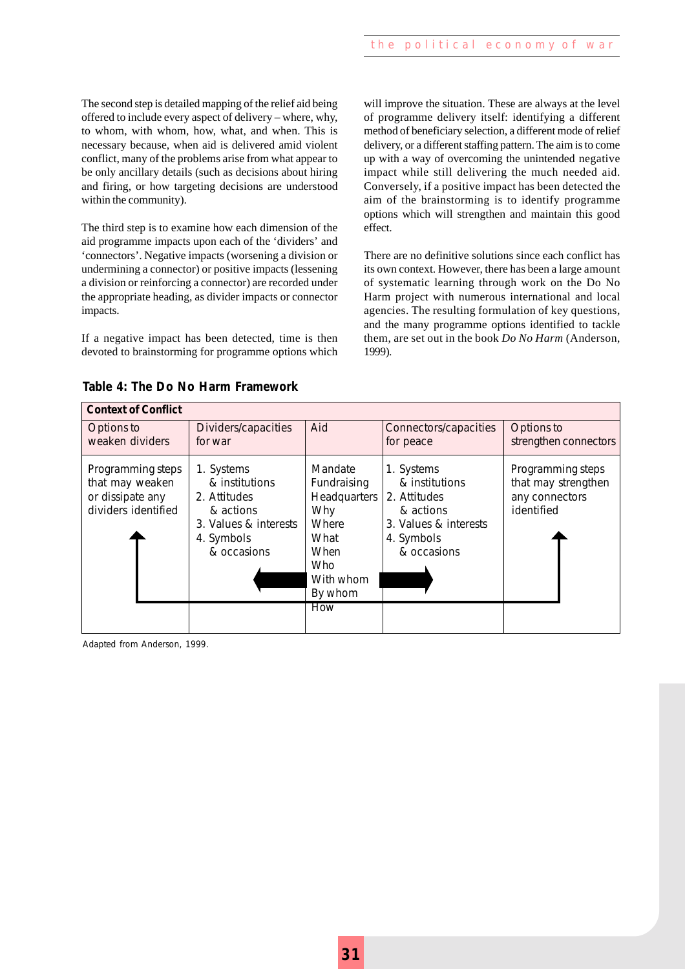The second step is detailed mapping of the relief aid being offered to include every aspect of delivery – where, why, to whom, with whom, how, what, and when. This is necessary because, when aid is delivered amid violent conflict, many of the problems arise from what appear to be only ancillary details (such as decisions about hiring and firing, or how targeting decisions are understood within the community).

The third step is to examine how each dimension of the aid programme impacts upon each of the 'dividers' and 'connectors'. Negative impacts (worsening a division or undermining a connector) or positive impacts (lessening a division or reinforcing a connector) are recorded under the appropriate heading, as divider impacts or connector impacts.

If a negative impact has been detected, time is then devoted to brainstorming for programme options which will improve the situation. These are always at the level of programme delivery itself: identifying a different method of beneficiary selection, a different mode of relief delivery, or a different staffing pattern. The aim is to come up with a way of overcoming the unintended negative impact while still delivering the much needed aid. Conversely, if a positive impact has been detected the aim of the brainstorming is to identify programme options which will strengthen and maintain this good effect.

There are no definitive solutions since each conflict has its own context. However, there has been a large amount of systematic learning through work on the Do No Harm project with numerous international and local agencies. The resulting formulation of key questions, and the many programme options identified to tackle them, are set out in the book *Do No Harm* (Anderson, 1999).

|  |  |  |  |  | Table 4: The Do No Harm Framework |
|--|--|--|--|--|-----------------------------------|
|--|--|--|--|--|-----------------------------------|

| <b>Context of Conflict</b>                                                      |                                                                                                                 |                                                                                                                |                                                                                                 |                                                                          |
|---------------------------------------------------------------------------------|-----------------------------------------------------------------------------------------------------------------|----------------------------------------------------------------------------------------------------------------|-------------------------------------------------------------------------------------------------|--------------------------------------------------------------------------|
| Options to<br>weaken dividers                                                   | Dividers/capacities<br>for war                                                                                  | Aid                                                                                                            | Connectors/capacities<br>for peace                                                              | Options to<br>strengthen connectors                                      |
| Programming steps<br>that may weaken<br>or dissipate any<br>dividers identified | 1. Systems<br>& institutions<br>2. Attitudes<br>& actions<br>3. Values & interests<br>4. Symbols<br>& occasions | Mandate<br>Fundraising<br>Headquarters 2. Attitudes<br>Why<br>Where<br>What<br>When<br><b>Who</b><br>With whom | 1. Systems<br>& institutions<br>& actions<br>3. Values & interests<br>4. Symbols<br>& occasions | Programming steps<br>that may strengthen<br>any connectors<br>identified |
|                                                                                 |                                                                                                                 | By whom<br><b>How</b>                                                                                          |                                                                                                 |                                                                          |

Adapted from Anderson, 1999.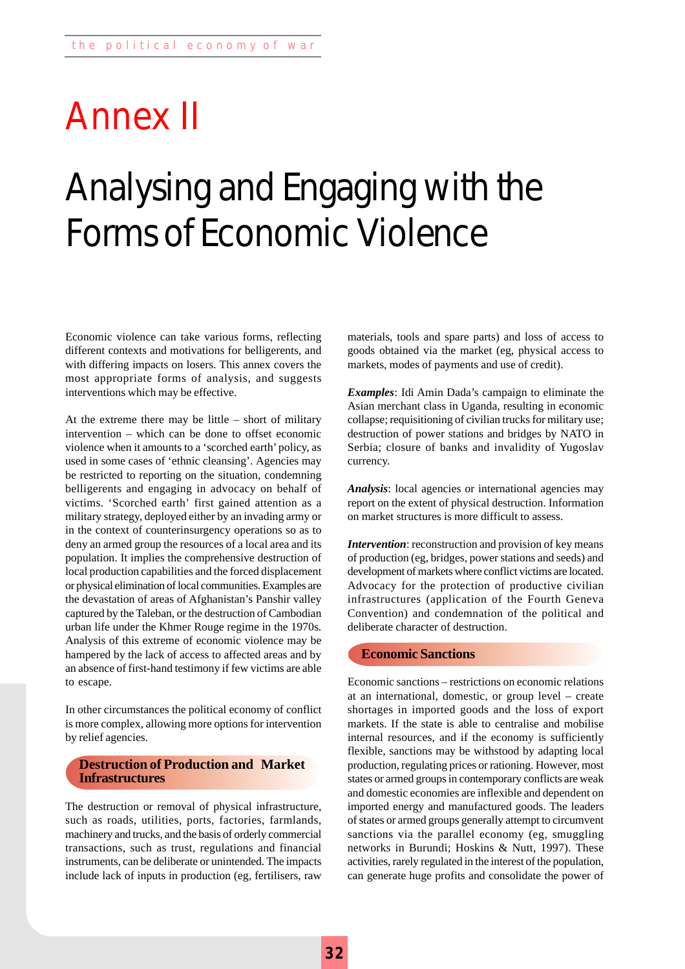## Annex II

## Analysing and Engaging with the Forms of Economic Violence

Economic violence can take various forms, reflecting different contexts and motivations for belligerents, and with differing impacts on losers. This annex covers the most appropriate forms of analysis, and suggests interventions which may be effective.

At the extreme there may be little – short of military intervention – which can be done to offset economic violence when it amounts to a 'scorched earth' policy, as used in some cases of 'ethnic cleansing'. Agencies may be restricted to reporting on the situation, condemning belligerents and engaging in advocacy on behalf of victims. 'Scorched earth' first gained attention as a military strategy, deployed either by an invading army or in the context of counterinsurgency operations so as to deny an armed group the resources of a local area and its population. It implies the comprehensive destruction of local production capabilities and the forced displacement or physical elimination of local communities. Examples are the devastation of areas of Afghanistan's Panshir valley captured by the Taleban, or the destruction of Cambodian urban life under the Khmer Rouge regime in the 1970s. Analysis of this extreme of economic violence may be hampered by the lack of access to affected areas and by an absence of first-hand testimony if few victims are able to escape.

In other circumstances the political economy of conflict is more complex, allowing more options for intervention by relief agencies.

#### **Destruction of Production and Market Infrastructures**

The destruction or removal of physical infrastructure, such as roads, utilities, ports, factories, farmlands, machinery and trucks, and the basis of orderly commercial transactions, such as trust, regulations and financial instruments, can be deliberate or unintended. The impacts include lack of inputs in production (eg, fertilisers, raw materials, tools and spare parts) and loss of access to goods obtained via the market (eg, physical access to markets, modes of payments and use of credit).

*Examples*: Idi Amin Dada's campaign to eliminate the Asian merchant class in Uganda, resulting in economic collapse; requisitioning of civilian trucks for military use; destruction of power stations and bridges by NATO in Serbia; closure of banks and invalidity of Yugoslav currency.

*Analysis*: local agencies or international agencies may report on the extent of physical destruction. Information on market structures is more difficult to assess.

*Intervention*: reconstruction and provision of key means of production (eg, bridges, power stations and seeds) and development of markets where conflict victims are located. Advocacy for the protection of productive civilian infrastructures (application of the Fourth Geneva Convention) and condemnation of the political and deliberate character of destruction.

#### **Economic Sanctions**

Economic sanctions – restrictions on economic relations at an international, domestic, or group level – create shortages in imported goods and the loss of export markets. If the state is able to centralise and mobilise internal resources, and if the economy is sufficiently flexible, sanctions may be withstood by adapting local production, regulating prices or rationing. However, most states or armed groups in contemporary conflicts are weak and domestic economies are inflexible and dependent on imported energy and manufactured goods. The leaders of states or armed groups generally attempt to circumvent sanctions via the parallel economy (eg, smuggling networks in Burundi; Hoskins & Nutt, 1997). These activities, rarely regulated in the interest of the population, can generate huge profits and consolidate the power of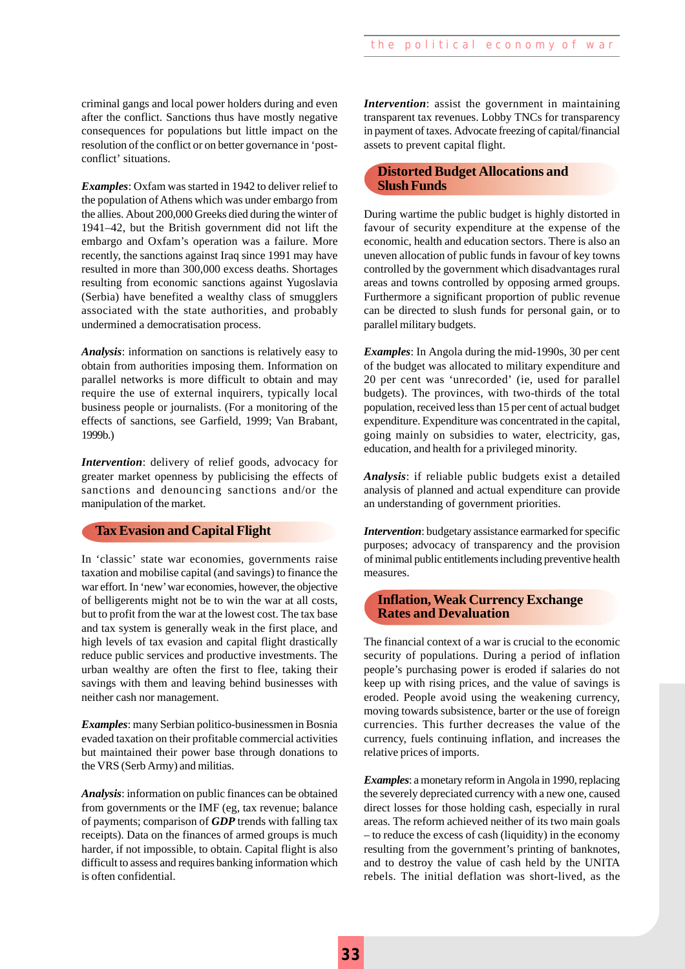criminal gangs and local power holders during and even after the conflict. Sanctions thus have mostly negative consequences for populations but little impact on the resolution of the conflict or on better governance in 'postconflict' situations.

*Examples*: Oxfam was started in 1942 to deliver relief to the population of Athens which was under embargo from the allies. About 200,000 Greeks died during the winter of 1941–42, but the British government did not lift the embargo and Oxfam's operation was a failure. More recently, the sanctions against Iraq since 1991 may have resulted in more than 300,000 excess deaths. Shortages resulting from economic sanctions against Yugoslavia (Serbia) have benefited a wealthy class of smugglers associated with the state authorities, and probably undermined a democratisation process.

*Analysis*: information on sanctions is relatively easy to obtain from authorities imposing them. Information on parallel networks is more difficult to obtain and may require the use of external inquirers, typically local business people or journalists. (For a monitoring of the effects of sanctions, see Garfield, 1999; Van Brabant, 1999b.)

*Intervention*: delivery of relief goods, advocacy for greater market openness by publicising the effects of sanctions and denouncing sanctions and/or the manipulation of the market.

#### **Tax Evasion and Capital Flight**

In 'classic' state war economies, governments raise taxation and mobilise capital (and savings) to finance the war effort. In 'new' war economies, however, the objective of belligerents might not be to win the war at all costs, but to profit from the war at the lowest cost. The tax base and tax system is generally weak in the first place, and high levels of tax evasion and capital flight drastically reduce public services and productive investments. The urban wealthy are often the first to flee, taking their savings with them and leaving behind businesses with neither cash nor management.

*Examples*: many Serbian politico-businessmen in Bosnia evaded taxation on their profitable commercial activities but maintained their power base through donations to the VRS (Serb Army) and militias.

*Analysis*: information on public finances can be obtained from governments or the IMF (eg, tax revenue; balance of payments; comparison of *GDP* trends with falling tax receipts). Data on the finances of armed groups is much harder, if not impossible, to obtain. Capital flight is also difficult to assess and requires banking information which is often confidential.

*Intervention*: assist the government in maintaining transparent tax revenues. Lobby TNCs for transparency in payment of taxes. Advocate freezing of capital/financial assets to prevent capital flight.

#### **Distorted Budget Allocations and Slush Funds**

During wartime the public budget is highly distorted in favour of security expenditure at the expense of the economic, health and education sectors. There is also an uneven allocation of public funds in favour of key towns controlled by the government which disadvantages rural areas and towns controlled by opposing armed groups. Furthermore a significant proportion of public revenue can be directed to slush funds for personal gain, or to parallel military budgets.

*Examples*: In Angola during the mid-1990s, 30 per cent of the budget was allocated to military expenditure and 20 per cent was 'unrecorded' (ie, used for parallel budgets). The provinces, with two-thirds of the total population, received less than 15 per cent of actual budget expenditure. Expenditure was concentrated in the capital, going mainly on subsidies to water, electricity, gas, education, and health for a privileged minority.

*Analysis*: if reliable public budgets exist a detailed analysis of planned and actual expenditure can provide an understanding of government priorities.

*Intervention*: budgetary assistance earmarked for specific purposes; advocacy of transparency and the provision of minimal public entitlements including preventive health measures.

#### **Inflation, Weak Currency Exchange Rates and Devaluation**

The financial context of a war is crucial to the economic security of populations. During a period of inflation people's purchasing power is eroded if salaries do not keep up with rising prices, and the value of savings is eroded. People avoid using the weakening currency, moving towards subsistence, barter or the use of foreign currencies. This further decreases the value of the currency, fuels continuing inflation, and increases the relative prices of imports.

*Examples*: a monetary reform in Angola in 1990, replacing the severely depreciated currency with a new one, caused direct losses for those holding cash, especially in rural areas. The reform achieved neither of its two main goals – to reduce the excess of cash (liquidity) in the economy resulting from the government's printing of banknotes, and to destroy the value of cash held by the UNITA rebels. The initial deflation was short-lived, as the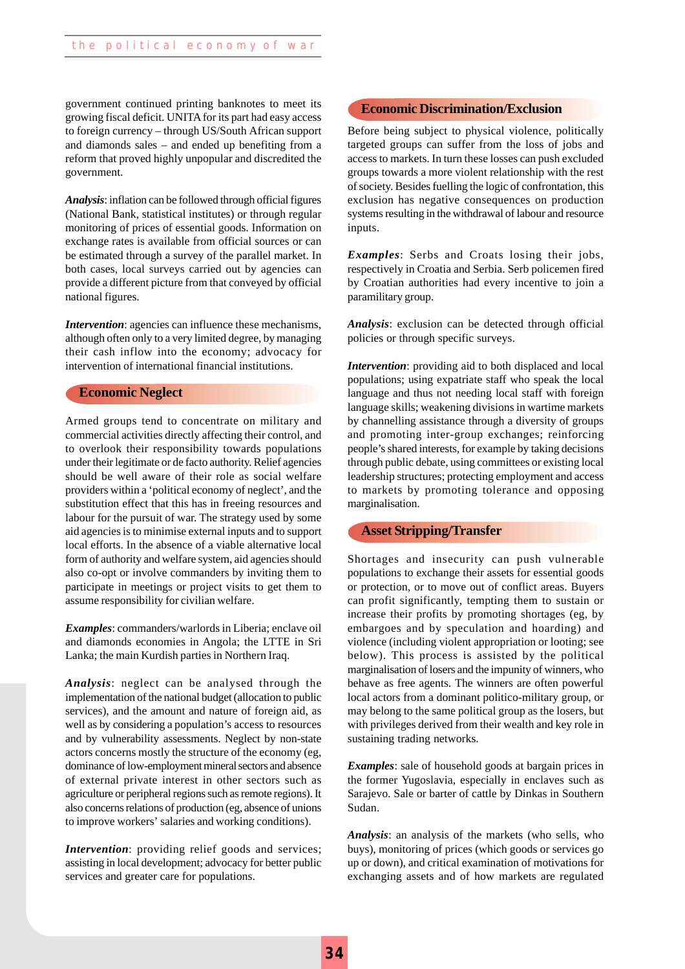government continued printing banknotes to meet its **Economic Discrimination/Exclusion** growing fiscal deficit. UNITA for its part had easy access to foreign currency – through US/South African support and diamonds sales – and ended up benefiting from a reform that proved highly unpopular and discredited the government.

*Analysis*: inflation can be followed through official figures (National Bank, statistical institutes) or through regular monitoring of prices of essential goods. Information on exchange rates is available from official sources or can be estimated through a survey of the parallel market. In both cases, local surveys carried out by agencies can provide a different picture from that conveyed by official national figures.

*Intervention*: agencies can influence these mechanisms, although often only to a very limited degree, by managing their cash inflow into the economy; advocacy for intervention of international financial institutions.

#### **Economic Neglect**

Armed groups tend to concentrate on military and commercial activities directly affecting their control, and to overlook their responsibility towards populations under their legitimate or de facto authority. Relief agencies should be well aware of their role as social welfare providers within a 'political economy of neglect', and the substitution effect that this has in freeing resources and labour for the pursuit of war. The strategy used by some aid agencies is to minimise external inputs and to support local efforts. In the absence of a viable alternative local form of authority and welfare system, aid agencies should also co-opt or involve commanders by inviting them to participate in meetings or project visits to get them to assume responsibility for civilian welfare.

*Examples*: commanders/warlords in Liberia; enclave oil and diamonds economies in Angola; the LTTE in Sri Lanka; the main Kurdish parties in Northern Iraq.

*Analysis*: neglect can be analysed through the implementation of the national budget (allocation to public services), and the amount and nature of foreign aid, as well as by considering a population's access to resources and by vulnerability assessments. Neglect by non-state actors concerns mostly the structure of the economy (eg, dominance of low-employment mineral sectors and absence of external private interest in other sectors such as agriculture or peripheral regions such as remote regions). It also concerns relations of production (eg, absence of unions to improve workers' salaries and working conditions).

*Intervention*: providing relief goods and services; assisting in local development; advocacy for better public services and greater care for populations.

Before being subject to physical violence, politically targeted groups can suffer from the loss of jobs and access to markets. In turn these losses can push excluded groups towards a more violent relationship with the rest of society. Besides fuelling the logic of confrontation, this exclusion has negative consequences on production systems resulting in the withdrawal of labour and resource inputs.

*Examples*: Serbs and Croats losing their jobs, respectively in Croatia and Serbia. Serb policemen fired by Croatian authorities had every incentive to join a paramilitary group.

*Analysis*: exclusion can be detected through official policies or through specific surveys.

*Intervention*: providing aid to both displaced and local populations; using expatriate staff who speak the local language and thus not needing local staff with foreign language skills; weakening divisions in wartime markets by channelling assistance through a diversity of groups and promoting inter-group exchanges; reinforcing people's shared interests, for example by taking decisions through public debate, using committees or existing local leadership structures; protecting employment and access to markets by promoting tolerance and opposing marginalisation.

#### **Asset Stripping/Transfer**

Shortages and insecurity can push vulnerable populations to exchange their assets for essential goods or protection, or to move out of conflict areas. Buyers can profit significantly, tempting them to sustain or increase their profits by promoting shortages (eg, by embargoes and by speculation and hoarding) and violence (including violent appropriation or looting; see below). This process is assisted by the political marginalisation of losers and the impunity of winners, who behave as free agents. The winners are often powerful local actors from a dominant politico-military group, or may belong to the same political group as the losers, but with privileges derived from their wealth and key role in sustaining trading networks.

*Examples*: sale of household goods at bargain prices in the former Yugoslavia, especially in enclaves such as Sarajevo. Sale or barter of cattle by Dinkas in Southern Sudan.

*Analysis*: an analysis of the markets (who sells, who buys), monitoring of prices (which goods or services go up or down), and critical examination of motivations for exchanging assets and of how markets are regulated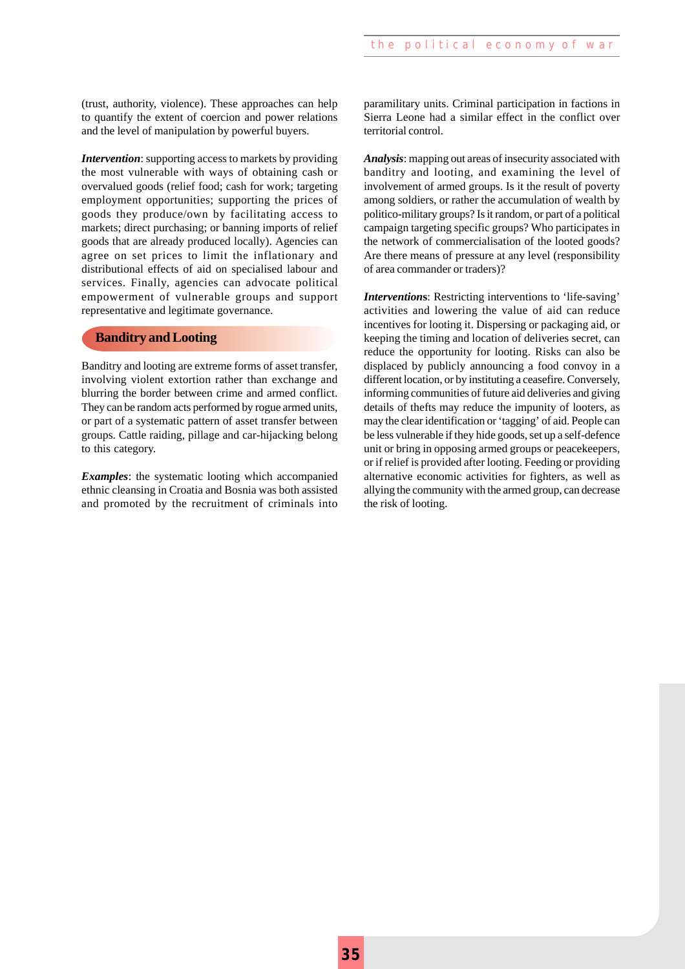(trust, authority, violence). These approaches can help to quantify the extent of coercion and power relations and the level of manipulation by powerful buyers.

*Intervention*: supporting access to markets by providing the most vulnerable with ways of obtaining cash or overvalued goods (relief food; cash for work; targeting employment opportunities; supporting the prices of goods they produce/own by facilitating access to markets; direct purchasing; or banning imports of relief goods that are already produced locally). Agencies can agree on set prices to limit the inflationary and distributional effects of aid on specialised labour and services. Finally, agencies can advocate political empowerment of vulnerable groups and support representative and legitimate governance.

#### **Banditry and Looting**

Banditry and looting are extreme forms of asset transfer, involving violent extortion rather than exchange and blurring the border between crime and armed conflict. They can be random acts performed by rogue armed units, or part of a systematic pattern of asset transfer between groups. Cattle raiding, pillage and car-hijacking belong to this category.

*Examples*: the systematic looting which accompanied ethnic cleansing in Croatia and Bosnia was both assisted and promoted by the recruitment of criminals into paramilitary units. Criminal participation in factions in Sierra Leone had a similar effect in the conflict over territorial control.

*Analysis*: mapping out areas of insecurity associated with banditry and looting, and examining the level of involvement of armed groups. Is it the result of poverty among soldiers, or rather the accumulation of wealth by politico-military groups? Is it random, or part of a political campaign targeting specific groups? Who participates in the network of commercialisation of the looted goods? Are there means of pressure at any level (responsibility of area commander or traders)?

*Intervention***s**: Restricting interventions to 'life-saving' activities and lowering the value of aid can reduce incentives for looting it. Dispersing or packaging aid, or keeping the timing and location of deliveries secret, can reduce the opportunity for looting. Risks can also be displaced by publicly announcing a food convoy in a different location, or by instituting a ceasefire. Conversely, informing communities of future aid deliveries and giving details of thefts may reduce the impunity of looters, as may the clear identification or 'tagging' of aid. People can be less vulnerable if they hide goods, set up a self-defence unit or bring in opposing armed groups or peacekeepers, or if relief is provided after looting. Feeding or providing alternative economic activities for fighters, as well as allying the community with the armed group, can decrease the risk of looting.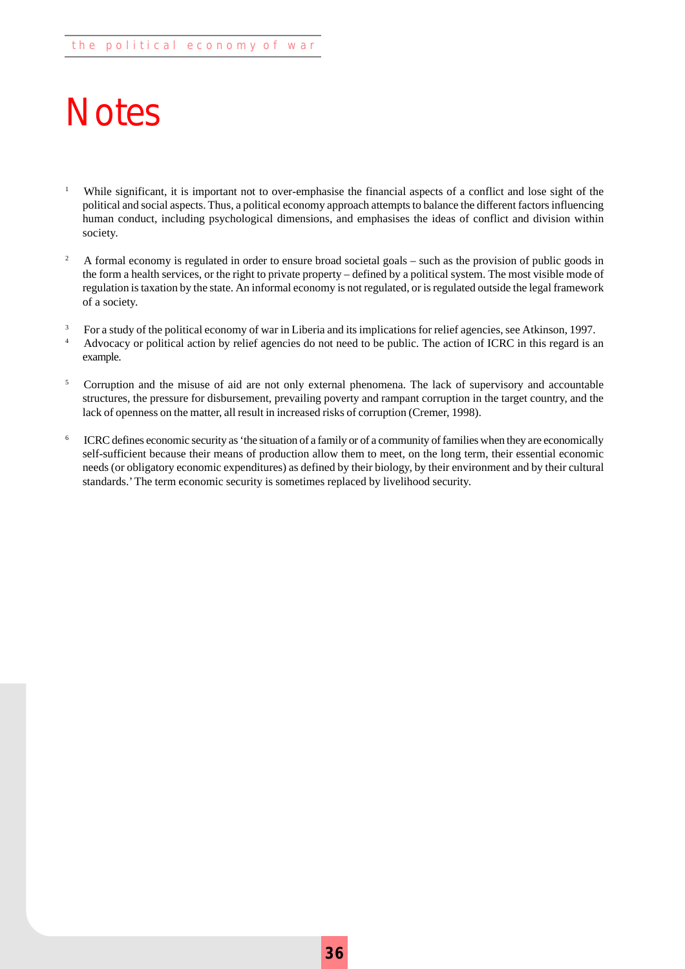## **Notes**

- <sup>1</sup> While significant, it is important not to over-emphasise the financial aspects of a conflict and lose sight of the political and social aspects. Thus, a political economy approach attempts to balance the different factors influencing human conduct, including psychological dimensions, and emphasises the ideas of conflict and division within society.
- <sup>2</sup> A formal economy is regulated in order to ensure broad societal goals such as the provision of public goods in the form a health services, or the right to private property – defined by a political system. The most visible mode of regulation is taxation by the state. An informal economy is not regulated, or is regulated outside the legal framework of a society.
- <sup>3</sup> For a study of the political economy of war in Liberia and its implications for relief agencies, see Atkinson, 1997. <sup>4</sup> Advocacy or political action by relief agencies do not need to be public. The action of ICRC in this regard is an example.
- <sup>5</sup> Corruption and the misuse of aid are not only external phenomena. The lack of supervisory and accountable structures, the pressure for disbursement, prevailing poverty and rampant corruption in the target country, and the lack of openness on the matter, all result in increased risks of corruption (Cremer, 1998).
- <sup>6</sup> ICRC defines economic security as 'the situation of a family or of a community of families when they are economically self-sufficient because their means of production allow them to meet, on the long term, their essential economic needs (or obligatory economic expenditures) as defined by their biology, by their environment and by their cultural standards.' The term economic security is sometimes replaced by livelihood security.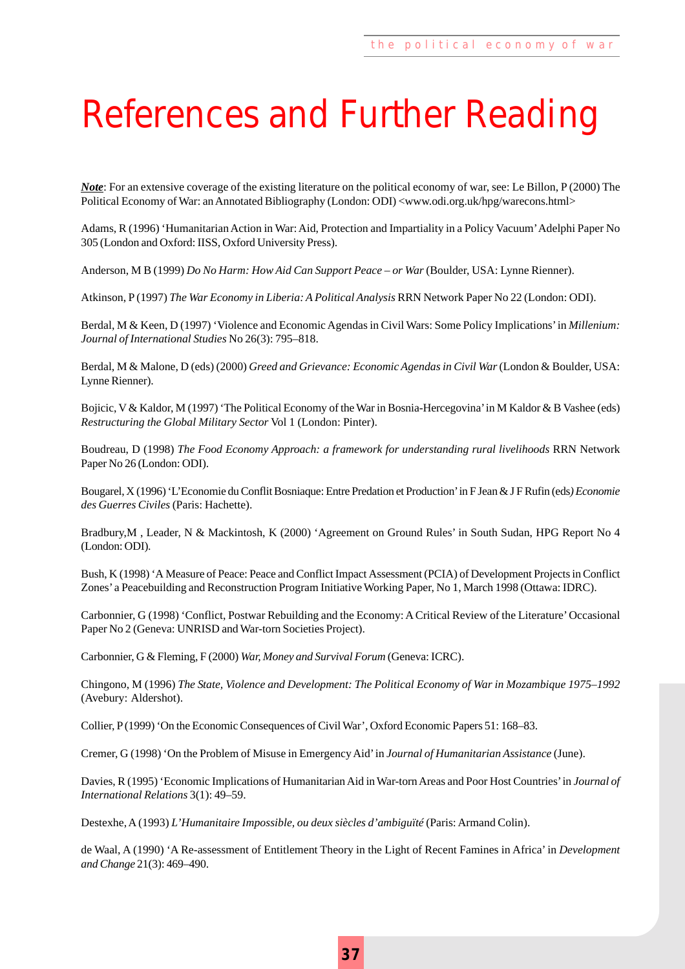## References and Further Reading

*Note*: For an extensive coverage of the existing literature on the political economy of war, see: Le Billon, P (2000) The Political Economy of War: an Annotated Bibliography (London: ODI) <www.odi.org.uk/hpg/warecons.html>

Adams, R (1996) 'Humanitarian Action in War: Aid, Protection and Impartiality in a Policy Vacuum' Adelphi Paper No 305 (London and Oxford: IISS, Oxford University Press).

Anderson, M B (1999) *Do No Harm: How Aid Can Support Peace – or War* (Boulder, USA: Lynne Rienner).

Atkinson, P (1997) *The War Economy in Liberia: A Political Analysis* RRN Network Paper No 22 (London: ODI).

Berdal, M & Keen, D (1997) 'Violence and Economic Agendas in Civil Wars: Some Policy Implications' in *Millenium: Journal of International Studies* No 26(3): 795–818.

Berdal, M & Malone, D (eds) (2000) *Greed and Grievance: Economic Agendas in Civil War* (London & Boulder, USA: Lynne Rienner).

Bojicic, V & Kaldor, M (1997) 'The Political Economy of the War in Bosnia-Hercegovina' in M Kaldor & B Vashee (eds) *Restructuring the Global Military Sector* Vol 1 (London: Pinter).

Boudreau, D (1998) *The Food Economy Approach: a framework for understanding rural livelihoods* RRN Network Paper No 26 (London: ODI).

Bougarel, X (1996) 'L'Economie du Conflit Bosniaque: Entre Predation et Production' in F Jean & J F Rufin (eds*) Economie des Guerres Civiles* (Paris: Hachette).

Bradbury,M , Leader, N & Mackintosh, K (2000) 'Agreement on Ground Rules' in South Sudan, HPG Report No 4 (London: ODI).

Bush, K (1998) 'A Measure of Peace: Peace and Conflict Impact Assessment (PCIA) of Development Projects in Conflict Zones' a Peacebuilding and Reconstruction Program Initiative Working Paper, No 1, March 1998 (Ottawa: IDRC).

Carbonnier, G (1998) 'Conflict, Postwar Rebuilding and the Economy: A Critical Review of the Literature' Occasional Paper No 2 (Geneva: UNRISD and War-torn Societies Project).

Carbonnier, G & Fleming, F (2000) *War, Money and Survival Forum* (Geneva: ICRC).

Chingono, M (1996) *The State, Violence and Development: The Political Economy of War in Mozambique 1975–1992* (Avebury: Aldershot).

Collier, P (1999) 'On the Economic Consequences of Civil War', Oxford Economic Papers 51: 168–83.

Cremer, G (1998) 'On the Problem of Misuse in Emergency Aid' in *Journal of Humanitarian Assistance* (June).

Davies, R (1995) 'Economic Implications of Humanitarian Aid in War-torn Areas and Poor Host Countries' in *Journal of International Relations* 3(1): 49–59.

Destexhe, A (1993) *L'Humanitaire Impossible, ou deux siècles d'ambiguïté* (Paris: Armand Colin).

de Waal, A (1990) 'A Re-assessment of Entitlement Theory in the Light of Recent Famines in Africa' in *Development and Change* 21(3): 469–490.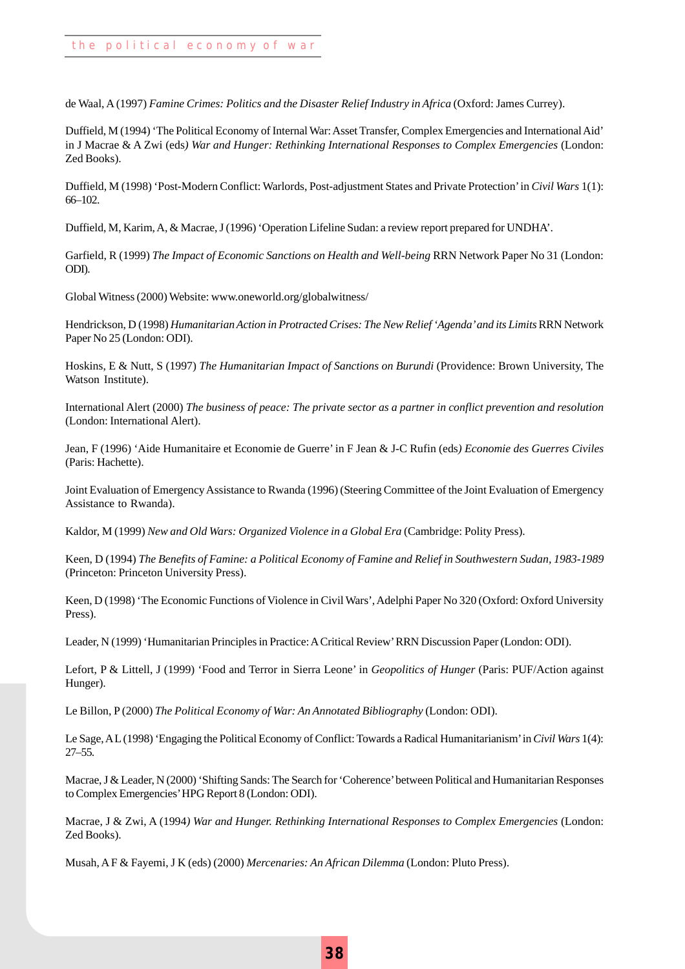de Waal, A (1997) *Famine Crimes: Politics and the Disaster Relief Industry in Africa* (Oxford: James Currey).

Duffield, M (1994) 'The Political Economy of Internal War: Asset Transfer, Complex Emergencies and International Aid' in J Macrae & A Zwi (eds*) War and Hunger: Rethinking International Responses to Complex Emergencies* (London: Zed Books).

Duffield, M (1998) 'Post-Modern Conflict: Warlords, Post-adjustment States and Private Protection' in *Civil Wars* 1(1): 66–102.

Duffield, M, Karim, A, & Macrae, J (1996) 'Operation Lifeline Sudan: a review report prepared for UNDHA'.

Garfield, R (1999) *The Impact of Economic Sanctions on Health and Well-being* RRN Network Paper No 31 (London: ODI).

Global Witness (2000) Website: www.oneworld.org/globalwitness/

Hendrickson, D (1998) *Humanitarian Action in Protracted Crises: The New Relief 'Agenda' and its Limits* RRN Network Paper No 25 (London: ODI).

Hoskins, E & Nutt, S (1997) *The Humanitarian Impact of Sanctions on Burundi* (Providence: Brown University, The Watson Institute).

International Alert (2000) *The business of peace: The private sector as a partner in conflict prevention and resolution* (London: International Alert).

Jean, F (1996) 'Aide Humanitaire et Economie de Guerre' in F Jean & J-C Rufin (eds*) Economie des Guerres Civiles* (Paris: Hachette).

Joint Evaluation of Emergency Assistance to Rwanda (1996) (Steering Committee of the Joint Evaluation of Emergency Assistance to Rwanda).

Kaldor, M (1999) *New and Old Wars: Organized Violence in a Global Era* (Cambridge: Polity Press).

Keen, D (1994) *The Benefits of Famine: a Political Economy of Famine and Relief in Southwestern Sudan, 1983-1989* (Princeton: Princeton University Press).

Keen, D (1998) 'The Economic Functions of Violence in Civil Wars', Adelphi Paper No 320 (Oxford: Oxford University Press).

Leader, N (1999) 'Humanitarian Principles in Practice: A Critical Review' RRN Discussion Paper (London: ODI).

Lefort, P & Littell, J (1999) 'Food and Terror in Sierra Leone' in *Geopolitics of Hunger* (Paris: PUF/Action against Hunger).

Le Billon, P (2000) *The Political Economy of War: An Annotated Bibliography* (London: ODI).

Le Sage, A L (1998) 'Engaging the Political Economy of Conflict: Towards a Radical Humanitarianism' in *Civil Wars* 1(4): 27–55.

Macrae, J & Leader, N (2000) 'Shifting Sands: The Search for 'Coherence' between Political and Humanitarian Responses to Complex Emergencies' HPG Report 8 (London: ODI).

Macrae, J & Zwi, A (1994*) War and Hunger. Rethinking International Responses to Complex Emergencies* (London: Zed Books).

Musah, A F & Fayemi, J K (eds) (2000) *Mercenaries: An African Dilemma* (London: Pluto Press).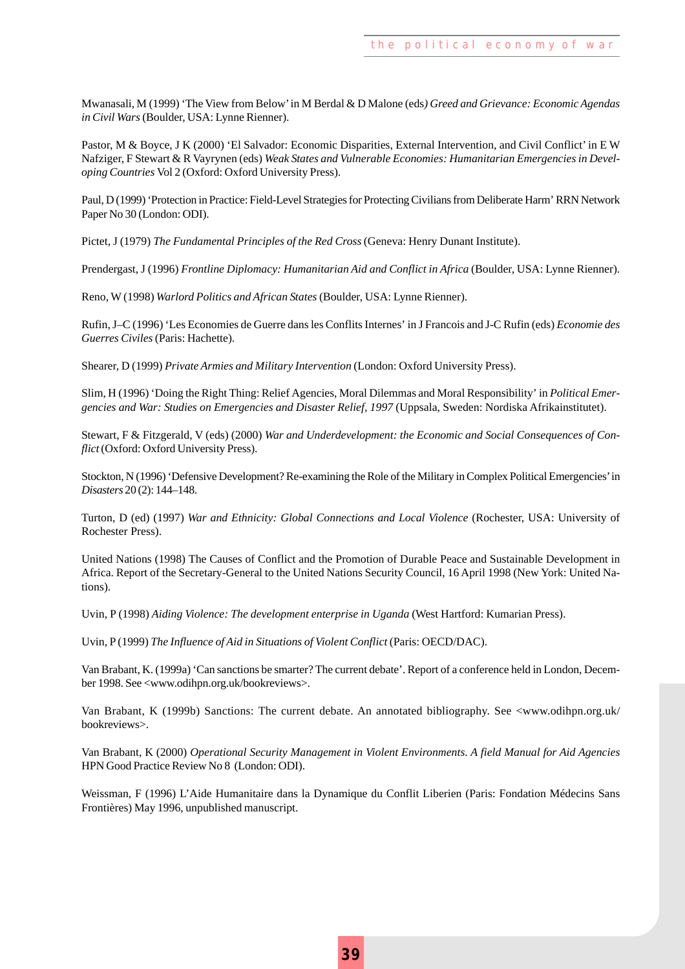Mwanasali, M (1999) 'The View from Below' in M Berdal & D Malone (eds*) Greed and Grievance: Economic Agendas in Civil Wars* (Boulder, USA: Lynne Rienner).

Pastor, M & Boyce, J K (2000) 'El Salvador: Economic Disparities, External Intervention, and Civil Conflict' in E W Nafziger, F Stewart & R Vayrynen (eds) *Weak States and Vulnerable Economies: Humanitarian Emergencies in Developing Countries* Vol 2 (Oxford: Oxford University Press).

Paul, D (1999) 'Protection in Practice: Field-Level Strategies for Protecting Civilians from Deliberate Harm' RRN Network Paper No 30 (London: ODI).

Pictet, J (1979) *The Fundamental Principles of the Red Cross* (Geneva: Henry Dunant Institute).

Prendergast, J (1996) *Frontline Diplomacy: Humanitarian Aid and Conflict in Africa* (Boulder, USA: Lynne Rienner).

Reno, W (1998) *Warlord Politics and African States* (Boulder, USA: Lynne Rienner).

Rufin, J–C (1996) 'Les Economies de Guerre dans les Conflits Internes' in J Francois and J-C Rufin (eds) *Economie des Guerres Civiles* (Paris: Hachette).

Shearer, D (1999) *Private Armies and Military Intervention* (London: Oxford University Press).

Slim, H (1996) 'Doing the Right Thing: Relief Agencies, Moral Dilemmas and Moral Responsibility' in *Political Emergencies and War: Studies on Emergencies and Disaster Relief, 1997* (Uppsala, Sweden: Nordiska Afrikainstitutet).

Stewart, F & Fitzgerald, V (eds) (2000) *War and Underdevelopment: the Economic and Social Consequences of Conflict* (Oxford: Oxford University Press).

Stockton, N (1996) 'Defensive Development? Re-examining the Role of the Military in Complex Political Emergencies' in *Disasters* 20 (2): 144–148.

Turton, D (ed) (1997) *War and Ethnicity: Global Connections and Local Violence* (Rochester, USA: University of Rochester Press).

United Nations (1998) The Causes of Conflict and the Promotion of Durable Peace and Sustainable Development in Africa. Report of the Secretary-General to the United Nations Security Council, 16 April 1998 (New York: United Nations).

Uvin, P (1998) *Aiding Violence: The development enterprise in Uganda* (West Hartford: Kumarian Press).

Uvin, P (1999) *The Influence of Aid in Situations of Violent Conflict* (Paris: OECD/DAC).

Van Brabant, K. (1999a) 'Can sanctions be smarter? The current debate'. Report of a conference held in London, December 1998. See <www.odihpn.org.uk/bookreviews>.

Van Brabant, K (1999b) Sanctions: The current debate. An annotated bibliography. See <www.odihpn.org.uk/ bookreviews>.

Van Brabant, K (2000) *Operational Security Management in Violent Environments. A field Manual for Aid Agencies* HPN Good Practice Review No 8 (London: ODI).

Weissman, F (1996) L'Aide Humanitaire dans la Dynamique du Conflit Liberien (Paris: Fondation Médecins Sans Frontières) May 1996, unpublished manuscript.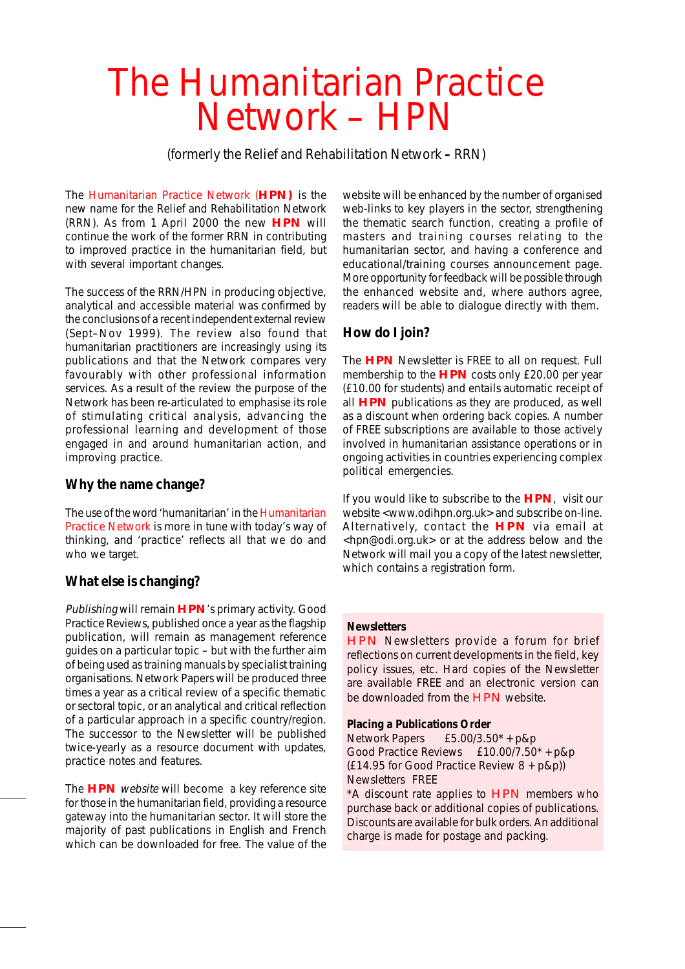## The Humanitarian Practice Network – HPN

(formerly the Relief and Rehabilitation Network **–** RRN)

The Humanitarian Practice Network (**HPN)** is the new name for the Relief and Rehabilitation Network (RRN). As from 1 April 2000 the new **HPN** will continue the work of the former RRN in contributing to improved practice in the humanitarian field, but with several important changes.

The success of the RRN/HPN in producing objective, analytical and accessible material was confirmed by the conclusions of a recent independent external review (Sept–Nov 1999). The review also found that humanitarian practitioners are increasingly using its publications and that the Network compares very favourably with other professional information services. As a result of the review the purpose of the Network has been re-articulated to emphasise its role of stimulating critical analysis, advancing the professional learning and development of those engaged in and around humanitarian action, and improving practice.

#### **Why the name change?**

The use of the word 'humanitarian' in the Humanitarian Practice Network is more in tune with today's way of thinking, and 'practice' reflects all that we do and who we target.

#### **What else is changing?**

Publishing will remain **HPN**'s primary activity. Good Practice Reviews, published once a year as the flagship publication, will remain as management reference guides on a particular topic – but with the further aim of being used as training manuals by specialist training organisations. Network Papers will be produced three times a year as a critical review of a specific thematic or sectoral topic, or an analytical and critical reflection of a particular approach in a specific country/region. The successor to the Newsletter will be published twice-yearly as a resource document with updates, practice notes and features.

The **HPN** website will become a key reference site for those in the humanitarian field, providing a resource gateway into the humanitarian sector. It will store the majority of past publications in English and French which can be downloaded for free. The value of the

website will be enhanced by the number of organised web-links to key players in the sector, strengthening the thematic search function, creating a profile of masters and training courses relating to the humanitarian sector, and having a conference and educational/training courses announcement page. More opportunity for feedback will be possible through the enhanced website and, where authors agree, readers will be able to dialogue directly with them.

### **How do I join?**

The **HPN** Newsletter is FREE to all on request. Full membership to the **HPN** costs only £20.00 per year (£10.00 for students) and entails automatic receipt of all **HPN** publications as they are produced, as well as a discount when ordering back copies. A number of FREE subscriptions are available to those actively involved in humanitarian assistance operations or in ongoing activities in countries experiencing complex political emergencies.

If you would like to subscribe to the **HPN**, visit our website <www.odihpn.org.uk> and subscribe on-line. Alternatively, contact the **HPN** via email at <hpn@odi.org.uk> or at the address below and the Network will mail you a copy of the latest newsletter, which contains a registration form.

#### **Newsletters**

HPN Newsletters provide a forum for brief reflections on current developments in the field, key policy issues, etc. Hard copies of the Newsletter are available FREE and an electronic version can be downloaded from the **HPN** website.

#### **Placing a Publications Order**

Network Papers £5.00/3.50\* + p&p Good Practice Reviews £10.00/7.50\* + p&p (£14.95 for Good Practice Review 8 + p&p)) Newsletters FREE

\*A discount rate applies to HPN members who purchase back or additional copies of publications. Discounts are available for bulk orders. An additional charge is made for postage and packing.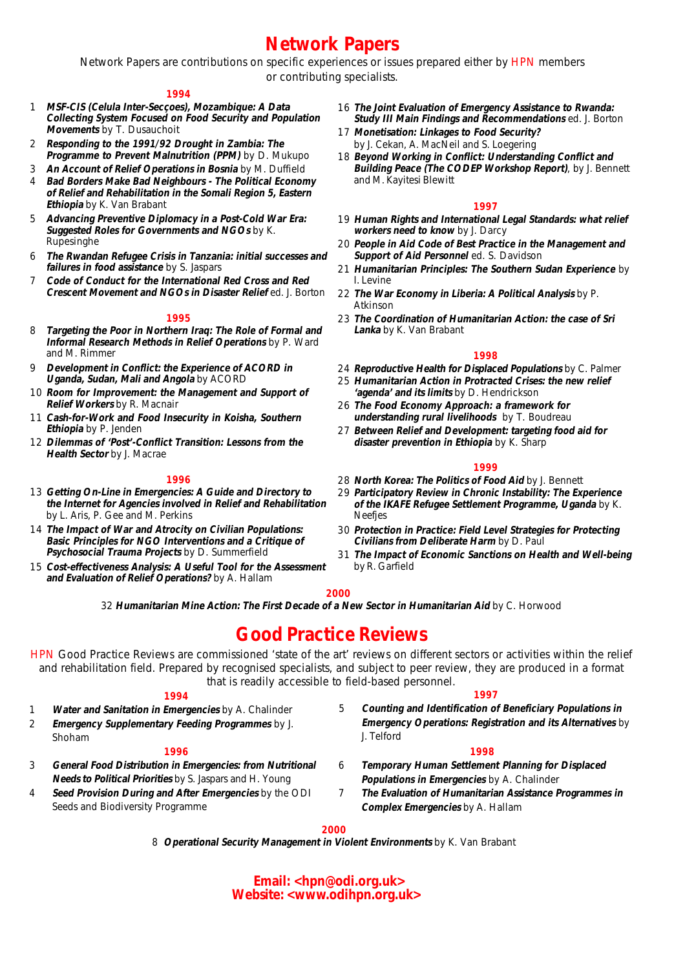### **Network Papers** and a resource of w a resource  $\alpha$

Network Papers are contributions on specific experiences or issues prepared either by HPN members or contributing specialists.

#### **1994**

- 1 **MSF-CIS (Celula Inter-Secçoes), Mozambique: A Data Collecting System Focused on Food Security and Population Movements** by T. Dusauchoit
- 2 **Responding to the 1991/92 Drought in Zambia: The Programme to Prevent Malnutrition (PPM)** by D. Mukupo
- 3 **An Account of Relief Operations in Bosnia** by M. Duffield
- 4 **Bad Borders Make Bad Neighbours The Political Economy of Relief and Rehabilitation in the Somali Region 5, Eastern Ethiopia** by K. Van Brabant
- 5 **Advancing Preventive Diplomacy in a Post-Cold War Era: Suggested Roles for Governments and NGOs** by K. Rupesinghe
- 6 **The Rwandan Refugee Crisis in Tanzania: initial successes and failures in food assistance** by S. Jaspars
- 7 **Code of Conduct for the International Red Cross and Red Crescent Movement and NGOs in Disaster Relief** ed. J. Borton

#### **1995**

- 8 **Targeting the Poor in Northern Iraq: The Role of Formal and Informal Research Methods in Relief Operations** by P. Ward and M. Rimmer
- 9 **Development in Conflict: the Experience of ACORD in Uganda, Sudan, Mali and Angola** by ACORD
- 10 **Room for Improvement: the Management and Support of Relief Workers** by R. Macnair
- 11 **Cash-for-Work and Food Insecurity in Koisha, Southern Ethiopia** by P. Jenden
- 12 **Dilemmas of 'Post'-Conflict Transition: Lessons from the Health Sector** by J. Macrae

#### **1996**

- 13 **Getting On-Line in Emergencies: A Guide and Directory to the Internet for Agencies involved in Relief and Rehabilitation** by L. Aris, P. Gee and M. Perkins
- 14 **The Impact of War and Atrocity on Civilian Populations: Basic Principles for NGO Interventions and a Critique of Psychosocial Trauma Projects** by D. Summerfield
- 15 **Cost-effectiveness Analysis: A Useful Tool for the Assessment and Evaluation of Relief Operations?** by A. Hallam
- 16 **The Joint Evaluation of Emergency Assistance to Rwanda: Study III Main Findings and Recommendations** ed. J. Borton
- 17 **Monetisation: Linkages to Food Security?** by J. Cekan, A. MacNeil and S. Loegering
- 18 **Beyond Working in Conflict: Understanding Conflict and Building Peace (The CODEP Workshop Report)**, by J. Bennett and M. Kayitesi Blewitt

#### **1997**

- 19 **Human Rights and International Legal Standards: what relief workers need to know** by J. Darcy
- 20 **People in Aid Code of Best Practice in the Management and Support of Aid Personnel** ed. S. Davidson
- 21 **Humanitarian Principles: The Southern Sudan Experience** by I. Levine
- 22 **The War Economy in Liberia: A Political Analysis** by P. Atkinson
- 23 **The Coordination of Humanitarian Action: the case of Sri Lanka** by K. Van Brabant

#### **1998**

- 24 **Reproductive Health for Displaced Populations** by C. Palmer
- 25 **Humanitarian Action in Protracted Crises: the new relief 'agenda' and its limits** by D. Hendrickson
- 26 **The Food Economy Approach: a framework for understanding rural livelihoods** by T. Boudreau
- 27 **Between Relief and Development: targeting food aid for disaster prevention in Ethiopia** by K. Sharp

#### **1999**

- 28 **North Korea: The Politics of Food Aid** by J. Bennett
- 29 **Participatory Review in Chronic Instability: The Experience of the IKAFE Refugee Settlement Programme, Uganda** by K. Neefjes
- 30 **Protection in Practice: Field Level Strategies for Protecting Civilians from Deliberate Harm** by D. Paul
- 31 **The Impact of Economic Sanctions on Health and Well-being** by R. Garfield

#### **2000**

32 **Humanitarian Mine Action: The First Decade of a New Sector in Humanitarian Aid** by C. Horwood

### **Good Practice Reviews**

HPN Good Practice Reviews are commissioned 'state of the art' reviews on different sectors or activities within the relief and rehabilitation field. Prepared by recognised specialists, and subject to peer review, they are produced in a format that is readily accessible to field-based personnel.

#### **1994**

- 1 **Water and Sanitation in Emergencies** by A. Chalinder
- 2 **Emergency Supplementary Feeding Programmes** by J. Shoham

#### **1996**

- 3 **General Food Distribution in Emergencies: from Nutritional Needs to Political Priorities** by S. Jaspars and H. Young
- 4 **Seed Provision During and After Emergencies** by the ODI Seeds and Biodiversity Programme
- 5 **Counting and Identification of Beneficiary Populations in Emergency Operations: Registration and its Alternatives** by J. Telford

**1997**

#### **1998**

- 6 **Temporary Human Settlement Planning for Displaced Populations in Emergencies** by A. Chalinder
- 7 **The Evaluation of Humanitarian Assistance Programmes in Complex Emergencies** by A. Hallam

#### **2000**

8 **Operational Security Management in Violent Environments** by K. Van Brabant

**Email: <hpn@odi.org.uk> Website: <www.odihpn.org.uk>**